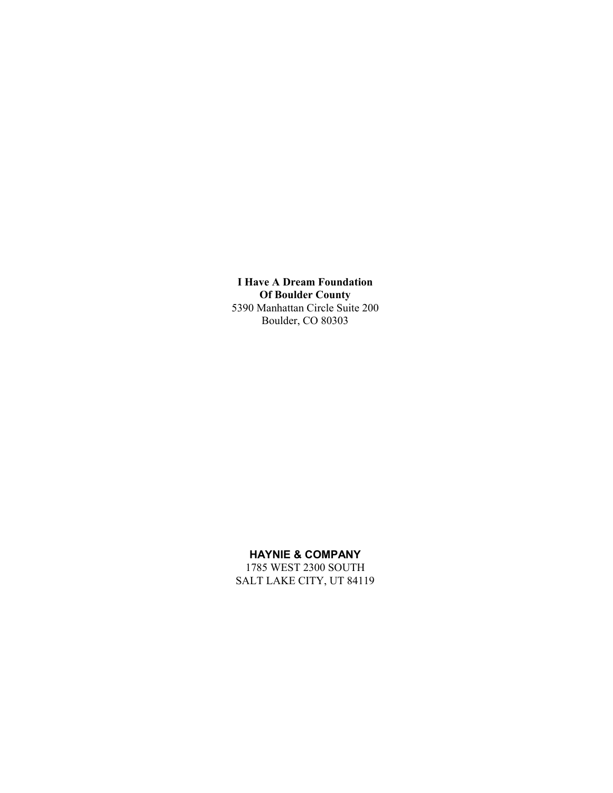**I Have A Dream Foundation Of Boulder County** 5390 Manhattan Circle Suite 200 Boulder, CO 80303

#### **HAYNIE & COMPANY**

1785 WEST 2300 SOUTH SALT LAKE CITY, UT 84119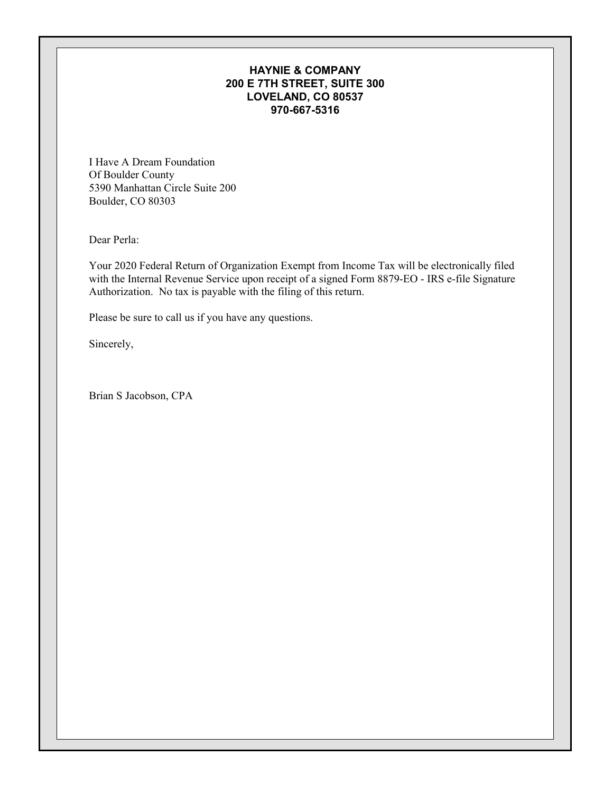#### **HAYNIE & COMPANY 200 E 7TH STREET, SUITE 300 LOVELAND, CO 80537 970-667-5316**

I Have A Dream Foundation Of Boulder County 5390 Manhattan Circle Suite 200 Boulder, CO 80303

Dear Perla:

Your 2020 Federal Return of Organization Exempt from Income Tax will be electronically filed with the Internal Revenue Service upon receipt of a signed Form 8879-EO - IRS e-file Signature Authorization. No tax is payable with the filing of this return.

Please be sure to call us if you have any questions.

Sincerely,

Brian S Jacobson, CPA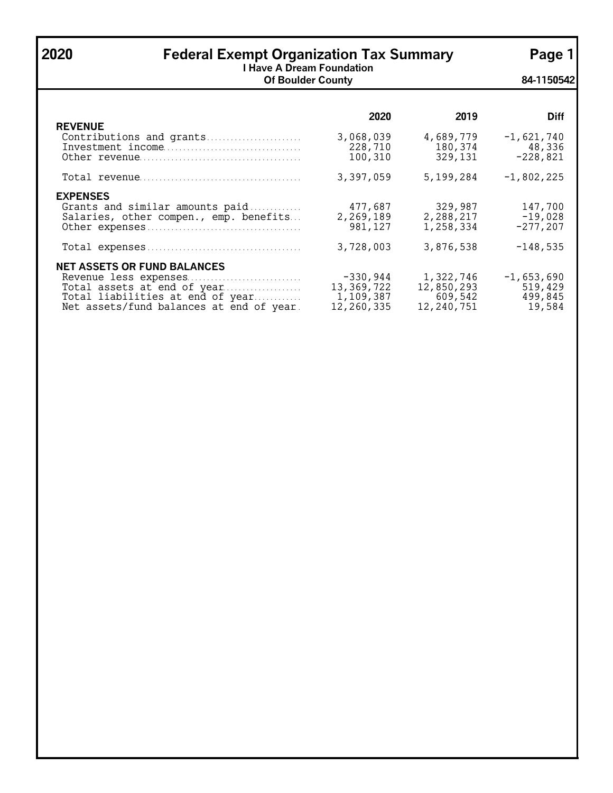### **2020 Federal Exempt Organization Tax Summary Page 1**

**I Have A Dream Foundation Of Boulder County 84-1150542**

|                                                                                                                                                                            | 2020                                                  | 2019                                             | <b>Diff</b>                                  |
|----------------------------------------------------------------------------------------------------------------------------------------------------------------------------|-------------------------------------------------------|--------------------------------------------------|----------------------------------------------|
| <b>REVENUE</b><br>Contributions and grants                                                                                                                                 | 3,068,039<br>228,710<br>100,310                       | 4,689,779<br>180,374<br>329,131                  | $-1,621,740$<br>48,336<br>$-228,821$         |
|                                                                                                                                                                            | 3,397,059                                             | 5,199,284                                        | $-1,802,225$                                 |
| <b>EXPENSES</b><br>Grants and similar amounts paid<br>Salaries, other compen., emp. benefits                                                                               | 477,687<br>2,269,189<br>981,127                       | 329,987<br>2,288,217<br>1,258,334                | 147,700<br>$-19,028$<br>$-277,207$           |
|                                                                                                                                                                            | 3,728,003                                             | 3,876,538                                        | $-148,535$                                   |
| <b>NET ASSETS OR FUND BALANCES</b><br>Revenue less expenses<br>Total assets at end of year<br>Total liabilities at end of year<br>Net assets/fund balances at end of year. | $-330,944$<br>13, 369, 722<br>1,109,387<br>12,260,335 | 1,322,746<br>12,850,293<br>609,542<br>12,240,751 | $-1,653,690$<br>519,429<br>499,845<br>19,584 |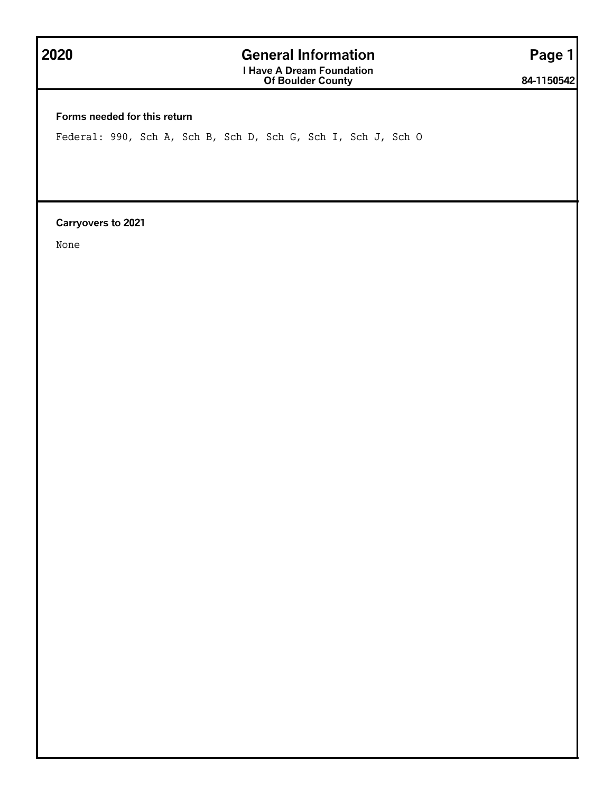## **2020 General Information Page 1**

**I Have A Dream Foundation Of Boulder County 84-1150542**

**Forms needed for this return**

Federal: 990, Sch A, Sch B, Sch D, Sch G, Sch I, Sch J, Sch O

**Carryovers to 2021**

None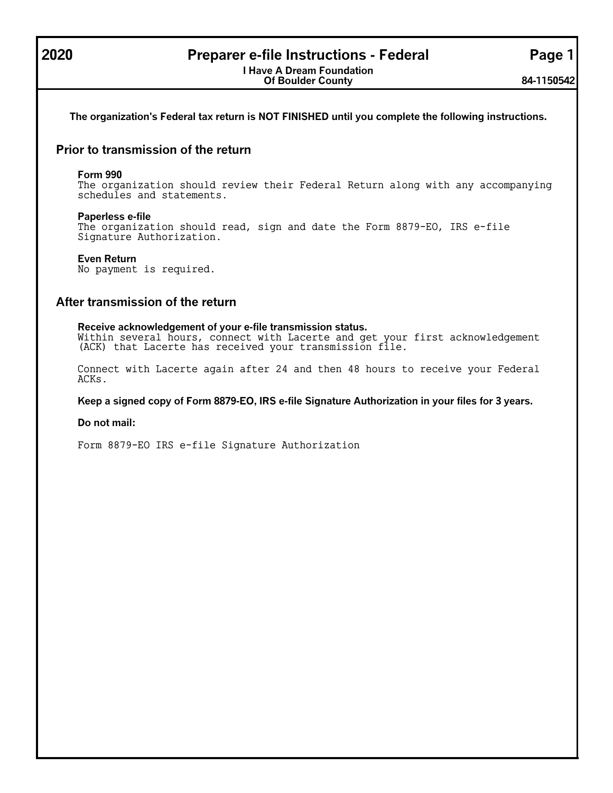### **2020 Preparer e-file Instructions - Federal Page 1**

**The organization's Federal tax return is NOT FINISHED until you complete the following instructions.**

#### **Prior to transmission of the return**

#### **Form 990**

The organization should review their Federal Return along with any accompanying schedules and statements.

#### **Paperless e-file**

The organization should read, sign and date the Form 8879-EO, IRS e-file Signature Authorization.

#### **Even Return**

No payment is required.

#### **After transmission of the return**

**Receive acknowledgement of your e-file transmission status.** Within several hours, connect with Lacerte and get your first acknowledgement (ACK) that Lacerte has received your transmission file.

Connect with Lacerte again after 24 and then 48 hours to receive your Federal ACKs.

**Keep a signed copy of Form 8879-EO, IRS e-file Signature Authorization in your files for 3 years.**

#### **Do not mail:**

Form 8879-EO IRS e-file Signature Authorization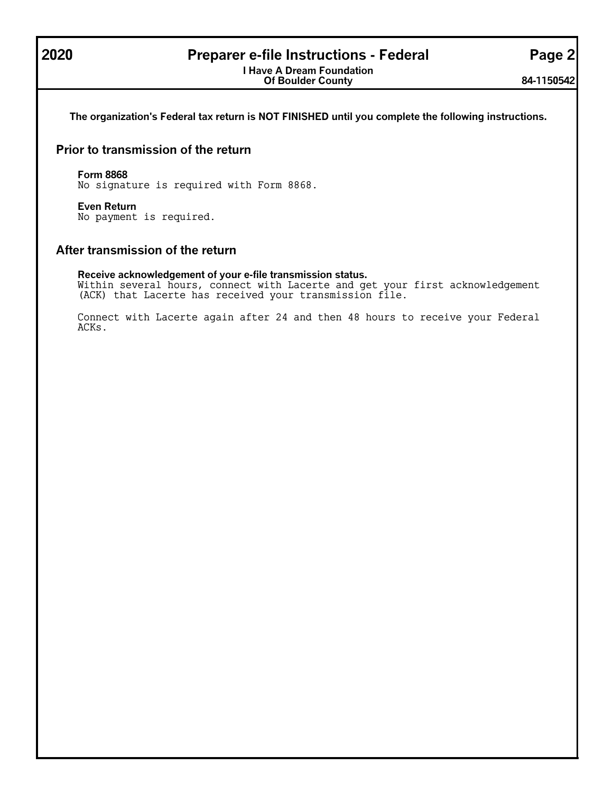### **2020 Preparer e-file Instructions - Federal Page 2**

**I Have A Dream Foundation Of Boulder County 84-1150542**

**The organization's Federal tax return is NOT FINISHED until you complete the following instructions.**

#### **Prior to transmission of the return**

#### **Form 8868**

No signature is required with Form 8868.

#### **Even Return**

No payment is required.

#### **After transmission of the return**

#### **Receive acknowledgement of your e-file transmission status.**

Within several hours, connect with Lacerte and get your first acknowledgement (ACK) that Lacerte has received your transmission file.

Connect with Lacerte again after 24 and then 48 hours to receive your Federal ACKs.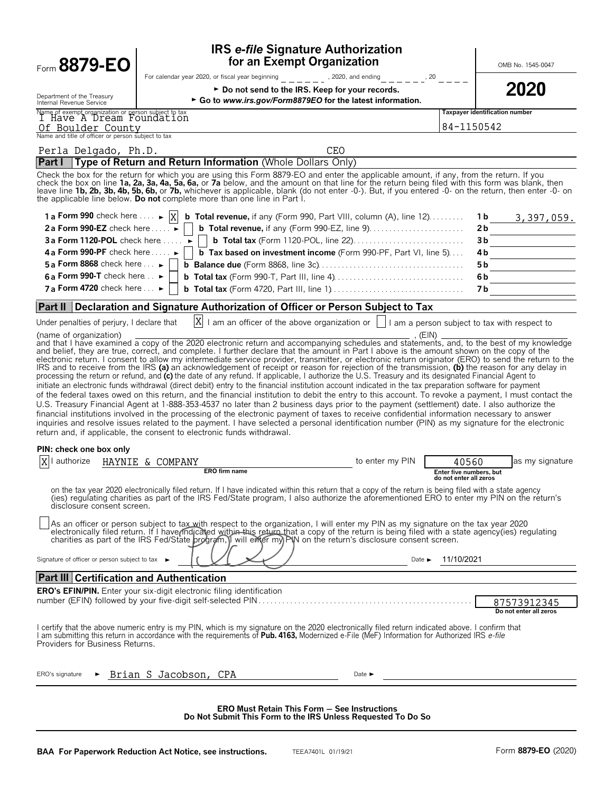| Form 8879-EO                                                                                                                                                      | for an Exempt Organization                                                                                                                                                                                                                                                                                                                                                                                                                                                                                                                                                                                                                                                                                                                                                                                                                                                                                                                                                                                                                                                                                                                        | <b>IRS e-file Signature Authorization</b>                                                                                                            |                                  | OMB No. 1545-0047                     |
|-------------------------------------------------------------------------------------------------------------------------------------------------------------------|---------------------------------------------------------------------------------------------------------------------------------------------------------------------------------------------------------------------------------------------------------------------------------------------------------------------------------------------------------------------------------------------------------------------------------------------------------------------------------------------------------------------------------------------------------------------------------------------------------------------------------------------------------------------------------------------------------------------------------------------------------------------------------------------------------------------------------------------------------------------------------------------------------------------------------------------------------------------------------------------------------------------------------------------------------------------------------------------------------------------------------------------------|------------------------------------------------------------------------------------------------------------------------------------------------------|----------------------------------|---------------------------------------|
| Department of the Treasury<br>Internal Revenue Service                                                                                                            | For calendar year 2020, or fiscal year beginning For calendary paid and ending<br>► Do not send to the IRS. Keep for your records.<br>Go to www.irs.gov/Form8879EO for the latest information.                                                                                                                                                                                                                                                                                                                                                                                                                                                                                                                                                                                                                                                                                                                                                                                                                                                                                                                                                    | , 20                                                                                                                                                 |                                  | 2020                                  |
| Name of exempt organization or person subject to tax<br>I Have A Dream Foundation<br>Of Boulder County                                                            |                                                                                                                                                                                                                                                                                                                                                                                                                                                                                                                                                                                                                                                                                                                                                                                                                                                                                                                                                                                                                                                                                                                                                   |                                                                                                                                                      | 84-1150542                       | Taxpayer identification number        |
| Name and title of officer or person subject to tax                                                                                                                |                                                                                                                                                                                                                                                                                                                                                                                                                                                                                                                                                                                                                                                                                                                                                                                                                                                                                                                                                                                                                                                                                                                                                   |                                                                                                                                                      |                                  |                                       |
| Perla Delgado, Ph.D.<br><b>Part I</b>                                                                                                                             | Type of Return and Return Information (Whole Dollars Only)                                                                                                                                                                                                                                                                                                                                                                                                                                                                                                                                                                                                                                                                                                                                                                                                                                                                                                                                                                                                                                                                                        | CEO                                                                                                                                                  |                                  |                                       |
|                                                                                                                                                                   | Check the box for the return for which you are using this Form 8879-EO and enter the applicable amount, if any, from the return. If you<br>check the box on line 1a, 2a, 3a, 4a, 5a, 6a, or 7a below, and the amount on that line for the return being filed with this form was blank, then<br>leave line 1b, 2b, 3b, 4b, 5b, 6b, or 7b, whichever is applicable, blank (do not enter -0-). But, if you entered -0- on the return, then enter -0- on<br>the applicable line below. Do not complete more than one line in Part I.                                                                                                                                                                                                                                                                                                                                                                                                                                                                                                                                                                                                                  |                                                                                                                                                      |                                  |                                       |
| 1 a Form 990 check here $\ldots$ $\blacktriangleright$ $ X $<br>2a Form 990-EZ check here $\ldots$                                                                | <b>b</b> Total revenue, if any (Form 990, Part VIII, column (A), line $12$ )                                                                                                                                                                                                                                                                                                                                                                                                                                                                                                                                                                                                                                                                                                                                                                                                                                                                                                                                                                                                                                                                      |                                                                                                                                                      | 2 b                              | $1b$ 3, 397, 059.                     |
| 3a Form 1120-POL check here $\dots$ $\blacktriangleright$                                                                                                         |                                                                                                                                                                                                                                                                                                                                                                                                                                                                                                                                                                                                                                                                                                                                                                                                                                                                                                                                                                                                                                                                                                                                                   |                                                                                                                                                      | 3b                               |                                       |
| 4 a Form 990-PF check here $\dots \rightarrow$                                                                                                                    | <b>b</b> Tax based on investment income (Form 990-PF, Part VI, line 5)                                                                                                                                                                                                                                                                                                                                                                                                                                                                                                                                                                                                                                                                                                                                                                                                                                                                                                                                                                                                                                                                            |                                                                                                                                                      | 4 b                              |                                       |
| 5 a Form 8868 check here $\ldots \blacktriangleright$<br>6 a Form 990-T check here $\ldots$                                                                       |                                                                                                                                                                                                                                                                                                                                                                                                                                                                                                                                                                                                                                                                                                                                                                                                                                                                                                                                                                                                                                                                                                                                                   |                                                                                                                                                      | 5 b<br>6b                        |                                       |
| 7 a Form 4720 check here $\ldots$                                                                                                                                 |                                                                                                                                                                                                                                                                                                                                                                                                                                                                                                                                                                                                                                                                                                                                                                                                                                                                                                                                                                                                                                                                                                                                                   |                                                                                                                                                      | 7 b                              |                                       |
|                                                                                                                                                                   |                                                                                                                                                                                                                                                                                                                                                                                                                                                                                                                                                                                                                                                                                                                                                                                                                                                                                                                                                                                                                                                                                                                                                   |                                                                                                                                                      |                                  |                                       |
| ∣Part II l                                                                                                                                                        | Declaration and Signature Authorization of Officer or Person Subject to Tax                                                                                                                                                                                                                                                                                                                                                                                                                                                                                                                                                                                                                                                                                                                                                                                                                                                                                                                                                                                                                                                                       |                                                                                                                                                      |                                  |                                       |
| Under penalties of perjury, I declare that<br>(name of organization)                                                                                              | $ X $ I am an officer of the above organization or $ $ I am a person subject to tax with respect to                                                                                                                                                                                                                                                                                                                                                                                                                                                                                                                                                                                                                                                                                                                                                                                                                                                                                                                                                                                                                                               | , (EIN)                                                                                                                                              |                                  |                                       |
|                                                                                                                                                                   |                                                                                                                                                                                                                                                                                                                                                                                                                                                                                                                                                                                                                                                                                                                                                                                                                                                                                                                                                                                                                                                                                                                                                   | electronic return. I consent to allow my intermediate service provider, transmitter, or electronic return originator (ERO) to send the return to the |                                  |                                       |
|                                                                                                                                                                   | IRS and to receive from the IRS (a) an acknowledgement of receipt or reason for rejection of the transmission, (b) the reason for any delay in<br>processing the return or refund, and (c) the date of any refund. If applicable, I authorize the U.S. Treasury and its designated Financial Agent to<br>initiate an electronic funds withdrawal (direct debit) entry to the financial institution account indicated in the tax preparation software for payment<br>of the federal taxes owed on this return, and the financial institution to debit the entry to this account. To revoke a payment, I must contact the<br>U.S. Treasury Financial Agent at 1-888-353-4537 no later than 2 business days prior to the payment (settlement) date. I also authorize the<br>financial institutions involved in the processing of the electronic payment of taxes to receive confidential information necessary to answer<br>inquiries and resolve issues related to the payment. I have selected a personal identification number (PIN) as my signature for the electronic<br>return and, if applicable, the consent to electronic funds withdrawal. |                                                                                                                                                      |                                  |                                       |
|                                                                                                                                                                   |                                                                                                                                                                                                                                                                                                                                                                                                                                                                                                                                                                                                                                                                                                                                                                                                                                                                                                                                                                                                                                                                                                                                                   |                                                                                                                                                      |                                  |                                       |
| authorize                                                                                                                                                         | HAYNIE & COMPANY<br><b>ERO</b> firm name                                                                                                                                                                                                                                                                                                                                                                                                                                                                                                                                                                                                                                                                                                                                                                                                                                                                                                                                                                                                                                                                                                          | to enter my PIN                                                                                                                                      | 40560<br>Enter five numbers, but | as my signature                       |
| disclosure consent screen.                                                                                                                                        | on the tax year 2020 electronically filed return. If I have indicated within this return that a copy of the return is being filed with a state agency<br>(ies) requiating charities as part of the IRS Fed/State program, I also authorize the aforementioned ERO to enter my PIN on the return's                                                                                                                                                                                                                                                                                                                                                                                                                                                                                                                                                                                                                                                                                                                                                                                                                                                 |                                                                                                                                                      |                                  |                                       |
|                                                                                                                                                                   | As an officer or person subject to tax with respect to the organization, I will enter my PIN as my signature on the tax year 2020<br>electronically filed return. If I have indicated within this return that a copy of the return is being filed with a state agency(ies) regulating charities as part of the IRS Fed/State program, I will enter my) PIN on the r                                                                                                                                                                                                                                                                                                                                                                                                                                                                                                                                                                                                                                                                                                                                                                               |                                                                                                                                                      |                                  |                                       |
|                                                                                                                                                                   |                                                                                                                                                                                                                                                                                                                                                                                                                                                                                                                                                                                                                                                                                                                                                                                                                                                                                                                                                                                                                                                                                                                                                   | Date $\blacktriangleright$                                                                                                                           | 11/10/2021                       |                                       |
|                                                                                                                                                                   |                                                                                                                                                                                                                                                                                                                                                                                                                                                                                                                                                                                                                                                                                                                                                                                                                                                                                                                                                                                                                                                                                                                                                   |                                                                                                                                                      |                                  |                                       |
|                                                                                                                                                                   |                                                                                                                                                                                                                                                                                                                                                                                                                                                                                                                                                                                                                                                                                                                                                                                                                                                                                                                                                                                                                                                                                                                                                   |                                                                                                                                                      |                                  |                                       |
|                                                                                                                                                                   | <b>ERO's EFIN/PIN.</b> Enter your six-digit electronic filing identification                                                                                                                                                                                                                                                                                                                                                                                                                                                                                                                                                                                                                                                                                                                                                                                                                                                                                                                                                                                                                                                                      |                                                                                                                                                      |                                  | 87573912345<br>Do not enter all zeros |
| PIN: check one box only<br>Signature of officer or person subject to tax ►<br><b>Part III Certification and Authentication</b><br>Providers for Business Returns. | I certify that the above numeric entry is my PIN, which is my signature on the 2020 electronically filed return indicated above. I confirm that<br>I am submitting this return in accordance with the requirements of Pub. 4163, Modernized e-File (MeF) Information for Authorized IRS e-file                                                                                                                                                                                                                                                                                                                                                                                                                                                                                                                                                                                                                                                                                                                                                                                                                                                    |                                                                                                                                                      |                                  |                                       |

**ERO Must Retain This Form** ' **See Instructions Do Not Submit This Form to the IRS Unless Requested To Do So**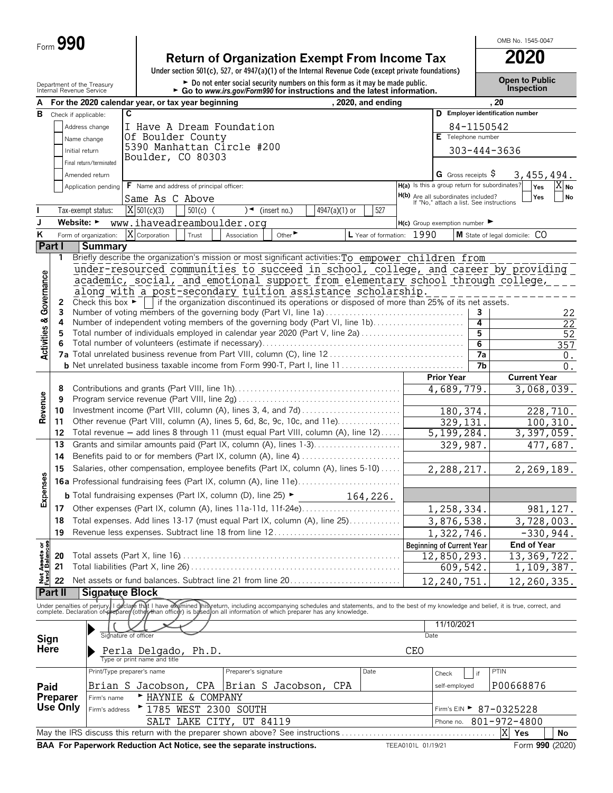| Form $990$ |  |
|------------|--|
|            |  |

### **Return of Organization Exempt From Income Tax 2020**

**Under section 501(c), 527, or 4947(a)(1) of the Internal Revenue Code (except private foundations)**

Department of the Treasury **and County of the Treasury and County of the County of the County of the County of County of the Donot enter social security numbers on this form as it may be made public. County the Treasury C** 

OMB No. 1545-0047

|                                        |          | Internal Revenue Service       |                                                                                                                                                                                                             |            | $\triangleright$ Go to www.irs.gov/Form990 for instructions and the latest information. |              |               |                      |                    |                                                                                        |                 | <b>IIIPPECUOLI</b>                                                                                                                                                                                                                |
|----------------------------------------|----------|--------------------------------|-------------------------------------------------------------------------------------------------------------------------------------------------------------------------------------------------------------|------------|-----------------------------------------------------------------------------------------|--------------|---------------|----------------------|--------------------|----------------------------------------------------------------------------------------|-----------------|-----------------------------------------------------------------------------------------------------------------------------------------------------------------------------------------------------------------------------------|
| А                                      |          |                                | For the 2020 calendar year, or tax year beginning                                                                                                                                                           |            |                                                                                         |              |               | , 2020, and ending   |                    |                                                                                        |                 | , 20                                                                                                                                                                                                                              |
| В                                      |          | Check if applicable:           | C                                                                                                                                                                                                           |            |                                                                                         |              |               |                      |                    |                                                                                        |                 | D Employer identification number                                                                                                                                                                                                  |
|                                        |          | Address change                 | I Have A Dream Foundation                                                                                                                                                                                   |            |                                                                                         |              |               |                      |                    |                                                                                        | 84-1150542      |                                                                                                                                                                                                                                   |
|                                        |          | Name change                    | Of Boulder County                                                                                                                                                                                           |            |                                                                                         |              |               |                      |                    | E Telephone number                                                                     |                 |                                                                                                                                                                                                                                   |
|                                        |          | Initial return                 | 5390 Manhattan Circle #200                                                                                                                                                                                  |            |                                                                                         |              |               |                      |                    |                                                                                        |                 | 303-444-3636                                                                                                                                                                                                                      |
|                                        |          | Final return/terminated        | Boulder, CO 80303                                                                                                                                                                                           |            |                                                                                         |              |               |                      |                    |                                                                                        |                 |                                                                                                                                                                                                                                   |
|                                        |          | Amended return                 |                                                                                                                                                                                                             |            |                                                                                         |              |               |                      |                    | G Gross receipts $\sqrt{5}$                                                            |                 | 3,455,494.                                                                                                                                                                                                                        |
|                                        |          | Application pending            | F Name and address of principal officer:                                                                                                                                                                    |            |                                                                                         |              |               |                      |                    | H(a) Is this a group return for subordinates?                                          |                 | Yes<br>$X_{\text{No}}$                                                                                                                                                                                                            |
|                                        |          |                                | Same As C Above                                                                                                                                                                                             |            |                                                                                         |              |               |                      |                    |                                                                                        |                 | Yes<br><b>No</b>                                                                                                                                                                                                                  |
|                                        |          |                                | $X$ 501(c)(3)                                                                                                                                                                                               |            |                                                                                         |              |               | 527                  |                    | <b>H(b)</b> Are all subordinates included?<br>If "No," attach a list. See instructions |                 |                                                                                                                                                                                                                                   |
|                                        |          | Tax-exempt status:             |                                                                                                                                                                                                             | $501(c)$ ( | $\rightarrow$                                                                           | (insert no.) | 4947(a)(1) or |                      |                    |                                                                                        |                 |                                                                                                                                                                                                                                   |
| J                                      |          | Website: $\blacktriangleright$ | www.ihaveadreamboulder.org                                                                                                                                                                                  |            |                                                                                         |              |               |                      |                    | $H(c)$ Group exemption number $\blacktriangleright$                                    |                 |                                                                                                                                                                                                                                   |
| Κ                                      |          | Form of organization:          | X Corporation                                                                                                                                                                                               | Trust      | Association                                                                             | Other        |               | L Year of formation: | 1990               |                                                                                        |                 | M State of legal domicile: CO                                                                                                                                                                                                     |
|                                        | Part I   | Summary                        |                                                                                                                                                                                                             |            |                                                                                         |              |               |                      |                    |                                                                                        |                 |                                                                                                                                                                                                                                   |
|                                        | 1        |                                | Briefly describe the organization's mission or most significant activities: To empower children from                                                                                                        |            |                                                                                         |              |               |                      |                    |                                                                                        |                 |                                                                                                                                                                                                                                   |
|                                        |          |                                |                                                                                                                                                                                                             |            |                                                                                         |              |               |                      |                    |                                                                                        |                 | under-resourced communities to succeed in school, college, and career by providing                                                                                                                                                |
|                                        |          |                                | academic, social, and emotional support from elementary school through college,                                                                                                                             |            |                                                                                         |              |               |                      |                    |                                                                                        |                 |                                                                                                                                                                                                                                   |
|                                        |          |                                | along with a post-secondary tuition assistance scholarship.                                                                                                                                                 |            |                                                                                         |              |               |                      |                    |                                                                                        |                 |                                                                                                                                                                                                                                   |
|                                        | 2<br>3   |                                | Check this box $\blacktriangleright$   if the organization discontinued its operations or disposed of more than 25% of its net assets.<br>Number of voting members of the governing body (Part VI, line 1a) |            |                                                                                         |              |               |                      |                    |                                                                                        |                 |                                                                                                                                                                                                                                   |
|                                        | 4        |                                | Number of independent voting members of the governing body (Part VI, line 1b)                                                                                                                               |            |                                                                                         |              |               |                      |                    |                                                                                        | 3<br>4          | 22<br>22                                                                                                                                                                                                                          |
|                                        | 5        |                                | Total number of individuals employed in calendar year 2020 (Part V, line 2a)                                                                                                                                |            |                                                                                         |              |               |                      |                    |                                                                                        | 5               | 52                                                                                                                                                                                                                                |
|                                        |          |                                |                                                                                                                                                                                                             |            |                                                                                         |              |               |                      |                    |                                                                                        | $6\overline{6}$ | 357                                                                                                                                                                                                                               |
| <b>Activities &amp; Governance</b>     |          |                                |                                                                                                                                                                                                             |            |                                                                                         |              |               |                      |                    |                                                                                        | 7a              | 0.                                                                                                                                                                                                                                |
|                                        |          |                                | <b>b</b> Net unrelated business taxable income from Form 990-T, Part I, line 11                                                                                                                             |            |                                                                                         |              |               |                      |                    |                                                                                        | 7b              | $0$ .                                                                                                                                                                                                                             |
|                                        |          |                                |                                                                                                                                                                                                             |            |                                                                                         |              |               |                      |                    | <b>Prior Year</b>                                                                      |                 | <b>Current Year</b>                                                                                                                                                                                                               |
|                                        | 8        |                                |                                                                                                                                                                                                             |            |                                                                                         |              |               |                      |                    | $\overline{4}$ , 689, 779.                                                             |                 | 3,068,039.                                                                                                                                                                                                                        |
| Revenue                                | 9        |                                |                                                                                                                                                                                                             |            |                                                                                         |              |               |                      |                    |                                                                                        |                 |                                                                                                                                                                                                                                   |
|                                        | 10       |                                |                                                                                                                                                                                                             |            |                                                                                         |              |               |                      |                    | 180, 374.                                                                              |                 | 228, 710.                                                                                                                                                                                                                         |
|                                        | 11       |                                | Other revenue (Part VIII, column (A), lines 5, 6d, 8c, 9c, 10c, and 11e)                                                                                                                                    |            |                                                                                         |              |               |                      |                    | 329, 131.                                                                              |                 | 100, 310.                                                                                                                                                                                                                         |
|                                        | 12       |                                | Total revenue - add lines 8 through 11 (must equal Part VIII, column (A), line 12)                                                                                                                          |            |                                                                                         |              |               |                      |                    | 5, 199, 284.                                                                           |                 | 3,397,059.                                                                                                                                                                                                                        |
|                                        | 13       |                                | Grants and similar amounts paid (Part IX, column (A), lines 1-3)                                                                                                                                            |            |                                                                                         |              |               |                      |                    | 329,987.                                                                               |                 | 477,687.                                                                                                                                                                                                                          |
|                                        | 14       |                                | Benefits paid to or for members (Part IX, column (A), line 4)                                                                                                                                               |            |                                                                                         |              |               |                      |                    |                                                                                        |                 |                                                                                                                                                                                                                                   |
|                                        | 15       |                                | Salaries, other compensation, employee benefits (Part IX, column (A), lines 5-10)                                                                                                                           |            |                                                                                         |              |               |                      |                    | 2,288,217.                                                                             |                 | 2,269,189.                                                                                                                                                                                                                        |
| Expenses                               |          |                                |                                                                                                                                                                                                             |            |                                                                                         |              |               |                      |                    |                                                                                        |                 |                                                                                                                                                                                                                                   |
|                                        |          |                                |                                                                                                                                                                                                             |            |                                                                                         |              |               |                      |                    |                                                                                        |                 |                                                                                                                                                                                                                                   |
|                                        |          |                                | <b>b</b> Total fundraising expenses (Part IX, column (D), line 25) $\blacktriangleright$                                                                                                                    |            |                                                                                         |              |               | 164,226.             |                    |                                                                                        |                 |                                                                                                                                                                                                                                   |
|                                        |          |                                | 17 Other expenses (Part IX, column (A), lines 11a-11d, 11f-24e)                                                                                                                                             |            |                                                                                         |              |               |                      |                    | 1,258,334.                                                                             |                 | 981, 127.                                                                                                                                                                                                                         |
|                                        | 18       |                                | Total expenses. Add lines 13-17 (must equal Part IX, column (A), line 25)                                                                                                                                   |            |                                                                                         |              |               |                      |                    | 3,876,538.                                                                             |                 | 3,728,003.                                                                                                                                                                                                                        |
|                                        | 19       |                                | Revenue less expenses. Subtract line 18 from line 12                                                                                                                                                        |            |                                                                                         |              |               |                      |                    | 1,322,746.                                                                             |                 | $-330,944.$                                                                                                                                                                                                                       |
|                                        |          |                                |                                                                                                                                                                                                             |            |                                                                                         |              |               |                      |                    | <b>Beginning of Current Year</b>                                                       |                 | <b>End of Year</b>                                                                                                                                                                                                                |
| <b>Net Assets or<br/>Fund Balances</b> | 20       |                                |                                                                                                                                                                                                             |            |                                                                                         |              |               |                      |                    | 12,850,293.                                                                            |                 | 13, 369, 722.                                                                                                                                                                                                                     |
|                                        | 21       |                                |                                                                                                                                                                                                             |            |                                                                                         |              |               |                      |                    | 609,542.                                                                               |                 | 1,109,387.                                                                                                                                                                                                                        |
|                                        | 22       |                                | Net assets or fund balances. Subtract line 21 from line 20                                                                                                                                                  |            |                                                                                         |              |               |                      |                    | 12,240,751.                                                                            |                 | 12,260,335.                                                                                                                                                                                                                       |
|                                        | Part II  | Sigpature Block                |                                                                                                                                                                                                             |            |                                                                                         |              |               |                      |                    |                                                                                        |                 |                                                                                                                                                                                                                                   |
|                                        |          |                                |                                                                                                                                                                                                             |            |                                                                                         |              |               |                      |                    |                                                                                        |                 | Under penalties of perjury II declare that I have examined IniSveturn, including accompanying schedules and statements, and to the best of my knowledge and belief, it is true, correct, and<br>complete. Declaration of preparer |
|                                        |          |                                |                                                                                                                                                                                                             |            |                                                                                         |              |               |                      |                    |                                                                                        |                 |                                                                                                                                                                                                                                   |
|                                        |          |                                |                                                                                                                                                                                                             |            |                                                                                         |              |               |                      |                    | 11/10/2021                                                                             |                 |                                                                                                                                                                                                                                   |
| Sign                                   |          |                                | Signature of officer                                                                                                                                                                                        |            |                                                                                         |              |               |                      | Date               |                                                                                        |                 |                                                                                                                                                                                                                                   |
| Here                                   |          |                                | Perla Delgado, Ph.D.                                                                                                                                                                                        |            |                                                                                         |              |               |                      | <b>CEO</b>         |                                                                                        |                 |                                                                                                                                                                                                                                   |
|                                        |          |                                | Type or print name and title                                                                                                                                                                                |            |                                                                                         |              |               |                      |                    |                                                                                        |                 |                                                                                                                                                                                                                                   |
|                                        |          |                                | Print/Type preparer's name                                                                                                                                                                                  |            | Preparer's signature                                                                    |              |               | Date                 |                    | Check                                                                                  | if              | PTIN                                                                                                                                                                                                                              |
| Paid                                   |          |                                | Brian S Jacobson,                                                                                                                                                                                           | CPA        | Brian S Jacobson, CPA                                                                   |              |               |                      |                    | self-employed                                                                          |                 | P00668876                                                                                                                                                                                                                         |
|                                        | Preparer | Firm's name                    | ► HAYNIE &                                                                                                                                                                                                  | COMPANY    |                                                                                         |              |               |                      |                    |                                                                                        |                 |                                                                                                                                                                                                                                   |
|                                        | Use Only | Firm's address                 | ▶ 1785 WEST 2300 SOUTH                                                                                                                                                                                      |            |                                                                                         |              |               |                      |                    | Firm's $EIN$                                                                           |                 | 87-0325228                                                                                                                                                                                                                        |
|                                        |          |                                |                                                                                                                                                                                                             |            | SALT LAKE CITY, UT 84119                                                                |              |               |                      |                    | Phone no.                                                                              |                 | 801-972-4800                                                                                                                                                                                                                      |
|                                        |          |                                | May the IRS discuss this return with the preparer shown above? See instructions                                                                                                                             |            |                                                                                         |              |               |                      |                    |                                                                                        |                 | X<br>Yes<br>No                                                                                                                                                                                                                    |
|                                        |          |                                | BAA For Paperwork Reduction Act Notice, see the separate instructions.                                                                                                                                      |            |                                                                                         |              |               |                      | TEEA0101L 01/19/21 |                                                                                        |                 | Form 990 (2020)                                                                                                                                                                                                                   |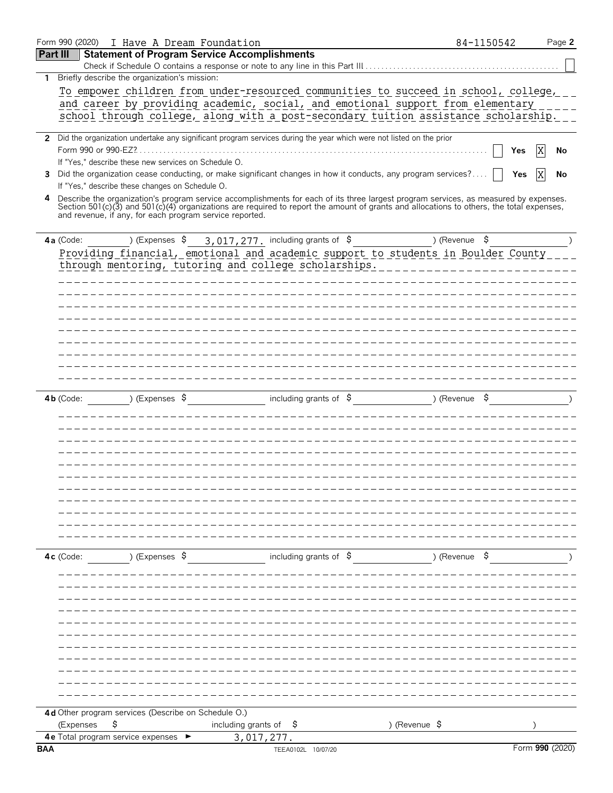|                 | Form 990 (2020) I Have A Dream Foundation               |                                                                                                                                          | 84-1150542    | Page 2          |
|-----------------|---------------------------------------------------------|------------------------------------------------------------------------------------------------------------------------------------------|---------------|-----------------|
| <b>Part III</b> |                                                         | <b>Statement of Program Service Accomplishments</b>                                                                                      |               |                 |
|                 |                                                         |                                                                                                                                          |               |                 |
| 1               | Briefly describe the organization's mission:            |                                                                                                                                          |               |                 |
|                 |                                                         | To empower children from under-resourced communities to succeed in school, college,                                                      |               |                 |
|                 |                                                         | and career by providing academic, social, and emotional support from elementary                                                          |               |                 |
|                 |                                                         | school through college, along with a post-secondary tuition assistance scholarship.                                                      |               |                 |
|                 |                                                         | 2 Did the organization undertake any significant program services during the year which were not listed on the prior                     |               |                 |
|                 | Form 990 or 990-EZ?                                     |                                                                                                                                          |               | Χ<br>Yes<br>No  |
|                 | If "Yes," describe these new services on Schedule O.    |                                                                                                                                          |               |                 |
| 3               |                                                         | Did the organization cease conducting, or make significant changes in how it conducts, any program services?                             |               | Yes<br>No       |
|                 | If "Yes," describe these changes on Schedule O.         |                                                                                                                                          |               |                 |
|                 |                                                         | 4 Describe the organization's program service accomplishments for each of its three largest program services, as measured by expenses.   |               |                 |
|                 | and revenue, if any, for each program service reported. | Section 501(c)(3) and 501(c)(4) organizations are required to report the amount of grants and allocations to others, the total expenses, |               |                 |
|                 |                                                         |                                                                                                                                          |               |                 |
|                 | 4a (Code:                                               | ) (Expenses $\frac{1}{2}$ 3, 017, 277, including grants of $\frac{1}{2}$                                                                 | ) (Revenue \$ |                 |
|                 |                                                         | Providing financial, emotional and academic support to students in Boulder County                                                        |               |                 |
|                 |                                                         | through mentoring, tutoring and college scholarships. __________________________                                                         |               |                 |
|                 |                                                         | ___________                                                                                                                              |               |                 |
|                 |                                                         |                                                                                                                                          |               |                 |
|                 |                                                         |                                                                                                                                          |               |                 |
|                 |                                                         |                                                                                                                                          |               |                 |
|                 |                                                         |                                                                                                                                          |               |                 |
|                 |                                                         |                                                                                                                                          |               |                 |
|                 |                                                         |                                                                                                                                          |               |                 |
|                 |                                                         |                                                                                                                                          |               |                 |
|                 |                                                         |                                                                                                                                          |               |                 |
|                 |                                                         |                                                                                                                                          |               |                 |
|                 |                                                         |                                                                                                                                          |               |                 |
|                 |                                                         |                                                                                                                                          |               |                 |
|                 |                                                         |                                                                                                                                          |               |                 |
|                 |                                                         |                                                                                                                                          |               |                 |
|                 |                                                         |                                                                                                                                          |               |                 |
|                 |                                                         |                                                                                                                                          |               |                 |
|                 |                                                         |                                                                                                                                          |               |                 |
|                 |                                                         |                                                                                                                                          |               |                 |
|                 |                                                         |                                                                                                                                          |               |                 |
|                 |                                                         |                                                                                                                                          |               |                 |
|                 |                                                         |                                                                                                                                          |               |                 |
|                 |                                                         |                                                                                                                                          |               |                 |
|                 | ) (Expenses \$<br>$4c$ (Code:                           | including grants of $\sharp$                                                                                                             | ) (Revenue \$ |                 |
|                 |                                                         |                                                                                                                                          |               |                 |
|                 |                                                         |                                                                                                                                          |               |                 |
|                 |                                                         |                                                                                                                                          |               |                 |
|                 |                                                         |                                                                                                                                          |               |                 |
|                 |                                                         |                                                                                                                                          |               |                 |
|                 |                                                         |                                                                                                                                          |               |                 |
|                 |                                                         |                                                                                                                                          |               |                 |
|                 |                                                         |                                                                                                                                          |               |                 |
|                 |                                                         |                                                                                                                                          |               |                 |
|                 |                                                         |                                                                                                                                          |               |                 |
|                 |                                                         |                                                                                                                                          |               |                 |
|                 | 4d Other program services (Describe on Schedule O.)     |                                                                                                                                          |               |                 |
|                 | \$<br>(Expenses                                         | including grants of<br>) (Revenue \$<br>Ş                                                                                                |               |                 |
|                 | 4e Total program service expenses                       | 3,017,277.                                                                                                                               |               |                 |
| <b>BAA</b>      |                                                         | TEEA0102L 10/07/20                                                                                                                       |               | Form 990 (2020) |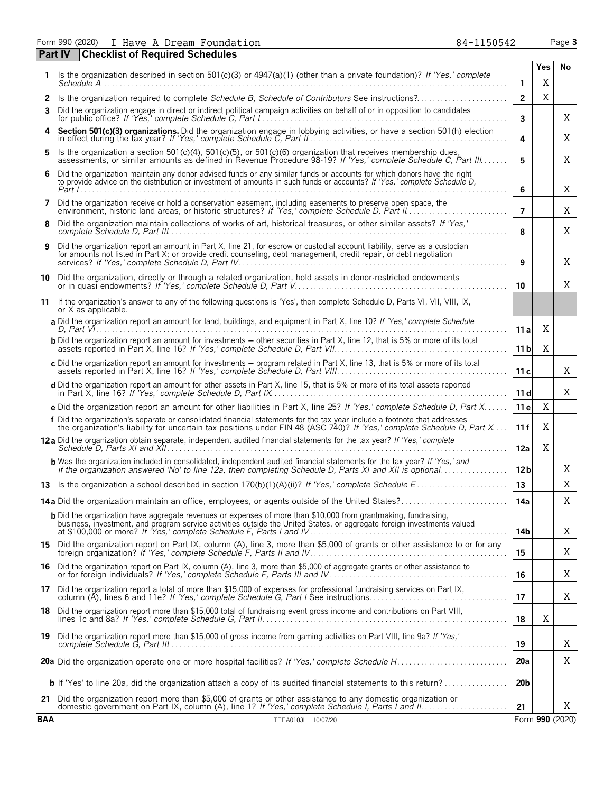Form 990 (2020) I Have A Dream Foundation 84-1150542 Page **3** I Have A Dream Foundation 84-1150542

|            | <b>Checklist of Required Schedules</b><br>Part IV                                                                                                                                                                                                   |                 |             |                 |
|------------|-----------------------------------------------------------------------------------------------------------------------------------------------------------------------------------------------------------------------------------------------------|-----------------|-------------|-----------------|
|            | Is the organization described in section 501(c)(3) or 4947(a)(1) (other than a private foundation)? If 'Yes,' complete                                                                                                                              |                 | Yes         | No              |
|            |                                                                                                                                                                                                                                                     | $\mathbf{1}$    | X           |                 |
| 2          | Is the organization required to complete Schedule B, Schedule of Contributors See instructions?                                                                                                                                                     | $\overline{2}$  | $\mathbf X$ |                 |
| 3          | Did the organization engage in direct or indirect political campaign activities on behalf of or in opposition to candidates                                                                                                                         | 3               |             | Χ               |
|            | Section 501(c)(3) organizations. Did the organization engage in lobbying activities, or have a section 501(h) election in effect during the tax year? If 'Yes,' complete Schedule C, Part II                                                        | 4               |             | Χ               |
| 5.         | Is the organization a section 501(c)(4), 501(c)(5), or 501(c)(6) organization that receives membership dues, assessments, or similar amounts as defined in Revenue Procedure 98-19? If 'Yes,' complete Schedule C, Part III                         | 5               |             | Χ               |
| 6          | Did the organization maintain any donor advised funds or any similar funds or accounts for which donors have the right<br>to provide advice on the distribution or investment of amounts in such funds or accounts? If 'Yes,' complete Schedule D,  | 6               |             | Χ               |
| 7          | Did the organization receive or hold a conservation easement, including easements to preserve open space, the                                                                                                                                       | $\overline{7}$  |             | Χ               |
| 8          | Did the organization maintain collections of works of art, historical treasures, or other similar assets? If 'Yes,'                                                                                                                                 | 8               |             | X               |
| 9          | Did the organization report an amount in Part X, line 21, for escrow or custodial account liability, serve as a custodian<br>for amounts not listed in Part X; or provide credit counseling, debt management, credit repair, or debt negotiation    | 9               |             | X               |
| 10         | Did the organization, directly or through a related organization, hold assets in donor-restricted endowments                                                                                                                                        | 10              |             | Χ               |
| 11         | If the organization's answer to any of the following questions is 'Yes', then complete Schedule D, Parts VI, VII, VIII, IX,<br>or X as applicable.                                                                                                  |                 |             |                 |
|            | a Did the organization report an amount for land, buildings, and equipment in Part X, line 10? If 'Yes,' complete Schedule                                                                                                                          | 11 a            | X           |                 |
|            | <b>b</b> Did the organization report an amount for investments – other securities in Part X, line 12, that is 5% or more of its total                                                                                                               | 11 <sub>b</sub> | Χ           |                 |
|            | c Did the organization report an amount for investments - program related in Part X, line 13, that is 5% or more of its total                                                                                                                       | 11c             |             | Χ               |
|            | d Did the organization report an amount for other assets in Part X, line 15, that is 5% or more of its total assets reported                                                                                                                        | 11d             |             | Χ               |
|            | e Did the organization report an amount for other liabilities in Part X, line 25? If 'Yes,' complete Schedule D, Part X                                                                                                                             | 11 e            | X           |                 |
|            | f Did the organization's separate or consolidated financial statements for the tax year include a footnote that addresses<br>the organization's liability for uncertain tax positions under FIN 48 (ASC 740)? If 'Yes,' complete Schedule D, Part X | 11 f            | X           |                 |
|            | 12 a Did the organization obtain separate, independent audited financial statements for the tax year? If 'Yes,' complete                                                                                                                            | 12a             | X           |                 |
|            | <b>b</b> Was the organization included in consolidated, independent audited financial statements for the tax year? If 'Yes,' and                                                                                                                    | 12 <sub>b</sub> |             | Χ               |
|            |                                                                                                                                                                                                                                                     | 13              |             | X               |
|            | 14a Did the organization maintain an office, employees, or agents outside of the United States?                                                                                                                                                     | 14a             |             | X               |
|            | <b>b</b> Did the organization have aggregate revenues or expenses of more than \$10,000 from grantmaking, fundraising,<br>business, investment, and program service activities outside the United States, or aggregate foreign investments valued   | 14b             |             | X               |
|            | 15 Did the organization report on Part IX, column (A), line 3, more than \$5,000 of grants or other assistance to or for any foreign organization? If 'Yes,' complete Schedule F, Parts II and IV                                                   | 15              |             | Χ               |
|            | 16 Did the organization report on Part IX, column (A), line 3, more than \$5,000 of aggregate grants or other assistance to<br>or for foreign individuals? If 'Yes,' complete Schedule F, Parts III and IV                                          | 16              |             | Χ               |
|            | 17 Did the organization report a total of more than \$15,000 of expenses for professional fundraising services on Part IX,<br>column (A), lines 6 and 11e? If 'Yes,' complete Schedule G, Part I See instructions                                   | 17              |             | Χ               |
|            | 18 Did the organization report more than \$15,000 total of fundraising event gross income and contributions on Part VIII,                                                                                                                           | 18              | Χ           |                 |
|            | 19 Did the organization report more than \$15,000 of gross income from gaming activities on Part VIII, line 9a? If 'Yes,'                                                                                                                           | 19              |             | Χ               |
|            |                                                                                                                                                                                                                                                     | 20a             |             | Χ               |
|            | <b>b</b> If 'Yes' to line 20a, did the organization attach a copy of its audited financial statements to this return?                                                                                                                               | 20 <sub>b</sub> |             |                 |
|            | 21 Did the organization report more than \$5,000 of grants or other assistance to any domestic organization or                                                                                                                                      | 21              |             | X               |
| <b>BAA</b> | TEEA0103L 10/07/20                                                                                                                                                                                                                                  |                 |             | Form 990 (2020) |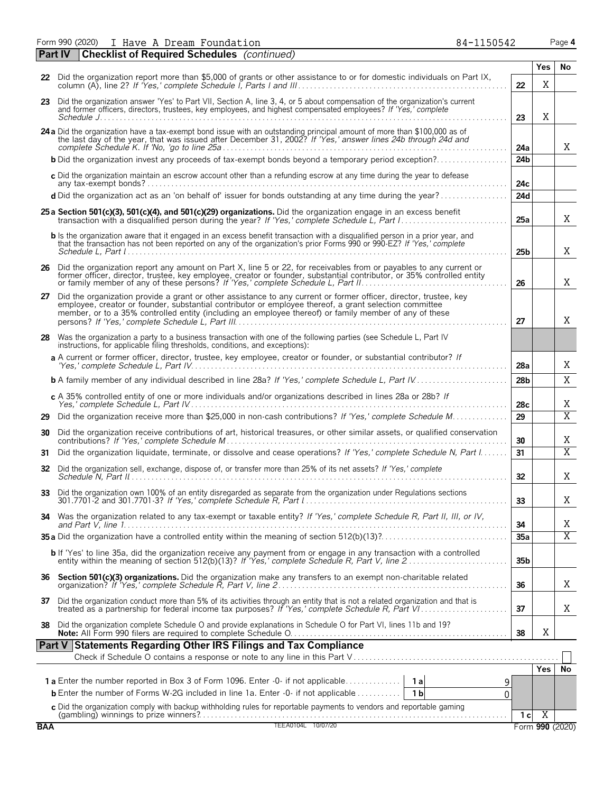Form 990 (2020) I Have A Dream Foundation 84-1150542 Page **4** I Have A Dream Foundation 84-1150542

|            | <b>Checklist of Required Schedules</b> (continued)<br>  Part IV                                                                                                                                                                                                                                                                       |                 |                 |                |
|------------|---------------------------------------------------------------------------------------------------------------------------------------------------------------------------------------------------------------------------------------------------------------------------------------------------------------------------------------|-----------------|-----------------|----------------|
|            |                                                                                                                                                                                                                                                                                                                                       |                 | <b>Yes</b>      | No             |
|            | 22 Did the organization report more than \$5,000 of grants or other assistance to or for domestic individuals on Part IX,                                                                                                                                                                                                             | 22              | X               |                |
|            | 23 Did the organization answer 'Yes' to Part VII, Section A, line 3, 4, or 5 about compensation of the organization's current<br>and former officers, directors, trustees, key employees, and highest compensated employees? If 'Yes,' complete                                                                                       | 23              | X               |                |
|            | 24 a Did the organization have a tax-exempt bond issue with an outstanding principal amount of more than \$100,000 as of the last day of the year, that was issued after December 31, 2002? If 'Yes,' answer lines 24b through                                                                                                        | 24a             |                 | X              |
|            | <b>b</b> Did the organization invest any proceeds of tax-exempt bonds beyond a temporary period exception?                                                                                                                                                                                                                            | 24 <sub>b</sub> |                 |                |
|            | c Did the organization maintain an escrow account other than a refunding escrow at any time during the year to defease                                                                                                                                                                                                                | 24c             |                 |                |
|            | d Did the organization act as an 'on behalf of' issuer for bonds outstanding at any time during the year?                                                                                                                                                                                                                             | 24d             |                 |                |
|            | 25 a Section 501(c)(3), 501(c)(4), and 501(c)(29) organizations. Did the organization engage in an excess benefit                                                                                                                                                                                                                     | 25a             |                 | X              |
|            | <b>b</b> Is the organization aware that it engaged in an excess benefit transaction with a disqualified person in a prior year, and<br>that the transaction has not been reported on any of the organization's prior Forms 990 or 990-EZ? If 'Yes,' complete                                                                          | 25 <sub>b</sub> |                 | X              |
|            | 26 Did the organization report any amount on Part X, line 5 or 22, for receivables from or payables to any current or<br>former officer, director, trustee, key employee, creator or founder, substantial contributor, or 35% controlled entity<br>or family member of any of these persons? If 'Yes,' complete Schedule L, Part II   | 26              |                 | Χ              |
| 27         | Did the organization provide a grant or other assistance to any current or former officer, director, trustee, key<br>employee, creator or founder, substantial contributor or employee thereof, a grant selection committee<br>member, or to a 35% controlled entity (including an employee thereof) or family member of any of these | 27              |                 | X              |
| 28         | Was the organization a party to a business transaction with one of the following parties (see Schedule L, Part IV<br>instructions, for applicable filing thresholds, conditions, and exceptions):                                                                                                                                     |                 |                 |                |
|            | a A current or former officer, director, trustee, key employee, creator or founder, or substantial contributor? If                                                                                                                                                                                                                    | 28a             |                 | Χ              |
|            | <b>b</b> A family member of any individual described in line 28a? If 'Yes,' complete Schedule L, Part IV                                                                                                                                                                                                                              | 28 <sub>b</sub> |                 | X              |
|            | c A 35% controlled entity of one or more individuals and/or organizations described in lines 28a or 28b? If                                                                                                                                                                                                                           | 28c             |                 | Χ              |
| 29         | Did the organization receive more than \$25,000 in non-cash contributions? If 'Yes,' complete Schedule M                                                                                                                                                                                                                              | 29              |                 | $\overline{X}$ |
| 30         | Did the organization receive contributions of art, historical treasures, or other similar assets, or qualified conservation                                                                                                                                                                                                           | 30              |                 | Χ              |
| 31         | Did the organization liquidate, terminate, or dissolve and cease operations? If 'Yes,' complete Schedule N, Part I                                                                                                                                                                                                                    | 31              |                 | $\overline{X}$ |
| 32         | Did the organization sell, exchange, dispose of, or transfer more than 25% of its net assets? If 'Yes,' complete                                                                                                                                                                                                                      | 32              |                 | Χ              |
| 33         | Did the organization own 100% of an entity disregarded as separate from the organization under Regulations sections                                                                                                                                                                                                                   | 33              |                 | Χ              |
|            | 34 Was the organization related to any tax-exempt or taxable entity? If 'Yes,' complete Schedule R, Part II, III, or IV,                                                                                                                                                                                                              | 34              |                 | Χ              |
|            |                                                                                                                                                                                                                                                                                                                                       | 35a             |                 | $\overline{X}$ |
|            | b If 'Yes' to line 35a, did the organization receive any payment from or engage in any transaction with a controlled<br>entity within the meaning of section 512(b)(13)? If 'Yes,' complete Schedule R, Part V, line 2                                                                                                                | 35 <sub>b</sub> |                 |                |
|            |                                                                                                                                                                                                                                                                                                                                       | 36              |                 | X              |
|            | 37 Did the organization conduct more than 5% of its activities through an entity that is not a related organization and that is treated as a partnership for federal income tax purposes? If 'Yes,' complete Schedule R, Part                                                                                                         | 37              |                 | Χ              |
| 38         | Did the organization complete Schedule O and provide explanations in Schedule O for Part VI, lines 11b and 19?                                                                                                                                                                                                                        | 38              | X               |                |
|            | Part V Statements Regarding Other IRS Filings and Tax Compliance                                                                                                                                                                                                                                                                      |                 |                 |                |
|            |                                                                                                                                                                                                                                                                                                                                       |                 | Yes l           | No             |
|            |                                                                                                                                                                                                                                                                                                                                       | 9               |                 |                |
|            | <b>b</b> Enter the number of Forms W-2G included in line 1a. Enter -0- if not applicable<br>1 <sub>b</sub>                                                                                                                                                                                                                            | 0               |                 |                |
|            | C Did the organization comply with backup withholding rules for reportable payments to vendors and reportable gaming<br>(gambling) winnings to prize winners?<br>TEEA0104L 10/07/20                                                                                                                                                   | 1 <sub>c</sub>  | $\overline{X}$  |                |
| <b>BAA</b> |                                                                                                                                                                                                                                                                                                                                       |                 | Form 990 (2020) |                |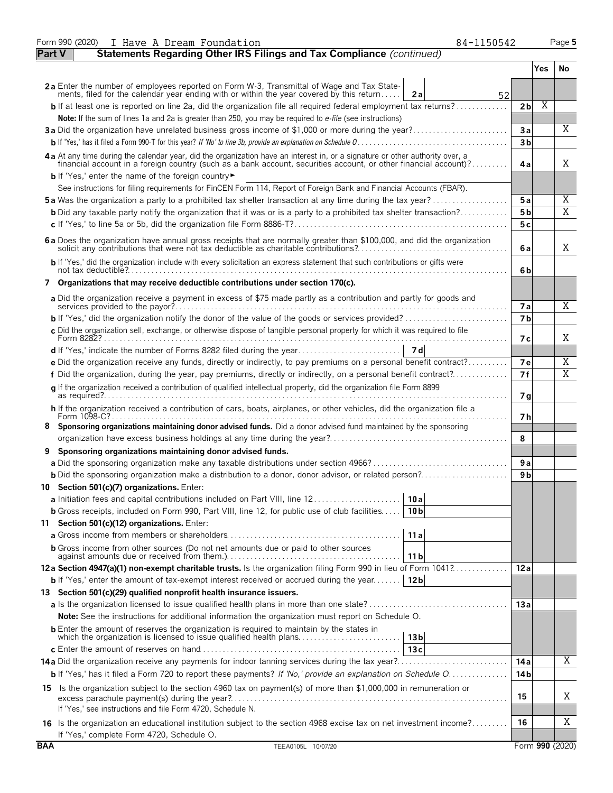|               | Form 990 (2020)<br>84-1150542<br>I Have A Dream Foundation                                                                                                                                                                                       |                 |     | Page 5          |
|---------------|--------------------------------------------------------------------------------------------------------------------------------------------------------------------------------------------------------------------------------------------------|-----------------|-----|-----------------|
| <b>Part V</b> | Statements Regarding Other IRS Filings and Tax Compliance (continued)                                                                                                                                                                            |                 |     |                 |
|               |                                                                                                                                                                                                                                                  |                 | Yes | No              |
|               | 2a Enter the number of employees reported on Form W-3, Transmittal of Wage and Tax State-                                                                                                                                                        |                 |     |                 |
|               | ments, filed for the calendar year ending with or within the year covered by this return<br>2a<br>52                                                                                                                                             |                 |     |                 |
|               | $\mathbf b$ If at least one is reported on line 2a, did the organization file all required federal employment tax returns?                                                                                                                       | 2 <sub>b</sub>  | Χ   |                 |
|               | Note: If the sum of lines 1a and 2a is greater than 250, you may be required to e-file (see instructions)<br>3a Did the organization have unrelated business gross income of \$1,000 or more during the year?                                    | 3a              |     | $\overline{X}$  |
|               |                                                                                                                                                                                                                                                  | 3 <sub>b</sub>  |     |                 |
|               |                                                                                                                                                                                                                                                  |                 |     |                 |
|               | 4a At any time during the calendar year, did the organization have an interest in, or a signature or other authority over, a<br>financial account in a foreign country (such as a bank account, securities account, or other financial account)? | 4a              |     | X               |
|               | b If 'Yes,' enter the name of the foreign country<br>See instructions for filing requirements for FinCEN Form 114, Report of Foreign Bank and Financial Accounts (FBAR).                                                                         |                 |     |                 |
|               | <b>5a</b> Was the organization a party to a prohibited tax shelter transaction at any time during the tax year?                                                                                                                                  | 5a              |     | Χ               |
|               | <b>b</b> Did any taxable party notify the organization that it was or is a party to a prohibited tax shelter transaction?                                                                                                                        | 5 <sub>b</sub>  |     | $\overline{X}$  |
|               |                                                                                                                                                                                                                                                  | 5c              |     |                 |
|               |                                                                                                                                                                                                                                                  |                 |     |                 |
|               | 6a Does the organization have annual gross receipts that are normally greater than \$100,000, and did the organization                                                                                                                           | 6a              |     | X               |
|               | b If 'Yes,' did the organization include with every solicitation an express statement that such contributions or gifts were                                                                                                                      | 6b              |     |                 |
|               | 7 Organizations that may receive deductible contributions under section 170(c).                                                                                                                                                                  |                 |     |                 |
|               | a Did the organization receive a payment in excess of \$75 made partly as a contribution and partly for goods and                                                                                                                                | <b>7a</b>       |     | Χ               |
|               |                                                                                                                                                                                                                                                  | 7 <sub>b</sub>  |     |                 |
|               | c Did the organization sell, exchange, or otherwise dispose of tangible personal property for which it was required to file                                                                                                                      |                 |     |                 |
|               |                                                                                                                                                                                                                                                  | 7 с             |     | X               |
|               |                                                                                                                                                                                                                                                  |                 |     |                 |
|               | e Did the organization receive any funds, directly or indirectly, to pay premiums on a personal benefit contract?                                                                                                                                | 7е              |     | Χ               |
|               | f Did the organization, during the year, pay premiums, directly or indirectly, on a personal benefit contract?                                                                                                                                   | 7f              |     | X               |
|               | g If the organization received a contribution of qualified intellectual property, did the organization file Form 8899                                                                                                                            | 7 <sub>q</sub>  |     |                 |
|               | h If the organization received a contribution of cars, boats, airplanes, or other vehicles, did the organization file a<br>Form 1098-C?                                                                                                          | 7 h             |     |                 |
| 8.            | Sponsoring organizations maintaining donor advised funds. Did a donor advised fund maintained by the sponsoring                                                                                                                                  |                 |     |                 |
|               |                                                                                                                                                                                                                                                  | 8               |     |                 |
| 9             | Sponsoring organizations maintaining donor advised funds.                                                                                                                                                                                        |                 |     |                 |
|               |                                                                                                                                                                                                                                                  | 9a              |     |                 |
|               |                                                                                                                                                                                                                                                  | 9 b             |     |                 |
|               | 10 Section 501(c)(7) organizations. Enter:                                                                                                                                                                                                       |                 |     |                 |
|               | a Initiation fees and capital contributions included on Part VIII, line 12<br>10 a                                                                                                                                                               |                 |     |                 |
|               | <b>b</b> Gross receipts, included on Form 990, Part VIII, line 12, for public use of club facilities<br>10 <sub>b</sub>                                                                                                                          |                 |     |                 |
|               | 11 Section 501(c)(12) organizations. Enter:                                                                                                                                                                                                      |                 |     |                 |
|               | 11 a                                                                                                                                                                                                                                             |                 |     |                 |
|               | <b>b</b> Gross income from other sources (Do not net amounts due or paid to other sources<br>11 b                                                                                                                                                |                 |     |                 |
|               | 12a Section 4947(a)(1) non-exempt charitable trusts. Is the organization filing Form 990 in lieu of Form 1041?                                                                                                                                   | 12a             |     |                 |
|               | <b>b</b> If 'Yes,' enter the amount of tax-exempt interest received or accrued during the year<br>12 bl                                                                                                                                          |                 |     |                 |
|               | 13 Section 501(c)(29) qualified nonprofit health insurance issuers.                                                                                                                                                                              |                 |     |                 |
|               |                                                                                                                                                                                                                                                  | 13a             |     |                 |
|               | <b>Note:</b> See the instructions for additional information the organization must report on Schedule O.                                                                                                                                         |                 |     |                 |
|               | <b>b</b> Enter the amount of reserves the organization is required to maintain by the states in<br>13 <sub>b</sub>                                                                                                                               |                 |     |                 |
|               | 13c                                                                                                                                                                                                                                              |                 |     |                 |
|               |                                                                                                                                                                                                                                                  | 14 a            |     | X               |
|               | <b>b</b> If 'Yes,' has it filed a Form 720 to report these payments? If 'No,' provide an explanation on Schedule O.                                                                                                                              | 14 <sub>b</sub> |     |                 |
|               | 15 Is the organization subject to the section 4960 tax on payment(s) of more than \$1,000,000 in remuneration or                                                                                                                                 | 15              |     | Χ               |
|               | If 'Yes,' see instructions and file Form 4720, Schedule N.                                                                                                                                                                                       |                 |     |                 |
|               |                                                                                                                                                                                                                                                  | 16              |     | X               |
|               | 16 Is the organization an educational institution subject to the section 4968 excise tax on net investment income?<br>If 'Yes,' complete Form 4720, Schedule O.                                                                                  |                 |     |                 |
| <b>BAA</b>    | TEEA0105L 10/07/20                                                                                                                                                                                                                               |                 |     | Form 990 (2020) |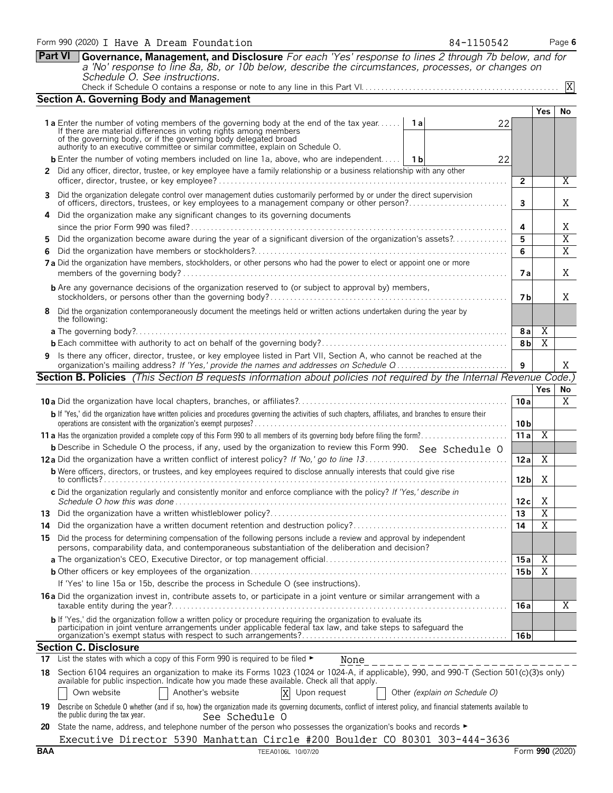| Form 990 (2020) I Have A Dream Foundation                                                                   | 84-1150542 | Page 6 |
|-------------------------------------------------------------------------------------------------------------|------------|--------|
| Part VI Governance, Management, and Disclosure For each 'Yes' response to lines 2 through 7b below, and for |            |        |
| a 'No' response to line 8a, 8b, or 10b below, describe the circumstances, processes, or changes on          |            |        |
| Schedule O. See instructions.                                                                               |            |        |

| Schedule O. See instructions.                                                |
|------------------------------------------------------------------------------|
| Check if Schedule O contains a response or note to any line in this Part VI. |

|     | <b>Section A. Governing Body and Management</b>                                                                                                                                                                                                                                                                                |                 |                         |                |
|-----|--------------------------------------------------------------------------------------------------------------------------------------------------------------------------------------------------------------------------------------------------------------------------------------------------------------------------------|-----------------|-------------------------|----------------|
|     |                                                                                                                                                                                                                                                                                                                                |                 | Yes                     | No             |
|     | 1a Enter the number of voting members of the governing body at the end of the tax year<br>1 a<br>22<br>If there are material differences in voting rights among members<br>of the governing body, or if the governing body delegated broad<br>authority to an executive committee or similar committee, explain on Schedule O. |                 |                         |                |
|     |                                                                                                                                                                                                                                                                                                                                |                 |                         |                |
|     | <b>b</b> Enter the number of voting members included on line 1a, above, who are independent   1b<br>22                                                                                                                                                                                                                         |                 |                         |                |
|     | 2 Did any officer, director, trustee, or key employee have a family relationship or a business relationship with any other                                                                                                                                                                                                     | $\overline{2}$  |                         | Χ              |
|     | 3 Did the organization delegate control over management duties customarily performed by or under the direct supervision<br>of officers, directors, trustees, or key employees to a management company or other person?                                                                                                         | $\mathbf{3}$    |                         | X              |
|     | 4 Did the organization make any significant changes to its governing documents                                                                                                                                                                                                                                                 | 4               |                         | Χ              |
|     | Did the organization become aware during the year of a significant diversion of the organization's assets?<br>5.                                                                                                                                                                                                               | 5               |                         | $\overline{X}$ |
|     | 6.                                                                                                                                                                                                                                                                                                                             | 6               |                         | $\overline{X}$ |
|     | 7 a Did the organization have members, stockholders, or other persons who had the power to elect or appoint one or more                                                                                                                                                                                                        | 7 a             |                         | Χ              |
|     | <b>b</b> Are any governance decisions of the organization reserved to (or subject to approval by) members,                                                                                                                                                                                                                     | 7 b             |                         | Χ              |
|     | 8 Did the organization contemporaneously document the meetings held or written actions undertaken during the year by                                                                                                                                                                                                           |                 |                         |                |
|     | the following:                                                                                                                                                                                                                                                                                                                 |                 |                         |                |
|     |                                                                                                                                                                                                                                                                                                                                | 8 a             | Χ                       |                |
|     |                                                                                                                                                                                                                                                                                                                                | 8 <sub>b</sub>  | $\overline{X}$          |                |
|     | 9 Is there any officer, director, trustee, or key employee listed in Part VII, Section A, who cannot be reached at the<br>organization's mailing address? If 'Yes,' provide the names and addresses on Schedule Q                                                                                                              | 9               |                         | X              |
|     | <b>Section B. Policies</b> (This Section B requests information about policies not required by the Internal Revenue Code.)                                                                                                                                                                                                     |                 |                         |                |
|     |                                                                                                                                                                                                                                                                                                                                |                 | <b>Yes</b>              | No             |
|     |                                                                                                                                                                                                                                                                                                                                | 10a             |                         | X              |
|     | b If 'Yes,' did the organization have written policies and procedures governing the activities of such chapters, affiliates, and branches to ensure their                                                                                                                                                                      | 10 <sub>b</sub> |                         |                |
|     |                                                                                                                                                                                                                                                                                                                                | 11a             | $\overline{X}$          |                |
|     | <b>b</b> Describe in Schedule O the process, if any, used by the organization to review this Form 990. See Schedule O                                                                                                                                                                                                          |                 |                         |                |
|     |                                                                                                                                                                                                                                                                                                                                | 12a             | Χ                       |                |
|     | <b>b</b> Were officers, directors, or trustees, and key employees required to disclose annually interests that could give rise                                                                                                                                                                                                 |                 |                         |                |
|     |                                                                                                                                                                                                                                                                                                                                | 12 <sub>b</sub> | Χ                       |                |
|     | c Did the organization regularly and consistently monitor and enforce compliance with the policy? If 'Yes,' describe in                                                                                                                                                                                                        | 12c             | X                       |                |
|     |                                                                                                                                                                                                                                                                                                                                | 13              | $\overline{X}$          |                |
| 14. |                                                                                                                                                                                                                                                                                                                                | 14              | $\overline{X}$          |                |
|     | 15 Did the process for determining compensation of the following persons include a review and approval by independent<br>persons, comparability data, and contemporaneous substantiation of the deliberation and decision?                                                                                                     |                 |                         |                |
|     |                                                                                                                                                                                                                                                                                                                                | 15 a            | Χ                       |                |
|     |                                                                                                                                                                                                                                                                                                                                | 15 b            | $\overline{\mathbf{X}}$ |                |
|     | If 'Yes' to line 15a or 15b, describe the process in Schedule O (see instructions).                                                                                                                                                                                                                                            |                 |                         |                |
|     | 16 a Did the organization invest in, contribute assets to, or participate in a joint venture or similar arrangement with a                                                                                                                                                                                                     | 16 a            |                         | X              |
|     | b If 'Yes,' did the organization follow a written policy or procedure requiring the organization to evaluate its<br>participation in joint venture arrangements under applicable federal tax law, and take steps to safeguard the                                                                                              |                 |                         |                |
|     |                                                                                                                                                                                                                                                                                                                                | 16 b            |                         |                |
|     | <b>Section C. Disclosure</b>                                                                                                                                                                                                                                                                                                   |                 |                         |                |
|     | 17 List the states with which a copy of this Form 990 is required to be filed $\blacktriangleright$<br>None                                                                                                                                                                                                                    |                 |                         |                |
|     | 18 Section 6104 requires an organization to make its Forms 1023 (1024 or 1024-A, if applicable), 990, and 990-T (Section 501(c)(3)s only)<br>available for public inspection. Indicate how you made these available. Check all that apply.                                                                                     |                 |                         |                |
|     | Another's website<br>Own website<br>Upon request<br>Other (explain on Schedule O)                                                                                                                                                                                                                                              |                 |                         |                |
| 19  | Describe on Schedule O whether (and if so, how) the organization made its governing documents, conflict of interest policy, and financial statements available to<br>the public during the tax year.<br>See Schedule O                                                                                                         |                 |                         |                |

X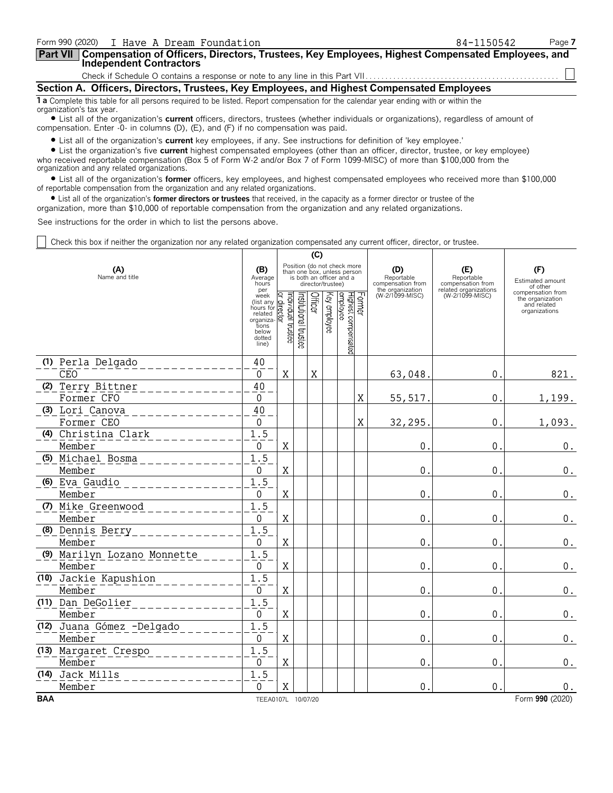| Form 990 (2020) I Have A Dream Foundation                                                                                                                      | 84-1150542 | Page 7 |  |  |  |  |  |
|----------------------------------------------------------------------------------------------------------------------------------------------------------------|------------|--------|--|--|--|--|--|
| Part VII   Compensation of Officers, Directors, Trustees, Key Employees, Highest Compensated Employees, and<br><b>Independent Contractors</b>                  |            |        |  |  |  |  |  |
|                                                                                                                                                                |            |        |  |  |  |  |  |
| Section A. Officers, Directors, Trustees, Key Employees, and Highest Compensated Employees                                                                     |            |        |  |  |  |  |  |
| 1 a Complete this table for all persons required to be listed. Report compensation for the calendar year ending with or within the<br>organization's tax year. |            |        |  |  |  |  |  |

? List all of the organization's **current** officers, directors, trustees (whether individuals or organizations), regardless of amount of compensation. Enter -0- in columns (D), (E), and (F) if no compensation was paid.

? List all of the organization's **current** key employees, if any. See instructions for definition of 'key employee.'

? List the organization's five **current** highest compensated employees (other than an officer, director, trustee, or key employee) who received reportable compensation (Box 5 of Form W-2 and/or Box 7 of Form 1099-MISC) of more than \$100,000 from the organization and any related organizations.

? List all of the organization's **former** officers, key employees, and highest compensated employees who received more than \$100,000 of reportable compensation from the organization and any related organizations.

? List all of the organization's **former directors or trustees** that received, in the capacity as a former director or trustee of the

organization, more than \$10,000 of reportable compensation from the organization and any related organizations.

See instructions for the order in which to list the persons above.

Check this box if neither the organization nor any related organization compensated any current officer, director, or trustee.

|            |                             |                                                                                             | (C)                               |                      |             |                                                                                                             |                                            |   |                                                            |                                          |                                                                       |
|------------|-----------------------------|---------------------------------------------------------------------------------------------|-----------------------------------|----------------------|-------------|-------------------------------------------------------------------------------------------------------------|--------------------------------------------|---|------------------------------------------------------------|------------------------------------------|-----------------------------------------------------------------------|
|            | (A)<br>Name and title       | (B)<br>Average<br>hours<br>per                                                              |                                   |                      |             | Position (do not check more<br>than one box, unless person<br>is both an officer and a<br>director/trustee) |                                            |   | (D)<br>Reportable<br>compensation from<br>the organization | (E)<br>Reportable<br>compensation from   | (F)<br>Estimated amount<br>of other                                   |
|            |                             | week<br>(list any<br>hours for<br>related<br>organiza-<br>tions<br>below<br>dotted<br>line) | Individual trustee<br>direct<br>ই | nstitutional trustee | Officer     | Key employee                                                                                                | Former<br>Highest compensated<br> employee |   | (W-2/1099-MISC)                                            | related organizations<br>(W-2/1099-MISC) | compensation from<br>the organization<br>and related<br>organizations |
|            | (1) Perla Delgado           | 40                                                                                          |                                   |                      |             |                                                                                                             |                                            |   |                                                            |                                          |                                                                       |
|            | <b>CEO</b>                  | $\mathbf{0}$                                                                                | $\mathbf X$                       |                      | $\mathbf X$ |                                                                                                             |                                            |   | 63,048.                                                    | $\mathbf{0}$ .                           | 821.                                                                  |
|            | (2) Terry Bittner           | 40                                                                                          |                                   |                      |             |                                                                                                             |                                            |   |                                                            |                                          |                                                                       |
|            | Former CFO                  | 0                                                                                           |                                   |                      |             |                                                                                                             |                                            | X | 55, 517.                                                   | $\mathbf 0$ .                            | 1,199.                                                                |
|            | (3) Lori Canova             | 40                                                                                          |                                   |                      |             |                                                                                                             |                                            |   |                                                            |                                          |                                                                       |
|            | Former CEO                  | $\mathbf 0$                                                                                 |                                   |                      |             |                                                                                                             |                                            | X | 32,295                                                     | $\mathbf{0}$ .                           | 1,093.                                                                |
|            | (4) Christina Clark         | 1.5                                                                                         |                                   |                      |             |                                                                                                             |                                            |   |                                                            |                                          |                                                                       |
|            | Member                      | 0                                                                                           | $\mathbf X$                       |                      |             |                                                                                                             |                                            |   | $\boldsymbol{0}$                                           | $\mathbf{0}$                             | $\boldsymbol{0}$ .                                                    |
|            | (5) Michael Bosma           | 1.5                                                                                         |                                   |                      |             |                                                                                                             |                                            |   |                                                            |                                          |                                                                       |
|            | Member                      | $\Omega$<br>1.5                                                                             | X                                 |                      |             |                                                                                                             |                                            |   | $\mathbf 0$                                                | $\mathbf{0}$ .                           | 0.                                                                    |
|            | (6) Eva Gaudio<br>Member    | $\mathbf{0}$                                                                                | X                                 |                      |             |                                                                                                             |                                            |   | $\mathbf 0$                                                | $\mathbf{0}$                             |                                                                       |
|            | (7) Mike Greenwood          | 1.5                                                                                         |                                   |                      |             |                                                                                                             |                                            |   |                                                            |                                          | $\boldsymbol{0}$ .                                                    |
|            | Member                      | $\mathbf 0$                                                                                 | X                                 |                      |             |                                                                                                             |                                            |   | $\mathbf 0$                                                | $\mathbf 0$                              | $\boldsymbol{0}$ .                                                    |
|            | (8) Dennis Berry            | 1.5                                                                                         |                                   |                      |             |                                                                                                             |                                            |   |                                                            |                                          |                                                                       |
|            | Member                      | $\mathbf 0$                                                                                 | X                                 |                      |             |                                                                                                             |                                            |   | $\mathbf 0$                                                | $\mathbf{0}$                             | $\boldsymbol{0}$ .                                                    |
|            | (9) Marilyn Lozano Monnette | 1.5                                                                                         |                                   |                      |             |                                                                                                             |                                            |   |                                                            |                                          |                                                                       |
|            | Member                      | $\mathbf{0}$                                                                                | $\mathbf X$                       |                      |             |                                                                                                             |                                            |   | $\mathbf 0$                                                | $\mathbf 0$                              | $\boldsymbol{0}$ .                                                    |
|            | (10) Jackie Kapushion       | 1.5                                                                                         |                                   |                      |             |                                                                                                             |                                            |   |                                                            |                                          |                                                                       |
|            | Member                      | 0                                                                                           | X                                 |                      |             |                                                                                                             |                                            |   | $\mathbf{0}$                                               | $\mathbf 0$ .                            | $\boldsymbol{0}$ .                                                    |
|            | (11) Dan DeGolier           | 1.5                                                                                         |                                   |                      |             |                                                                                                             |                                            |   |                                                            |                                          |                                                                       |
|            | Member                      | 0                                                                                           | X                                 |                      |             |                                                                                                             |                                            |   | $\mathbf{0}$                                               | $\mathbf 0$ .                            | $\boldsymbol{0}$ .                                                    |
|            | (12) Juana Gómez -Delgado   | 1.5                                                                                         |                                   |                      |             |                                                                                                             |                                            |   |                                                            |                                          |                                                                       |
|            | Member                      | 0                                                                                           | $\mathbf X$                       |                      |             |                                                                                                             |                                            |   | $\mathbf{0}$                                               | $0$ .                                    | $\boldsymbol{0}$ .                                                    |
|            | (13) Margaret Crespo        | 1.5                                                                                         |                                   |                      |             |                                                                                                             |                                            |   |                                                            |                                          |                                                                       |
|            | Member                      | 0                                                                                           | X                                 |                      |             |                                                                                                             |                                            |   | $\mathbf{0}$                                               | $\mathbf{0}$ .                           | 0.                                                                    |
|            | (14) Jack Mills             | 1.5                                                                                         |                                   |                      |             |                                                                                                             |                                            |   |                                                            |                                          |                                                                       |
|            | Member                      | 0                                                                                           | Χ                                 |                      |             |                                                                                                             |                                            |   | $\mathbf 0$                                                | $\mathbf 0$ .                            | $\boldsymbol{0}$ .                                                    |
| <b>BAA</b> |                             | TEEA0107L 10/07/20                                                                          |                                   |                      |             |                                                                                                             |                                            |   |                                                            |                                          | Form 990 (2020)                                                       |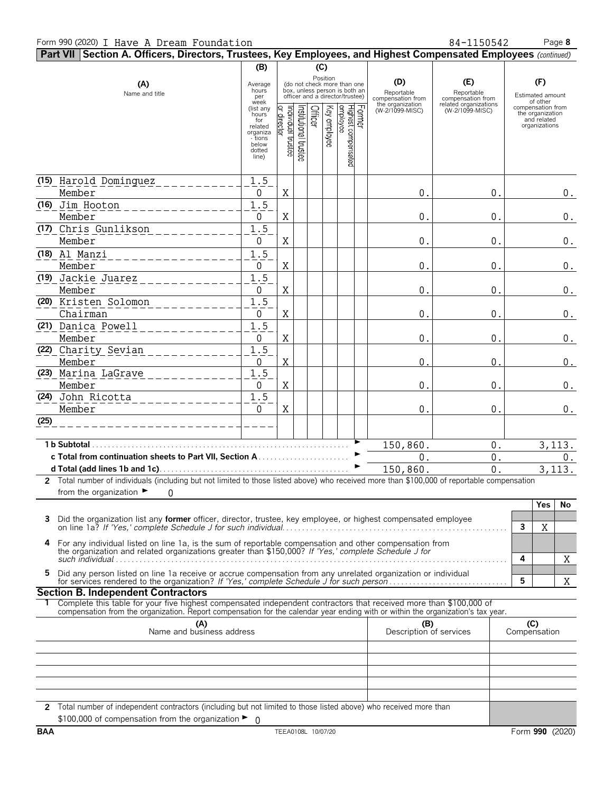**Part VII Section A. Officers, Directors, Trustees, Key Employees, and Highest Compensated Employees** *(continued)* **(B) (C)** Position<br>(do not check more than one<br>box, unless person is both an Average **(D) (E) (F) (A)** (do not check more than one hours box, unless person is both an Name and title Reportable Reportable per officer and a director/trustee) Estimated amount compensation from compensation from week of other the organization related organizations (list any compensation from (W-2/1099-MISC) (W-2/1099-MISC) hours the organization for and related related 월占등|꼭 글 동원옥 \_ \_ \_ \_ \_ \_ \_ \_ \_ \_ \_ \_ \_ \_ \_ \_ \_ organizations organiza - tions Il trustee below dotted line) **(15)** Harold Dominguez 1.5 Member 0 X 0. 0. 0. **(16)** Jim Hooton 1.5 Member 0 X 0. 0. 0. **(17)** Chris Gunlikson 1.5 Member | 0 |X| | | | | | | 0.| 0.| 0. **(18)** Al Manzi 1.5 Member 0 X 0. 0. 0. **(19)** Jackie Juarez 1.5 Member 0 X 0. 0. 0. **(20)** Kristen Solomon 1.5 Chairman 0 X 0. 0. 0. **(21)** Danica Powell 1.5 Member 0 X 0. 0. 0. **(22)** Charity Sevian 1.5 Member 0 X 0. 0. 0. **(23)** Marina LaGrave 1.5 Member 0 X 0. 0. 0. **(24)** John Ricotta 1.5 Member 0 X 0. 0. 0.**(25) 1 b Subtotal**. . . . . . . . . . . . . . . . . . . . . . . . . . . . . . . . . . . . . . . . . . . . . . . . . . . . . . . . . . . . . . . . . . G 150,860. 0. 3,113. **c Total from continuation sheets to Part VII, Section A** . . . . . . . . . . . . . . . . . . . . . . . G 0. 0. 0. **d Total (add lines 1b and 1c)**. . . . . . . . . . . . . . . . . . . . . . . . . . . . . . . . . . . . . . . . . . . . . . . . G 150,860. 0. 3,113. **2** Total number of individuals (including but not limited to those listed above) who received more than \$100,000 of reportable compensation from the organization  $\blacktriangleright$  $\Omega$ **Yes No 3** Did the organization list any **former** officer, director, trustee, key employee, or highest compensated employee on line 1a? *If 'Yes,' complete Schedule J for such individual*. . . . . . . . . . . . . . . . . . . . . . . . . . . . . . . . . . . . . . . . . . . . . . . . . . . . . . . . . **3** X **4** For any individual listed on line 1a, is the sum of reportable compensation and other compensation from the organization and related organizations greater than \$150,000? *If 'Yes,' complete Schedule J for*  $\frac{1}{2}$  and  $\frac{1}{2}$  and  $\frac{1}{2}$  and  $\frac{1}{2}$  and  $\frac{1}{2}$  and  $\frac{1}{2}$  and  $\frac{1}{2}$  and  $\frac{1}{2}$  and  $\frac{1}{2}$  and  $\frac{1}{2}$  and  $\frac{1}{2}$  and  $\frac{1}{2}$  and  $\frac{1}{2}$  and  $\frac{1}{2}$  and  $\frac{1}{2}$  and  $\frac{1}{2}$  a X 5 Did any person listed on line 1a receive or accrue compensation from any unrelated organization or individual<br>for services rendered to the organization? If 'Yes,' complete Schedule J for such person...................... X **Section B. Independent Contractors 1** Complete this table for your five highest compensated independent contractors that received more than \$100,000 of compensation from the organization. Report compensation for the calendar year ending with or within the organization's tax year. **(A) (B) (C)** Name and business address Description of services Compensation **2** Total number of independent contractors (including but not limited to those listed above) who received more than \$100,000 of compensation from the organization ▶  $\Omega$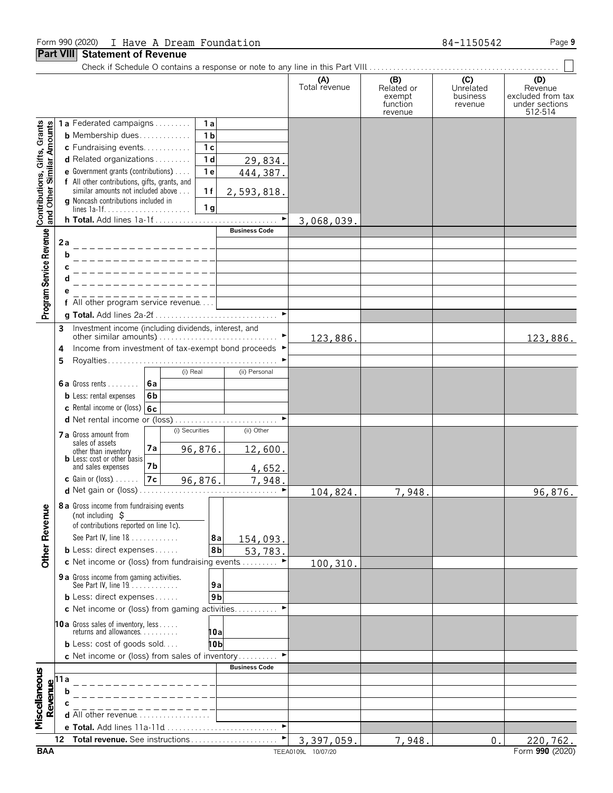#### Form 990 (2020) I Have A Dream Foundation **84-1150542** Page 9

#### **Part VIII Statement of Revenue**

Check if Schedule O contains a response or note to any line in this Part VIII. . . . . . . . . . . . . . . . . . . . . . . . . . . . . . . . . . . . . . . . . . . . . . . . .

|                                                           |                                                  |                                                                                 |    |                                  |                |                       | (A)<br>Total revenue | (B)<br>Related or  | (C)<br>Unrelated    | (D)<br>Revenue                      |
|-----------------------------------------------------------|--------------------------------------------------|---------------------------------------------------------------------------------|----|----------------------------------|----------------|-----------------------|----------------------|--------------------|---------------------|-------------------------------------|
|                                                           |                                                  |                                                                                 |    |                                  |                |                       |                      | exempt<br>function | business<br>revenue | excluded from tax<br>under sections |
|                                                           |                                                  |                                                                                 |    |                                  |                |                       |                      | revenue            |                     | 512-514                             |
| Contributions, Gifts, Grants<br>and Other Similar Amounts |                                                  | 1a Federated campaigns                                                          |    |                                  | 1a             |                       |                      |                    |                     |                                     |
|                                                           | <b>b</b> Membership dues<br>c Fundraising events |                                                                                 |    | 1 <sub>b</sub><br>1 <sub>c</sub> |                |                       |                      |                    |                     |                                     |
|                                                           |                                                  | d Related organizations                                                         |    |                                  | 1 <sub>d</sub> | 29,834.               |                      |                    |                     |                                     |
|                                                           |                                                  | e Government grants (contributions)                                             |    |                                  | 1e             | 444,387.              |                      |                    |                     |                                     |
|                                                           | f All other contributions, gifts, grants, and    |                                                                                 |    |                                  |                |                       |                      |                    |                     |                                     |
|                                                           |                                                  | similar amounts not included above<br>g Noncash contributions included in       |    |                                  | 1f             | 2,593,818.            |                      |                    |                     |                                     |
|                                                           |                                                  |                                                                                 |    |                                  | 1 <sub>g</sub> |                       |                      |                    |                     |                                     |
|                                                           |                                                  |                                                                                 |    |                                  |                | $\blacktriangleright$ | 3,068,039.           |                    |                     |                                     |
| Program Service Revenue                                   |                                                  |                                                                                 |    |                                  |                | <b>Business Code</b>  |                      |                    |                     |                                     |
|                                                           | 2a                                               | b                                                                               |    |                                  |                |                       |                      |                    |                     |                                     |
|                                                           |                                                  |                                                                                 |    |                                  |                |                       |                      |                    |                     |                                     |
|                                                           |                                                  |                                                                                 |    |                                  |                |                       |                      |                    |                     |                                     |
|                                                           |                                                  |                                                                                 |    |                                  |                |                       |                      |                    |                     |                                     |
|                                                           |                                                  | f All other program service revenue                                             |    |                                  |                |                       |                      |                    |                     |                                     |
|                                                           |                                                  |                                                                                 |    |                                  |                |                       |                      |                    |                     |                                     |
|                                                           | 3                                                | Investment income (including dividends, interest, and                           |    |                                  |                |                       |                      |                    |                     |                                     |
|                                                           | 4                                                | Income from investment of tax-exempt bond proceeds ▶                            |    |                                  |                |                       | 123,886.             |                    |                     | 123,886.                            |
|                                                           | 5                                                |                                                                                 |    |                                  |                |                       |                      |                    |                     |                                     |
|                                                           |                                                  |                                                                                 |    | (i) Real                         |                | (ii) Personal         |                      |                    |                     |                                     |
|                                                           |                                                  | <b>6a</b> Gross rents $\ldots$ ,                                                | 6a |                                  |                |                       |                      |                    |                     |                                     |
|                                                           |                                                  | <b>b</b> Less: rental expenses                                                  | 6b |                                  |                |                       |                      |                    |                     |                                     |
|                                                           |                                                  | c Rental income or (loss) 6c                                                    |    |                                  |                |                       |                      |                    |                     |                                     |
|                                                           |                                                  |                                                                                 |    | (i) Securities                   |                | (ii) Other            |                      |                    |                     |                                     |
|                                                           |                                                  | <b>7 a</b> Gross amount from<br>sales of assets                                 |    |                                  |                |                       |                      |                    |                     |                                     |
|                                                           |                                                  | other than inventory<br><b>b</b> Less: cost or other basis                      | 7a |                                  | 96,876.        | 12,600.               |                      |                    |                     |                                     |
|                                                           |                                                  | and sales expenses                                                              | 7b |                                  |                | 4,652.                |                      |                    |                     |                                     |
|                                                           |                                                  | <b>c</b> Gain or (loss) $\ldots$                                                | 7c |                                  | 96,876.        | 7,948.                |                      |                    |                     |                                     |
|                                                           |                                                  |                                                                                 |    |                                  |                |                       | 104,824.             | 7,948.             |                     | 96,876.                             |
| nue                                                       |                                                  | 8 a Gross income from fundraising events                                        |    |                                  |                |                       |                      |                    |                     |                                     |
|                                                           |                                                  | (not including $\sharp$<br>of contributions reported on line 1c).               |    |                                  |                |                       |                      |                    |                     |                                     |
| Other Reve                                                |                                                  | See Part IV, line 18                                                            |    |                                  | 8a             | 154,093.              |                      |                    |                     |                                     |
|                                                           |                                                  | <b>b</b> Less: direct expenses $\ldots$ .                                       |    |                                  | 8 <sub>b</sub> | 53,783                |                      |                    |                     |                                     |
|                                                           |                                                  | c Net income or (loss) from fundraising events                                  |    |                                  |                |                       | 100,310.             |                    |                     |                                     |
|                                                           |                                                  | 9 a Gross income from gaming activities.                                        |    |                                  |                |                       |                      |                    |                     |                                     |
|                                                           |                                                  | See Part IV, line 19                                                            |    |                                  | 9а             |                       |                      |                    |                     |                                     |
|                                                           |                                                  | <b>b</b> Less: direct expenses<br>c Net income or (loss) from gaming activities |    |                                  | 9 <sub>b</sub> |                       |                      |                    |                     |                                     |
|                                                           |                                                  |                                                                                 |    |                                  |                |                       |                      |                    |                     |                                     |
|                                                           |                                                  | <b>10a</b> Gross sales of inventory, less<br>returns and allowances.            |    |                                  | 10a            |                       |                      |                    |                     |                                     |
|                                                           |                                                  | <b>b</b> Less: $cost$ of goods $sold$                                           |    |                                  | 10b            |                       |                      |                    |                     |                                     |
|                                                           |                                                  | c Net income or (loss) from sales of inventory                                  |    |                                  |                |                       |                      |                    |                     |                                     |
|                                                           |                                                  |                                                                                 |    |                                  |                | <b>Business Code</b>  |                      |                    |                     |                                     |
| Miscellaneous                                             | 11 a<br>h                                        |                                                                                 |    |                                  |                |                       |                      |                    |                     |                                     |
| Revenue                                                   |                                                  |                                                                                 |    |                                  |                |                       |                      |                    |                     |                                     |
|                                                           |                                                  | <b>d</b> All other revenue $\ldots \ldots \ldots \ldots \ldots$                 |    |                                  |                |                       |                      |                    |                     |                                     |
|                                                           |                                                  |                                                                                 |    |                                  |                |                       |                      |                    |                     |                                     |
|                                                           | 12                                               | Total revenue. See instructions                                                 |    |                                  |                |                       | 3,397,059.           | 7,948.             | 0.                  | 220,762.                            |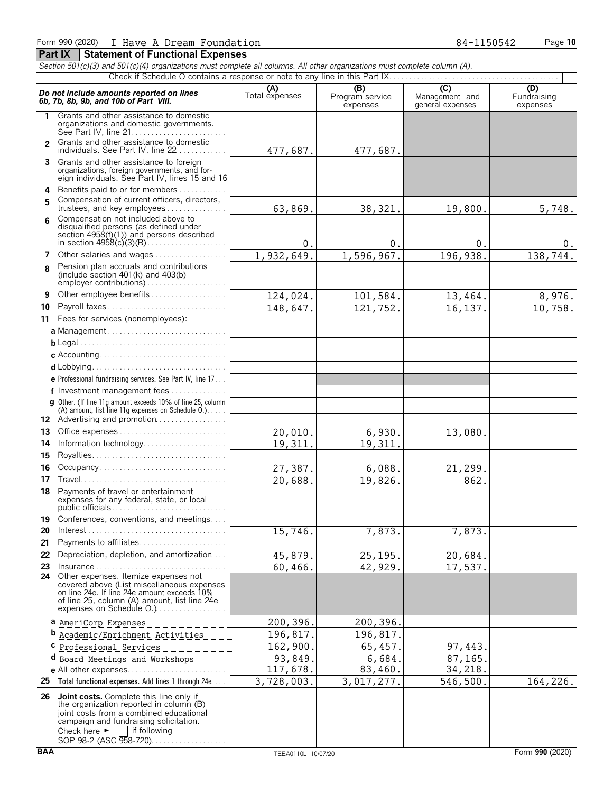|                | Section 501(c)(3) and 501(c)(4) organizations must complete all columns. All other organizations must complete column (A).                                                                                       |                |                             |                                    |                         |
|----------------|------------------------------------------------------------------------------------------------------------------------------------------------------------------------------------------------------------------|----------------|-----------------------------|------------------------------------|-------------------------|
|                |                                                                                                                                                                                                                  | (A)            | (B)                         | $\overline{C}$                     | (D)                     |
|                | Do not include amounts reported on lines<br>6b, 7b, 8b, 9b, and 10b of Part VIII.                                                                                                                                | Total expenses | Program service<br>expenses | Management and<br>general expenses | Fundraising<br>expenses |
| 1              | Grants and other assistance to domestic<br>organizations and domestic governments.                                                                                                                               |                |                             |                                    |                         |
| $\overline{2}$ | Grants and other assistance to domestic<br>individuals. See Part IV, line 22                                                                                                                                     | 477,687.       | 477,687.                    |                                    |                         |
| 3              | Grants and other assistance to foreign<br>organizations, foreign governments, and for-<br>eign individuals. See Part IV, lines 15 and 16                                                                         |                |                             |                                    |                         |
| 4<br>5         | Benefits paid to or for members<br>Compensation of current officers, directors,                                                                                                                                  |                |                             |                                    |                         |
| ĥ              | trustees, and key employees<br>Compensation not included above to<br>disqualified persons (as defined under<br>section $4958(f)(1)$ and persons described                                                        | 63,869.        | 38,321.                     | 19,800.                            | 5,748.                  |
|                |                                                                                                                                                                                                                  | $0$ .          | 0.                          | $\overline{0}$ .                   | $0$ .                   |
|                | 7 Other salaries and wages                                                                                                                                                                                       | 1,932,649.     | 1,596,967.                  | 196,938.                           | 138, 744.               |
| R              | Pension plan accruals and contributions<br>(include section $401(k)$ and $403(b)$                                                                                                                                |                |                             |                                    |                         |
| 9              | Other employee benefits                                                                                                                                                                                          | 124,024.       | 101,584.                    | 13,464.                            | 8,976.                  |
| 10             | Payroll taxes                                                                                                                                                                                                    | 148,647.       | 121,752.                    | 16,137.                            | 10,758.                 |
|                | 11 Fees for services (nonemployees):                                                                                                                                                                             |                |                             |                                    |                         |
|                |                                                                                                                                                                                                                  |                |                             |                                    |                         |
|                |                                                                                                                                                                                                                  |                |                             |                                    |                         |
|                |                                                                                                                                                                                                                  |                |                             |                                    |                         |
|                |                                                                                                                                                                                                                  |                |                             |                                    |                         |
|                | e Professional fundraising services. See Part IV, line 17                                                                                                                                                        |                |                             |                                    |                         |
|                | f Investment management fees                                                                                                                                                                                     |                |                             |                                    |                         |
|                | <b>g</b> Other. (If line 11q amount exceeds 10% of line 25, column<br>(A) amount, list line 11g expenses on Schedule $0.$ )<br>12 Advertising and promotion                                                      |                |                             |                                    |                         |
| 13             | Office expenses                                                                                                                                                                                                  | 20,010.        | 6,930.                      | 13,080.                            |                         |
| 14             | Information technology                                                                                                                                                                                           | 19,311.        | 19,311.                     |                                    |                         |
| 15             |                                                                                                                                                                                                                  |                |                             |                                    |                         |
| 16             | Occupancy                                                                                                                                                                                                        | 27,387.        | 6,088.                      | 21,299.                            |                         |
| 17             |                                                                                                                                                                                                                  | 20,688.        | 19,826.                     | 862.                               |                         |
|                | 18 Payments of travel or entertainment<br>expenses for any federal, state, or local                                                                                                                              |                |                             |                                    |                         |
| 19             | Conferences, conventions, and meetings                                                                                                                                                                           |                |                             |                                    |                         |
| 20             |                                                                                                                                                                                                                  | 15,746.        | 7,873.                      | 7,873.                             |                         |
| 21             | Payments to affiliates                                                                                                                                                                                           |                |                             |                                    |                         |
| 22             | Depreciation, depletion, and amortization                                                                                                                                                                        | 45,879.        | 25,195.                     | 20,684.                            |                         |
| 23             | Insurance                                                                                                                                                                                                        | 60,466.        | 42,929.                     | 17,537.                            |                         |
|                | 24 Other expenses. Itemize expenses not<br>covered above (List miscellaneous expenses<br>on line 24e. If line 24e amount exceeds 10%<br>of line 25, column (A) amount, list line 24e<br>expenses on Schedule O.) |                |                             |                                    |                         |
|                | a AmeriCorp Expenses                                                                                                                                                                                             | 200,396.       | 200,396.                    |                                    |                         |
|                | <b>b</b> Academic/Enrichment Activities                                                                                                                                                                          | 196,817        | 196,817.                    |                                    |                         |
|                | Professional Services                                                                                                                                                                                            | 162,900        | 65,457.                     | 97,443                             |                         |
|                | d Board Meetings and Workshops                                                                                                                                                                                   | 93,849         | 6,684.                      | 87, 165                            |                         |
|                | e All other expenses                                                                                                                                                                                             | 117,678.       | 83,460.                     | 34,218.                            |                         |
|                | 25 Total functional expenses. Add lines 1 through 24e                                                                                                                                                            | 3,728,003.     | 3,017,277.                  | 546,500                            | 164,226.                |
|                | 26 Joint costs. Complete this line only if<br>the organization reported in column (B)                                                                                                                            |                |                             |                                    |                         |

joint costs from a combined educational campaign and fundraising solicitation. Check here  $\blacktriangleright$  | if following SOP 98-2 (ASC 958-720). . . . . . . . . . . . . . . . .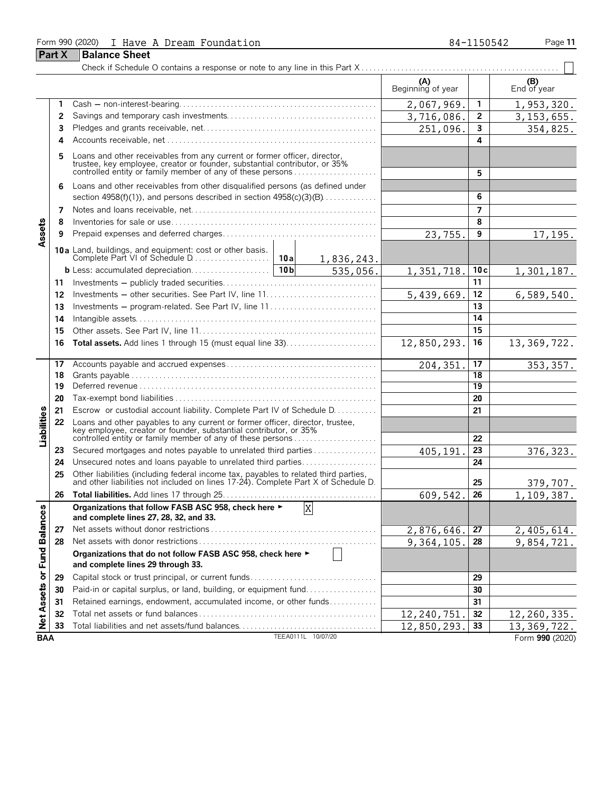#### Form 990 (2020) I Have A Dream Foundation **84-1150542** Page 11

|                             | <b>Part X</b> | <b>Balance Sheet</b>                                                                                                                                                                                             |             |                        |                          |     |                    |
|-----------------------------|---------------|------------------------------------------------------------------------------------------------------------------------------------------------------------------------------------------------------------------|-------------|------------------------|--------------------------|-----|--------------------|
|                             |               |                                                                                                                                                                                                                  |             |                        |                          |     |                    |
|                             |               |                                                                                                                                                                                                                  |             |                        | (A)<br>Beginning of year |     | (B)<br>End of year |
|                             | 1             |                                                                                                                                                                                                                  |             |                        | 2,067,969.               | 1   | 1, 953, 320.       |
|                             | 2             |                                                                                                                                                                                                                  |             |                        | 3,716,086.               | 2   | 3, 153, 655.       |
|                             | 3             |                                                                                                                                                                                                                  |             |                        | 251,096.                 | 3   | 354,825.           |
|                             | 4             |                                                                                                                                                                                                                  |             |                        |                          | 4   |                    |
|                             | 5             | Loans and other receivables from any current or former officer, director, trustee, key employee, creator or founder, substantial contributor, or 35% controlled entity or family member of any of these persons  |             |                        |                          | 5   |                    |
|                             | 6             | Loans and other receivables from other disqualified persons (as defined under<br>section $4958(f)(1)$ , and persons described in section $4958(c)(3)(B)$                                                         |             |                        |                          | 6   |                    |
|                             | 7             |                                                                                                                                                                                                                  |             |                        |                          | 7   |                    |
|                             | 8             |                                                                                                                                                                                                                  |             |                        |                          | 8   |                    |
|                             | 9             |                                                                                                                                                                                                                  |             |                        |                          | 9   |                    |
| Assets                      |               |                                                                                                                                                                                                                  |             |                        | 23,755.                  |     | 17,195.            |
|                             |               | 10a Land, buildings, and equipment: cost or other basis.                                                                                                                                                         |             |                        |                          |     |                    |
|                             |               |                                                                                                                                                                                                                  |             | 1,836,243.<br>535,056. | 1,351,718.               | 10c | 1,301,187.         |
|                             | 11            |                                                                                                                                                                                                                  |             |                        |                          | 11  |                    |
|                             | 12            |                                                                                                                                                                                                                  |             |                        | 5,439,669.               | 12  | 6,589,540.         |
|                             | 13            | Investments - program-related. See Part IV, line 11                                                                                                                                                              |             |                        | 13                       |     |                    |
|                             | 14            |                                                                                                                                                                                                                  |             |                        | 14                       |     |                    |
|                             | 15            |                                                                                                                                                                                                                  |             |                        |                          | 15  |                    |
|                             | 16            | <b>Total assets.</b> Add lines 1 through 15 (must equal line 33)                                                                                                                                                 | 12,850,293. | 16                     | 13, 369, 722.            |     |                    |
|                             | 17            |                                                                                                                                                                                                                  |             |                        | 204, 351                 | 17  | 353, 357.          |
|                             | 18            |                                                                                                                                                                                                                  |             |                        |                          | 18  |                    |
|                             | 19            |                                                                                                                                                                                                                  |             |                        |                          | 19  |                    |
|                             | 20            |                                                                                                                                                                                                                  |             |                        |                          | 20  |                    |
|                             | 21            | Escrow or custodial account liability. Complete Part IV of Schedule D.                                                                                                                                           |             |                        |                          | 21  |                    |
| Liabilities                 | 22            | Loans and other payables to any current or former officer, director, trustee,<br>key employee, creator or founder, substantial contributor, or 35%<br>controlled entity or family member of any of these persons |             |                        |                          | 22  |                    |
|                             | 23            | Secured mortgages and notes payable to unrelated third parties                                                                                                                                                   |             |                        | 405,191                  | 23  | 376, 323.          |
|                             | 24            | Unsecured notes and loans payable to unrelated third parties                                                                                                                                                     |             |                        |                          | 24  |                    |
|                             | 25            | Other liabilities (including federal income tax, payables to related third parties, and other liabilities not included on lines 17-24). Complete Part X of Schedule D.                                           |             |                        |                          | 25  | 379,707.           |
|                             | 26            |                                                                                                                                                                                                                  |             |                        | 609,542                  | 26  | 1,109,387.         |
|                             |               | Organizations that follow FASB ASC 958, check here ►<br>and complete lines 27, 28, 32, and 33.                                                                                                                   |             | $\mathbf X$            |                          |     |                    |
|                             | 27            | Net assets without donor restrictions                                                                                                                                                                            |             |                        | 2,876,646.               | 27  | 2,405,614.         |
|                             | 28            |                                                                                                                                                                                                                  | 9,364,105.  | 28                     | 9,854,721.               |     |                    |
| Net Assets or Fund Balances |               | Organizations that do not follow FASB ASC 958, check here ►<br>and complete lines 29 through 33.                                                                                                                 |             |                        |                          |     |                    |
|                             | 29            | Capital stock or trust principal, or current funds                                                                                                                                                               |             |                        |                          | 29  |                    |
|                             | 30            | Paid-in or capital surplus, or land, building, or equipment fund                                                                                                                                                 |             |                        |                          | 30  |                    |
|                             | 31            | Retained earnings, endowment, accumulated income, or other funds                                                                                                                                                 |             |                        |                          | 31  |                    |
|                             | 32            |                                                                                                                                                                                                                  |             |                        | 12,240,751               | 32  | 12,260,335.        |
|                             | 33            |                                                                                                                                                                                                                  |             |                        | 12,850,293.              | 33  | 13.369.722.        |

**33** Total liabilities and net assets/fund balances. . . . . . . . . . . . . . . . . . . . . . . . . . . . . . . . . . . **33 BAA** TEEA0111L 10/07/20 Form **990** (2020)

12,850,293. 13,369,722.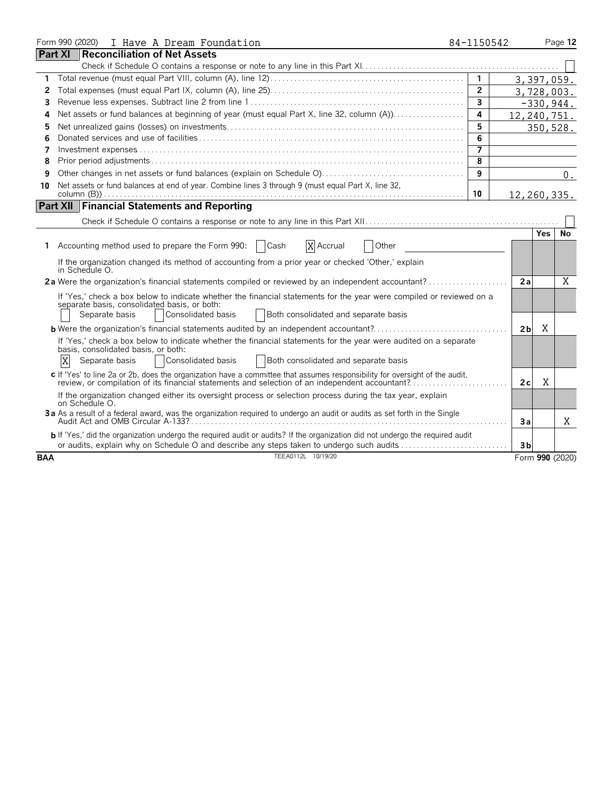|            | Form 990 (2020) I Have A Dream Foundation                                                                                                                            | 84-1150542     |                |            | Page 12         |
|------------|----------------------------------------------------------------------------------------------------------------------------------------------------------------------|----------------|----------------|------------|-----------------|
|            | <b>Part XI</b><br><b>Reconciliation of Net Assets</b>                                                                                                                |                |                |            |                 |
|            |                                                                                                                                                                      |                |                |            |                 |
|            |                                                                                                                                                                      | $\mathbf{1}$   | 3, 397, 059.   |            |                 |
| 2          |                                                                                                                                                                      | $\overline{2}$ | 3,728,003.     |            |                 |
| 3          |                                                                                                                                                                      | $\overline{3}$ |                |            | $-330,944.$     |
| 4          | Net assets or fund balances at beginning of year (must equal Part X, line 32, column (A))                                                                            | 4              | 12,240,751.    |            |                 |
| 5          |                                                                                                                                                                      | 5              |                |            | 350,528.        |
| 6          |                                                                                                                                                                      | 6              |                |            |                 |
| 7          |                                                                                                                                                                      |                |                |            |                 |
| 8          |                                                                                                                                                                      | $\overline{8}$ |                |            |                 |
| 9          |                                                                                                                                                                      | 9              |                |            | $0$ .           |
| 10         | Net assets or fund balances at end of year. Combine lines 3 through 9 (must equal Part X, line 32,                                                                   |                |                |            |                 |
|            |                                                                                                                                                                      | 10             | 12, 260, 335.  |            |                 |
|            | <b>Part XII Financial Statements and Reporting</b>                                                                                                                   |                |                |            |                 |
|            |                                                                                                                                                                      |                |                |            |                 |
|            |                                                                                                                                                                      |                |                | <b>Yes</b> | No              |
|            | Accounting method used to prepare the Form 990:<br>X Accrual<br>Cash<br>Other                                                                                        |                |                |            |                 |
|            | If the organization changed its method of accounting from a prior year or checked 'Other,' explain                                                                   |                |                |            |                 |
|            | in Schedule O.<br>2a Were the organization's financial statements compiled or reviewed by an independent accountant?                                                 |                | 2a             |            | X               |
|            |                                                                                                                                                                      |                |                |            |                 |
|            | If 'Yes,' check a box below to indicate whether the financial statements for the year were compiled or reviewed on a<br>separate basis, consolidated basis, or both: |                |                |            |                 |
|            | Consolidated basis<br>Both consolidated and separate basis<br>Separate basis                                                                                         |                |                |            |                 |
|            |                                                                                                                                                                      |                | 2 <sub>b</sub> | Χ          |                 |
|            | If 'Yes,' check a box below to indicate whether the financial statements for the year were audited on a separate                                                     |                |                |            |                 |
|            | basis, consolidated basis, or both:                                                                                                                                  |                |                |            |                 |
|            | X<br>Consolidated basis<br>Both consolidated and separate basis<br>Separate basis                                                                                    |                |                |            |                 |
|            | c If 'Yes' to line 2a or 2b, does the organization have a committee that assumes responsibility for oversight of the audit,                                          |                |                |            |                 |
|            | review, or compilation of its financial statements and selection of an independent accountant?                                                                       |                | 2c             | X          |                 |
|            | If the organization changed either its oversight process or selection process during the tax year, explain<br>on Schedule O.                                         |                |                |            |                 |
|            | 3a As a result of a federal award, was the organization required to undergo an audit or audits as set forth in the Single                                            |                |                |            |                 |
|            |                                                                                                                                                                      |                | Зa             |            | Χ               |
|            | b If 'Yes,' did the organization undergo the required audit or audits? If the organization did not undergo the required audit                                        |                |                |            |                 |
|            | or audits, explain why on Schedule O and describe any steps taken to undergo such audits                                                                             |                | 3 <sub>b</sub> |            |                 |
| <b>BAA</b> | TEEA0112L 10/19/20                                                                                                                                                   |                |                |            | Form 990 (2020) |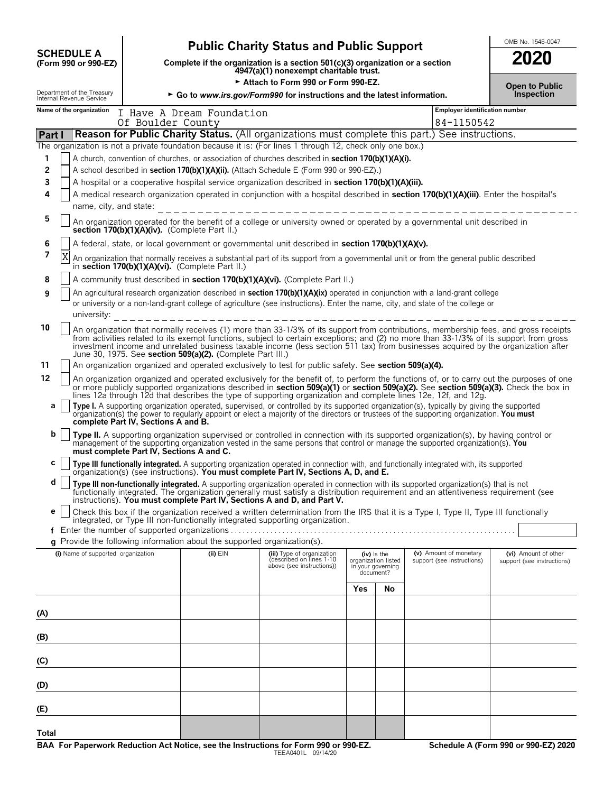|                                              |                                                        |                                               | <b>Public Charity Status and Public Support</b>                                                                         | OMB No. 1545-0047                                                                                                                                                                                                                                                                                                                                                                                                                                                                                                                                                                                                                                                                                                                                                                                                                                                                                                                    |                                                                        |    |                                                      |                                                                                                                                         |
|----------------------------------------------|--------------------------------------------------------|-----------------------------------------------|-------------------------------------------------------------------------------------------------------------------------|--------------------------------------------------------------------------------------------------------------------------------------------------------------------------------------------------------------------------------------------------------------------------------------------------------------------------------------------------------------------------------------------------------------------------------------------------------------------------------------------------------------------------------------------------------------------------------------------------------------------------------------------------------------------------------------------------------------------------------------------------------------------------------------------------------------------------------------------------------------------------------------------------------------------------------------|------------------------------------------------------------------------|----|------------------------------------------------------|-----------------------------------------------------------------------------------------------------------------------------------------|
|                                              | <b>SCHEDULE A</b><br>(Form 990 or 990-EZ)              |                                               | Complete if the organization is a section 501(c)(3) organization or a section<br>4947(a)(1) nonexempt charitable trust. | 2020                                                                                                                                                                                                                                                                                                                                                                                                                                                                                                                                                                                                                                                                                                                                                                                                                                                                                                                                 |                                                                        |    |                                                      |                                                                                                                                         |
|                                              |                                                        |                                               |                                                                                                                         | Attach to Form 990 or Form 990-EZ.                                                                                                                                                                                                                                                                                                                                                                                                                                                                                                                                                                                                                                                                                                                                                                                                                                                                                                   |                                                                        |    |                                                      | <b>Open to Public</b>                                                                                                                   |
|                                              | Department of the Treasury<br>Internal Revenue Service |                                               | ► Go to www.irs.gov/Form990 for instructions and the latest information.                                                |                                                                                                                                                                                                                                                                                                                                                                                                                                                                                                                                                                                                                                                                                                                                                                                                                                                                                                                                      | Inspection                                                             |    |                                                      |                                                                                                                                         |
|                                              | Name of the organization                               | Of Boulder County                             | I Have A Dream Foundation                                                                                               |                                                                                                                                                                                                                                                                                                                                                                                                                                                                                                                                                                                                                                                                                                                                                                                                                                                                                                                                      |                                                                        |    | <b>Employer identification number</b><br>84-1150542  |                                                                                                                                         |
| Part I                                       |                                                        |                                               |                                                                                                                         | Reason for Public Charity Status. (All organizations must complete this part.) See instructions.                                                                                                                                                                                                                                                                                                                                                                                                                                                                                                                                                                                                                                                                                                                                                                                                                                     |                                                                        |    |                                                      |                                                                                                                                         |
| 1<br>2<br>3<br>4<br>5<br>6<br>$\overline{7}$ | name, city, and state:<br>X                            | section 170(b)(1)(A)(iv). (Complete Part II.) |                                                                                                                         | The organization is not a private foundation because it is: (For lines 1 through 12, check only one box.)<br>A church, convention of churches, or association of churches described in section 170(b)(1)(A)(i).<br>A school described in section 170(b)(1)(A)(ii). (Attach Schedule E (Form 990 or 990-EZ).)<br>A hospital or a cooperative hospital service organization described in section 170(b)(1)(A)(iii).<br>A medical research organization operated in conjunction with a hospital described in section 170(b)(1)(A)(iii). Enter the hospital's<br>An organization operated for the benefit of a college or university owned or operated by a governmental unit described in<br>A federal, state, or local government or governmental unit described in section 170(b)(1)(A)(v).<br>An organization that normally receives a substantial part of its support from a governmental unit or from the general public described |                                                                        |    |                                                      |                                                                                                                                         |
|                                              |                                                        |                                               | in section 170(b)(1)(A)(vi). (Complete Part II.)                                                                        |                                                                                                                                                                                                                                                                                                                                                                                                                                                                                                                                                                                                                                                                                                                                                                                                                                                                                                                                      |                                                                        |    |                                                      |                                                                                                                                         |
| 8                                            |                                                        |                                               |                                                                                                                         | A community trust described in section 170(b)(1)(A)(vi). (Complete Part II.)                                                                                                                                                                                                                                                                                                                                                                                                                                                                                                                                                                                                                                                                                                                                                                                                                                                         |                                                                        |    |                                                      |                                                                                                                                         |
| 9                                            | university:                                            |                                               |                                                                                                                         | An agricultural research organization described in section 170(b)(1)(A)(ix) operated in conjunction with a land-grant college<br>or university or a non-land-grant college of agriculture (see instructions). Enter the name, city, and state of the college or                                                                                                                                                                                                                                                                                                                                                                                                                                                                                                                                                                                                                                                                      |                                                                        |    |                                                      |                                                                                                                                         |
| 10                                           |                                                        |                                               | June 30, 1975. See section 509(a)(2). (Complete Part III.)                                                              | An organization that normally receives (1) more than 33-1/3% of its support from contributions, membership fees, and gross receipts<br>from activities related to its exempt functions, subject to certain exceptions; and (2) no more than 33-1/3% of its support from gross<br>investment income and unrelated business taxable income (less section 511 tax) from businesses acquired by the organization after                                                                                                                                                                                                                                                                                                                                                                                                                                                                                                                   |                                                                        |    |                                                      |                                                                                                                                         |
| 11                                           |                                                        |                                               |                                                                                                                         | An organization organized and operated exclusively to test for public safety. See section 509(a)(4).                                                                                                                                                                                                                                                                                                                                                                                                                                                                                                                                                                                                                                                                                                                                                                                                                                 |                                                                        |    |                                                      |                                                                                                                                         |
| 12<br>а                                      |                                                        |                                               |                                                                                                                         | or more publicly supported organizations described in section 509(a)(1) or section 509(a)(2). See section 509(a)(3). Check the box in<br>lines 12a through 12d that describes the type of supporting organization and complete lines 12e, 12f, and 12g.<br>Type I. A supporting organization operated, supervised, or controlled by its supported organization(s), typically by giving the supported                                                                                                                                                                                                                                                                                                                                                                                                                                                                                                                                 |                                                                        |    |                                                      | An organization organized and operated exclusively for the benefit of, to perform the functions of, or to carry out the purposes of one |
|                                              |                                                        | complete Part IV, Sections A and B.           |                                                                                                                         | organization(s) the power to regularly appoint or elect a majority of the directors or trustees of the supporting organization. You must                                                                                                                                                                                                                                                                                                                                                                                                                                                                                                                                                                                                                                                                                                                                                                                             |                                                                        |    |                                                      |                                                                                                                                         |
| b                                            |                                                        | must complete Part IV, Sections A and C.      |                                                                                                                         | Type II. A supporting organization supervised or controlled in connection with its supported organization(s), by having control or<br>management of the supporting organization vested in the same persons that control or manage the supported organization(s). You                                                                                                                                                                                                                                                                                                                                                                                                                                                                                                                                                                                                                                                                 |                                                                        |    |                                                      |                                                                                                                                         |
| с                                            |                                                        |                                               |                                                                                                                         | Type III functionally integrated. A supporting organization operated in connection with, and functionally integrated with, its supported organization(s) (see instructions). You must complete Part IV, Sections A, D, and E.                                                                                                                                                                                                                                                                                                                                                                                                                                                                                                                                                                                                                                                                                                        |                                                                        |    |                                                      |                                                                                                                                         |
| d                                            |                                                        |                                               |                                                                                                                         | Type III non-functionally integrated. A supporting organization operated in connection with its supported organization(s) that is not<br>functionally integrated. The organization generally must satisfy a distribution requirement and an attentiveness requirement (see<br>instructions). You must complete Part IV, Sections A and D, and Part V.                                                                                                                                                                                                                                                                                                                                                                                                                                                                                                                                                                                |                                                                        |    |                                                      |                                                                                                                                         |
| е                                            |                                                        |                                               |                                                                                                                         | Check this box if the organization received a written determination from the IRS that it is a Type I, Type II, Type III functionally<br>integrated, or Type III non-functionally integrated supporting organization.                                                                                                                                                                                                                                                                                                                                                                                                                                                                                                                                                                                                                                                                                                                 |                                                                        |    |                                                      |                                                                                                                                         |
|                                              |                                                        |                                               |                                                                                                                         |                                                                                                                                                                                                                                                                                                                                                                                                                                                                                                                                                                                                                                                                                                                                                                                                                                                                                                                                      |                                                                        |    |                                                      |                                                                                                                                         |
|                                              |                                                        |                                               | g Provide the following information about the supported organization(s).                                                |                                                                                                                                                                                                                                                                                                                                                                                                                                                                                                                                                                                                                                                                                                                                                                                                                                                                                                                                      |                                                                        |    |                                                      |                                                                                                                                         |
|                                              | (i) Name of supported organization                     |                                               | $(ii)$ $EIN$                                                                                                            | (iii) Type of organization<br>(described on lines 1-10<br>above (see instructions))                                                                                                                                                                                                                                                                                                                                                                                                                                                                                                                                                                                                                                                                                                                                                                                                                                                  | $(iv)$ is the<br>organization listed<br>in your governing<br>document? |    | (v) Amount of monetary<br>support (see instructions) | (vi) Amount of other<br>support (see instructions)                                                                                      |
|                                              |                                                        |                                               |                                                                                                                         |                                                                                                                                                                                                                                                                                                                                                                                                                                                                                                                                                                                                                                                                                                                                                                                                                                                                                                                                      | Yes                                                                    | No |                                                      |                                                                                                                                         |
| (A)                                          |                                                        |                                               |                                                                                                                         |                                                                                                                                                                                                                                                                                                                                                                                                                                                                                                                                                                                                                                                                                                                                                                                                                                                                                                                                      |                                                                        |    |                                                      |                                                                                                                                         |
| (B)                                          |                                                        |                                               |                                                                                                                         |                                                                                                                                                                                                                                                                                                                                                                                                                                                                                                                                                                                                                                                                                                                                                                                                                                                                                                                                      |                                                                        |    |                                                      |                                                                                                                                         |
| (C)                                          |                                                        |                                               |                                                                                                                         |                                                                                                                                                                                                                                                                                                                                                                                                                                                                                                                                                                                                                                                                                                                                                                                                                                                                                                                                      |                                                                        |    |                                                      |                                                                                                                                         |
| (D)                                          |                                                        |                                               |                                                                                                                         |                                                                                                                                                                                                                                                                                                                                                                                                                                                                                                                                                                                                                                                                                                                                                                                                                                                                                                                                      |                                                                        |    |                                                      |                                                                                                                                         |
| (E)                                          |                                                        |                                               |                                                                                                                         |                                                                                                                                                                                                                                                                                                                                                                                                                                                                                                                                                                                                                                                                                                                                                                                                                                                                                                                                      |                                                                        |    |                                                      |                                                                                                                                         |
| Total                                        |                                                        |                                               |                                                                                                                         |                                                                                                                                                                                                                                                                                                                                                                                                                                                                                                                                                                                                                                                                                                                                                                                                                                                                                                                                      |                                                                        |    |                                                      |                                                                                                                                         |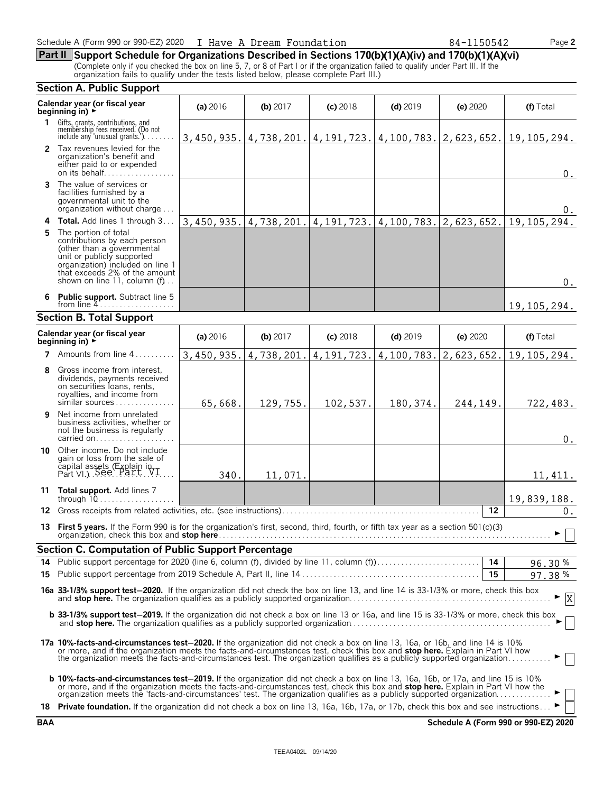| Schedule A (Form 990 or 990-EZ) 2020 | I Have A Dream Foundation | 84-1150542 | Page 2 |
|--------------------------------------|---------------------------|------------|--------|
|--------------------------------------|---------------------------|------------|--------|

**Part II Support Schedule for Organizations Described in Sections 170(b)(1)(A)(iv) and 170(b)(1)(A)(vi)** (Complete only if you checked the box on line 5, 7, or 8 of Part I or if the organization failed to qualify under Part III. If the organization fails to qualify under the tests listed below, please complete Part III.)

|    | <b>Section A. Public Support</b>                                                                                                                                                                                                                                                                                                                                                            |            |            |              |                                                  |            |               |  |
|----|---------------------------------------------------------------------------------------------------------------------------------------------------------------------------------------------------------------------------------------------------------------------------------------------------------------------------------------------------------------------------------------------|------------|------------|--------------|--------------------------------------------------|------------|---------------|--|
|    | Calendar year (or fiscal year<br>beginning in) ►                                                                                                                                                                                                                                                                                                                                            | (a) 2016   | (b) 2017   | $(c)$ 2018   | $(d)$ 2019                                       | (e) 2020   | (f) Total     |  |
|    | 1 Gifts, grants, contributions, and<br>membership fees received. (Do not<br>include any 'unusual grants.'). $\ldots$ .                                                                                                                                                                                                                                                                      | 3,450,935. | 4,738,201. |              | $4, 191, 723.$ $  4, 100, 783.$ $  2, 623, 652.$ |            | 19, 105, 294. |  |
|    | 2 Tax revenues levied for the<br>organization's benefit and<br>either paid to or expended<br>on its behalf                                                                                                                                                                                                                                                                                  |            |            |              |                                                  |            | $0$ .         |  |
| 3  | The value of services or<br>facilities furnished by a<br>governmental unit to the<br>organization without charge                                                                                                                                                                                                                                                                            |            |            |              |                                                  |            | 0.            |  |
|    | 4 Total. Add lines 1 through 3                                                                                                                                                                                                                                                                                                                                                              | 3,450,935. | 4,738,201. | 4, 191, 723. | 4,100,783.                                       | 2,623,652. | 19, 105, 294. |  |
| 5. | The portion of total<br>contributions by each person<br>(other than a governmental<br>unit or publicly supported<br>organization) included on line 1<br>that exceeds 2% of the amount<br>shown on line 11, column $(f)$                                                                                                                                                                     |            |            |              |                                                  |            | $0$ .         |  |
| 6  | <b>Public support.</b> Subtract line 5                                                                                                                                                                                                                                                                                                                                                      |            |            |              |                                                  |            | 19, 105, 294. |  |
|    | <b>Section B. Total Support</b>                                                                                                                                                                                                                                                                                                                                                             |            |            |              |                                                  |            |               |  |
|    | Calendar year (or fiscal year<br>beginning in) $\rightarrow$                                                                                                                                                                                                                                                                                                                                | (a) 2016   | (b) 2017   | $(c)$ 2018   | $(d)$ 2019                                       | (e) 2020   | (f) Total     |  |
|    | <b>7</b> Amounts from line 4                                                                                                                                                                                                                                                                                                                                                                | 3,450,935. | 4,738,201. | 4, 191, 723. | 4,100,783.                                       | 2,623,652. | 19, 105, 294. |  |
| 8  | Gross income from interest,<br>dividends, payments received<br>on securities loans, rents,<br>royalties, and income from<br>similar sources                                                                                                                                                                                                                                                 | 65,668.    | 129,755.   | 102,537.     | 180,374.                                         | 244,149.   | 722,483.      |  |
| 9  | Net income from unrelated<br>business activities, whether or<br>not the business is regularly<br>carried on                                                                                                                                                                                                                                                                                 |            |            |              |                                                  |            | $0$ .         |  |
|    | 10 Other income. Do not include<br>gain or loss from the sale of<br>capital assets (Explain in VI<br>Part VI.) See Part VI                                                                                                                                                                                                                                                                  | 340.       | 11,071.    |              |                                                  |            | 11,411.       |  |
|    | 11 Total support. Add lines 7<br>through $10$                                                                                                                                                                                                                                                                                                                                               |            |            |              |                                                  |            | 19,839,188.   |  |
|    | 12 Gross receipts from related activities, etc. (see instructions)                                                                                                                                                                                                                                                                                                                          |            |            |              |                                                  | 12         | 0.            |  |
|    | 13 First 5 years. If the Form 990 is for the organization's first, second, third, fourth, or fifth tax year as a section 501(c)(3)                                                                                                                                                                                                                                                          |            |            |              |                                                  |            | - 11          |  |
|    | Section C. Computation of Public Support Percentage                                                                                                                                                                                                                                                                                                                                         |            |            |              |                                                  |            |               |  |
|    |                                                                                                                                                                                                                                                                                                                                                                                             |            |            |              |                                                  |            | 96.30%        |  |
|    |                                                                                                                                                                                                                                                                                                                                                                                             |            |            |              |                                                  | 15         | 97.38%        |  |
|    | 16a 33-1/3% support test-2020. If the organization did not check the box on line 13, and line 14 is 33-1/3% or more, check this box                                                                                                                                                                                                                                                         |            |            |              |                                                  |            | X             |  |
|    | <b>b 33-1/3% support test-2019.</b> If the organization did not check a box on line 13 or 16a, and line 15 is 33-1/3% or more, check this box                                                                                                                                                                                                                                               |            |            |              |                                                  |            |               |  |
|    | 17a 10%-facts-and-circumstances test-2020. If the organization did not check a box on line 13, 16a, or 16b, and line 14 is 10%<br>or more, and if the organization meets the facts-and-circumstances test, check this box and stop here. Explain in Part VI how<br>the organization meets the facts-and-circumstances test. The organization qualifies as a publicly supported organization |            |            |              |                                                  |            |               |  |
|    | <b>b 10%-facts-and-circumstances test-2019.</b> If the organization did not check a box on line 13, 16a, 16b, or 17a, and line 15 is 10%<br>or more, and if the organization meets the facts-and-circumstances test, check this box and stop here. Explain in Part VI how the organization meets the 'facts-and-circumstances' test. The organization qualifies as a publi                  |            |            |              |                                                  |            |               |  |
|    | 18 Private foundation. If the organization did not check a box on line 13, 16a, 16b, 17a, or 17b, check this box and see instructions                                                                                                                                                                                                                                                       |            |            |              |                                                  |            |               |  |

| $\sim$ $\sim$ $\sim$ $\sim$ $\sim$ |  |
|------------------------------------|--|
| organization fails to qualify und  |  |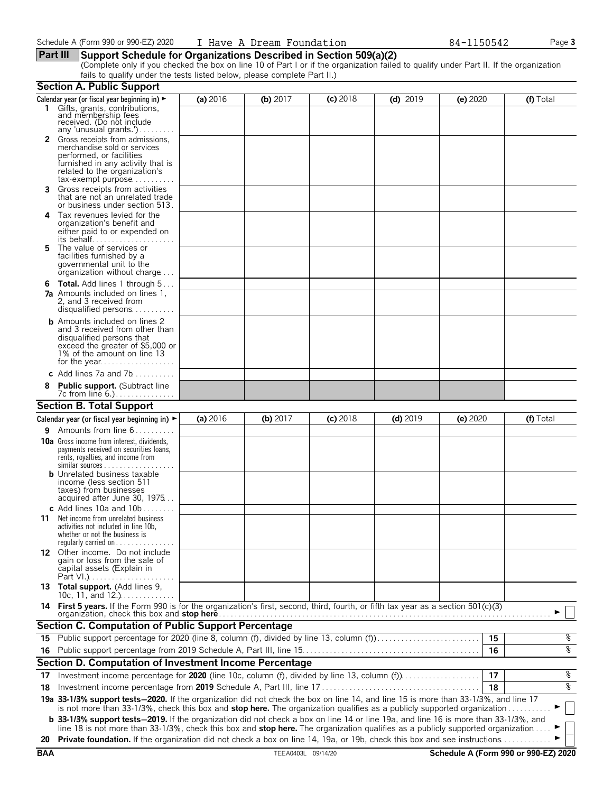#### **Part III Support Schedule for Organizations Described in Section 509(a)(2)**

(Complete only if you checked the box on line 10 of Part I or if the organization failed to qualify under Part II. If the organization fails to qualify under the tests listed below, please complete Part II.)

|            | <b>Section A. Public Support</b>                                                                                                                                                                                                                                              |          |                    |            |            |          |                                      |
|------------|-------------------------------------------------------------------------------------------------------------------------------------------------------------------------------------------------------------------------------------------------------------------------------|----------|--------------------|------------|------------|----------|--------------------------------------|
|            | Calendar year (or fiscal year beginning in) $\blacktriangleright$                                                                                                                                                                                                             | (a) 2016 | (b) $2017$         | $(c)$ 2018 | $(d)$ 2019 | (e) 2020 | (f) Total                            |
|            | 1 Gifts, grants, contributions,<br>and membership fees<br>received. (Do not include<br>any 'unusual grants.')                                                                                                                                                                 |          |                    |            |            |          |                                      |
|            | Gross receipts from admissions,<br>merchandise sold or services<br>performed, or facilities<br>furnished in any activity that is<br>related to the organization's<br>$tax\text{-}exempt$ purpose                                                                              |          |                    |            |            |          |                                      |
| 3.         | Gross receipts from activities<br>that are not an unrelated trade<br>or business under section 513.                                                                                                                                                                           |          |                    |            |            |          |                                      |
| 4          | Tax revenues levied for the<br>organization's benefit and<br>either paid to or expended on<br>its behalf                                                                                                                                                                      |          |                    |            |            |          |                                      |
| 5.         | The value of services or<br>facilities furnished by a<br>governmental unit to the<br>organization without charge                                                                                                                                                              |          |                    |            |            |          |                                      |
|            | <b>6 Total.</b> Add lines 1 through 5<br><b>7a</b> Amounts included on lines 1,<br>2, and 3 received from<br>disqualified persons                                                                                                                                             |          |                    |            |            |          |                                      |
|            | <b>b</b> Amounts included on lines 2<br>and 3 received from other than<br>disqualified persons that<br>exceed the greater of \$5,000 or<br>1% of the amount on line 13                                                                                                        |          |                    |            |            |          |                                      |
|            | c Add lines $7a$ and $7b$                                                                                                                                                                                                                                                     |          |                    |            |            |          |                                      |
|            | <b>Public support.</b> (Subtract line                                                                                                                                                                                                                                         |          |                    |            |            |          |                                      |
|            | <b>Section B. Total Support</b>                                                                                                                                                                                                                                               |          |                    |            |            |          |                                      |
|            | Calendar year (or fiscal year beginning in) $\blacktriangleright$                                                                                                                                                                                                             | (a) 2016 | (b) 2017           | $(c)$ 2018 | $(d)$ 2019 | (e) 2020 | (f) Total                            |
| 9.         | Amounts from line 6                                                                                                                                                                                                                                                           |          |                    |            |            |          |                                      |
|            | <b>10a</b> Gross income from interest, dividends,<br>payments received on securities loans,<br>rents, royalties, and income from<br><b>b</b> Unrelated business taxable                                                                                                       |          |                    |            |            |          |                                      |
|            | income (less section 511<br>taxes) from businesses<br>acquired after June 30, 1975<br>c Add lines 10a and $10b$                                                                                                                                                               |          |                    |            |            |          |                                      |
| 11         | Net income from unrelated business<br>activities not included in line 10b,<br>whether or not the business is<br>regularly carried on $\dots\dots\dots\dots\dots$                                                                                                              |          |                    |            |            |          |                                      |
|            | 12 Other income. Do not include<br>gain or loss from the sale of<br>capital assets (Explain in                                                                                                                                                                                |          |                    |            |            |          |                                      |
|            | 13 Total support. (Add lines 9,<br>10c, 11, and $12.$ )                                                                                                                                                                                                                       |          |                    |            |            |          |                                      |
|            | 14 First 5 years. If the Form 990 is for the organization's first, second, third, fourth, or fifth tax year as a section 501(c)(3)<br>organization, check this box and <b>stop here</b>                                                                                       |          |                    |            |            |          |                                      |
|            | <b>Section C. Computation of Public Support Percentage</b>                                                                                                                                                                                                                    |          |                    |            |            |          |                                      |
|            | 15 Public support percentage for 2020 (line 8, column (f), divided by line 13, column (f)                                                                                                                                                                                     |          |                    |            |            | 15       | နွ                                   |
|            |                                                                                                                                                                                                                                                                               |          |                    |            |            | 16       | နွ                                   |
|            | Section D. Computation of Investment Income Percentage                                                                                                                                                                                                                        |          |                    |            |            |          |                                      |
| 17         | Investment income percentage for 2020 (line 10c, column (f), divided by line 13, column (f)                                                                                                                                                                                   |          |                    |            |            | 17       | နွ                                   |
| 18         |                                                                                                                                                                                                                                                                               |          |                    |            |            | 18       | နွ                                   |
|            | 19a 33-1/3% support tests-2020. If the organization did not check the box on line 14, and line 15 is more than 33-1/3%, and line 17<br>is not more than 33-1/3%, check this box and stop here. The organization qualifies as a publicly supported organization                |          |                    |            |            |          |                                      |
|            | <b>b</b> 33-1/3% support tests-2019. If the organization did not check a box on line 14 or line 19a, and line 16 is more than 33-1/3%, and<br>line 18 is not more than 33-1/3%, check this box and stop here. The organization qualifies as a publicly supported organization |          |                    |            |            |          |                                      |
| 20         | Private foundation. If the organization did not check a box on line 14, 19a, or 19b, check this box and see instructions                                                                                                                                                      |          |                    |            |            |          |                                      |
| <b>BAA</b> |                                                                                                                                                                                                                                                                               |          | TEEA0403L 09/14/20 |            |            |          | Schedule A (Form 990 or 990-EZ) 2020 |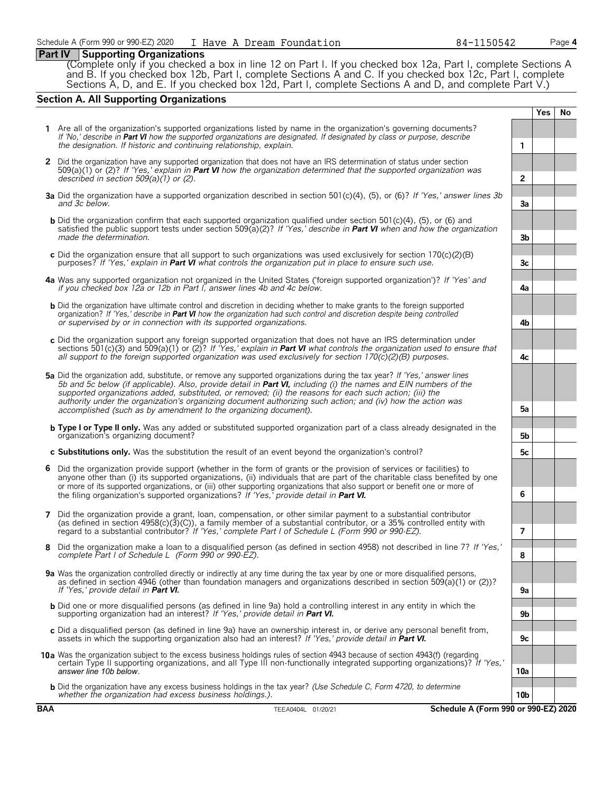#### **Part IV Supporting Organizations**

(Complete only if you checked a box in line 12 on Part I. If you checked box 12a, Part I, complete Sections A and B. If you checked box 12b, Part I, complete Sections A and C. If you checked box 12c, Part I, complete Sections A, D, and E. If you checked box 12d, Part I, complete Sections A and D, and complete Part V.)

#### **Section A. All Supporting Organizations**

|   |                                                                                                                                                                                                                                                                                                                                                                                                                                                                                                                                                      |                 | <b>Yes</b> | <b>No</b> |
|---|------------------------------------------------------------------------------------------------------------------------------------------------------------------------------------------------------------------------------------------------------------------------------------------------------------------------------------------------------------------------------------------------------------------------------------------------------------------------------------------------------------------------------------------------------|-----------------|------------|-----------|
|   | 1 Are all of the organization's supported organizations listed by name in the organization's governing documents?<br>If 'No,' describe in Part VI how the supported organizations are designated. If designated by class or purpose, describe<br>the designation. If historic and continuing relationship, explain.                                                                                                                                                                                                                                  | 1               |            |           |
|   | 2 Did the organization have any supported organization that does not have an IRS determination of status under section<br>509(a)(1) or (2)? If 'Yes,' explain in <b>Part VI</b> how the organization determined that the supported organization was<br>described in section $509(a)(1)$ or (2).                                                                                                                                                                                                                                                      | $\overline{2}$  |            |           |
|   | 3a Did the organization have a supported organization described in section 501(c)(4), (5), or (6)? If 'Yes,' answer lines 3b<br>and 3c below.                                                                                                                                                                                                                                                                                                                                                                                                        | 3a              |            |           |
|   | <b>b</b> Did the organization confirm that each supported organization qualified under section 501(c)(4), (5), or (6) and<br>satisfied the public support tests under section 509(a)(2)? If 'Yes,' describe in Part VI when and how the organization<br>made the determination.                                                                                                                                                                                                                                                                      | 3 <sub>b</sub>  |            |           |
|   | c Did the organization ensure that all support to such organizations was used exclusively for section $170(c)(2)(B)$<br>purposes? If 'Yes,' explain in <b>Part VI</b> what controls the organization put in place to ensure such use.                                                                                                                                                                                                                                                                                                                | 3c              |            |           |
|   | 4a Was any supported organization not organized in the United States ('foreign supported organization')? If 'Yes' and<br>if you checked box 12a or 12b in Part I, answer lines 4b and 4c below.                                                                                                                                                                                                                                                                                                                                                      | 4a              |            |           |
|   | <b>b</b> Did the organization have ultimate control and discretion in deciding whether to make grants to the foreign supported<br>organization? If 'Yes,' describe in Part VI how the organization had such control and discretion despite being controlled<br>or supervised by or in connection with its supported organizations.                                                                                                                                                                                                                   | 4b              |            |           |
|   | c Did the organization support any foreign supported organization that does not have an IRS determination under<br>sections 501(c)(3) and 509(a)(1) or (2)? If 'Yes,' explain in <b>Part VI</b> what controls the organization used to ensure that<br>all support to the foreign supported organization was used exclusively for section $170(c)(2)(B)$ purposes.                                                                                                                                                                                    | 4c              |            |           |
|   | 5a Did the organization add, substitute, or remove any supported organizations during the tax year? If 'Yes,' answer lines<br>5b and 5c below (if applicable). Also, provide detail in <b>Part VI</b> , including (i) the names and EIN numbers of the<br>supported organizations added, substituted, or removed; (ii) the reasons for each such action; (iii) the<br>authority under the organization's organizing document authorizing such action; and (iv) how the action was<br>accomplished (such as by amendment to the organizing document). | 5a              |            |           |
|   | <b>b</b> Type I or Type II only. Was any added or substituted supported organization part of a class already designated in the<br>organization's organizing document?                                                                                                                                                                                                                                                                                                                                                                                | 5b              |            |           |
|   | c Substitutions only. Was the substitution the result of an event beyond the organization's control?                                                                                                                                                                                                                                                                                                                                                                                                                                                 | 5с              |            |           |
| 6 | Did the organization provide support (whether in the form of grants or the provision of services or facilities) to<br>anyone other than (i) its supported organizations, (ii) individuals that are part of the charitable class benefited by one<br>or more of its supported organizations, or (iii) other supporting organizations that also support or benefit one or more of<br>the filing organization's supported organizations? If 'Yes,' provide detail in Part VI.                                                                           | 6               |            |           |
| 7 | Did the organization provide a grant, loan, compensation, or other similar payment to a substantial contributor<br>(as defined in section $4958(c)(3)(c)$ ), a family member of a substantial contributor, or a 35% controlled entity with<br>regard to a substantial contributor? If 'Yes,' complete Part I of Schedule L (Form 990 or 990-EZ).                                                                                                                                                                                                     | 7               |            |           |
| 8 | Did the organization make a loan to a disqualified person (as defined in section 4958) not described in line 7? If 'Yes,'<br>complete Part I of Schedule L (Form 990 or 990-EZ).                                                                                                                                                                                                                                                                                                                                                                     | 8               |            |           |
|   | 9a Was the organization controlled directly or indirectly at any time during the tax year by one or more disqualified persons,<br>as defined in section 4946 (other than foundation managers and organizations described in section 509(a)(1) or (2))?<br>If 'Yes,' provide detail in <b>Part VI.</b>                                                                                                                                                                                                                                                | 9a              |            |           |
|   | <b>b</b> Did one or more disqualified persons (as defined in line 9a) hold a controlling interest in any entity in which the<br>supporting organization had an interest? If 'Yes,' provide detail in Part VI.                                                                                                                                                                                                                                                                                                                                        | 9b              |            |           |
|   | c Did a disqualified person (as defined in line 9a) have an ownership interest in, or derive any personal benefit from,<br>assets in which the supporting organization also had an interest? If 'Yes,' provide detail in <b>Part VI.</b>                                                                                                                                                                                                                                                                                                             | 9c              |            |           |
|   | 10a Was the organization subject to the excess business holdings rules of section 4943 because of section 4943(f) (regarding<br>certain Type II supporting organizations, and all Type III non-functionally integrated supporting organizations)? If 'Yes,'<br>answer line 10b below.                                                                                                                                                                                                                                                                | 10a             |            |           |
|   | <b>b</b> Did the organization have any excess business holdings in the tax year? (Use Schedule C, Form 4720, to determine<br>whether the organization had excess business holdings.).                                                                                                                                                                                                                                                                                                                                                                | 10 <sub>b</sub> |            |           |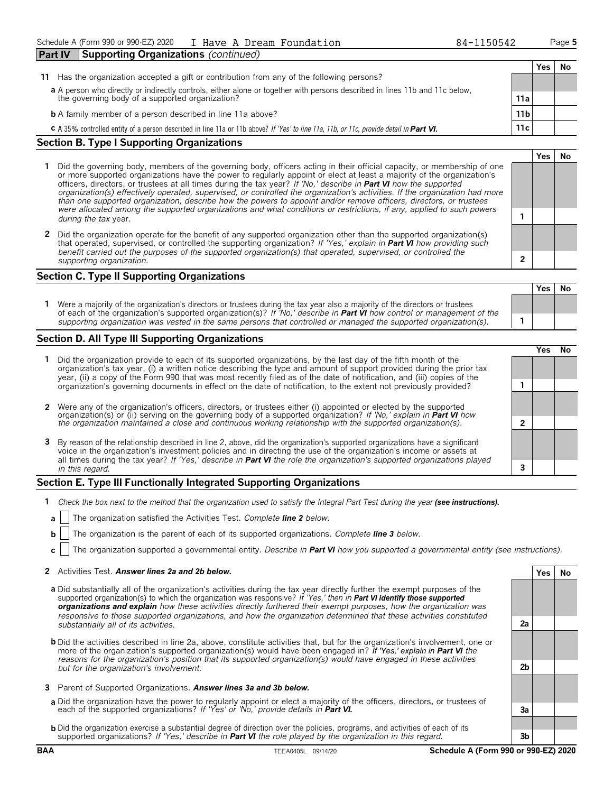| <b>Part IV</b> | <b>Supporting Organizations (continued)</b>                                                                                                           |                 |     |    |
|----------------|-------------------------------------------------------------------------------------------------------------------------------------------------------|-----------------|-----|----|
|                |                                                                                                                                                       |                 | Yes | Νo |
| 11.            | Has the organization accepted a gift or contribution from any of the following persons?                                                               |                 |     |    |
|                | a A person who directly or indirectly controls, either alone or together with persons described in lines 11b and 11c below,                           |                 |     |    |
|                | the governing body of a supported organization?                                                                                                       | 11a             |     |    |
|                | <b>b</b> A family member of a person described in line 11a above?                                                                                     | 11 <sub>b</sub> |     |    |
|                | <b>C</b> A 35% controlled entity of a person described in line 11a or 11b above? If 'Yes' to line 11a, 11b, or 11c, provide detail in <b>Part VI.</b> | 11c             |     |    |
|                | Section P. Type   Supporting Organizations                                                                                                            |                 |     |    |

#### **Section B. Type I Supporting Organizations**

- **1** Did the governing body, members of the governing body, officers acting in their official capacity, or membership of one or more supported organizations have the power to regularly appoint or elect at least a majority of the organization's officers, directors, or trustees at all times during the tax year? *If 'No,' describe in Part VI how the supported organization(s) effectively operated, supervised, or controlled the organization's activities. If the organization had more than one supported organization, describe how the powers to appoint and/or remove officers, directors, or trustees were allocated among the supported organizations and what conditions or restrictions, if any, applied to such powers* **<sup>1</sup>** *during the tax* year.
- **2** Did the organization operate for the benefit of any supported organization other than the supported organization(s) that operated, supervised, or controlled the supporting organization? *If 'Yes,' explain in Part VI how providing such benefit carried out the purposes of the supported organization(s) that operated, supervised, or controlled the supporting organization.* **2**

#### **Section C. Type II Supporting Organizations**

**Yes No 1** Were a majority of the organization's directors or trustees during the tax year also a majority of the directors or trustees of each of the organization's supported organization(s)? *If 'No,' describe in Part VI how control or management of the supporting organization was vested in the same persons that controlled or managed the supported organization(s).* **1**

#### **Section D. All Type III Supporting Organizations**

|                                                                                                                                                                                                                                                                                                                                                                                       |   | ′e< |  |
|---------------------------------------------------------------------------------------------------------------------------------------------------------------------------------------------------------------------------------------------------------------------------------------------------------------------------------------------------------------------------------------|---|-----|--|
| 1 Did the organization provide to each of its supported organizations, by the last day of the fifth month of the<br>organization's tax year, (i) a written notice describing the type and amount of support provided during the prior tax<br>year, (ii) a copy of the Form 990 that was most recently filed as of the date of notification, and (iii) copies of the                   |   |     |  |
| organization's governing documents in effect on the date of notification, to the extent not previously provided?                                                                                                                                                                                                                                                                      |   |     |  |
| 2 Were any of the organization's officers, directors, or trustees either (i) appointed or elected by the supported                                                                                                                                                                                                                                                                    |   |     |  |
| organization(s) or (ii) serving on the governing body of a supported organization? If No, explain in <b>Part VI</b> how<br>the organization maintained a close and continuous working relationship with the supported organization(s).                                                                                                                                                | ◠ |     |  |
| 3 By reason of the relationship described in line 2, above, did the organization's supported organizations have a significant<br>voice in the organization's investment policies and in directing the use of the organization's income or assets at<br>all times during the tax year? If 'Yes,' describe in <b>Part VI</b> the role the organization's supported organizations played |   |     |  |
| in this regard.                                                                                                                                                                                                                                                                                                                                                                       |   |     |  |

#### **Section E. Type III Functionally Integrated Supporting Organizations**

- **1** Check the box next to the method that the organization used to satisfy the Integral Part Test during the year (see instructions).
	- **a** The organization satisfied the Activities Test. *Complete line 2 below.*
	- **b** The organization is the parent of each of its supported organizations. *Complete line 3 below.*
	- **c** The organization supported a governmental entity. *Describe in Part VI how you supported a governmental entity (see instructions).*

#### **2** Activities Test. *Answer lines 2a and 2b below.* **Yes No**

- **a** Did substantially all of the organization's activities during the tax year directly further the exempt purposes of the supported organization(s) to which the organization was responsive? *If 'Yes,' then in Part VI identify those supported organizations and explain how these activities directly furthered their exempt purposes, how the organization was responsive to those supported organizations, and how the organization determined that these activities constituted substantially all of its activities.* **2a**
- **b** Did the activities described in line 2a, above, constitute activities that, but for the organization's involvement, one or more of the organization's supported organization(s) would have been engaged in? *If 'Yes,' explain in Part VI the reasons for the organization's position that its supported organization(s) would have engaged in these activities but for the organization's involvement.* **2b**
- **3** Parent of Supported Organizations. *Answer lines 3a and 3b below.*
- **a** Did the organization have the power to regularly appoint or elect a majority of the officers, directors, or trustees of each of the supported organizations? *If 'Yes' or 'No,' provide details in Part VI.* **3a**
- **b** Did the organization exercise a substantial degree of direction over the policies, programs, and activities of each of its supported organizations? *If 'Yes,' describe in Part VI the role played by the organization in this regard.* **3b**

| ÷ | N۵ |
|---|----|
|   |    |

**Yes No**

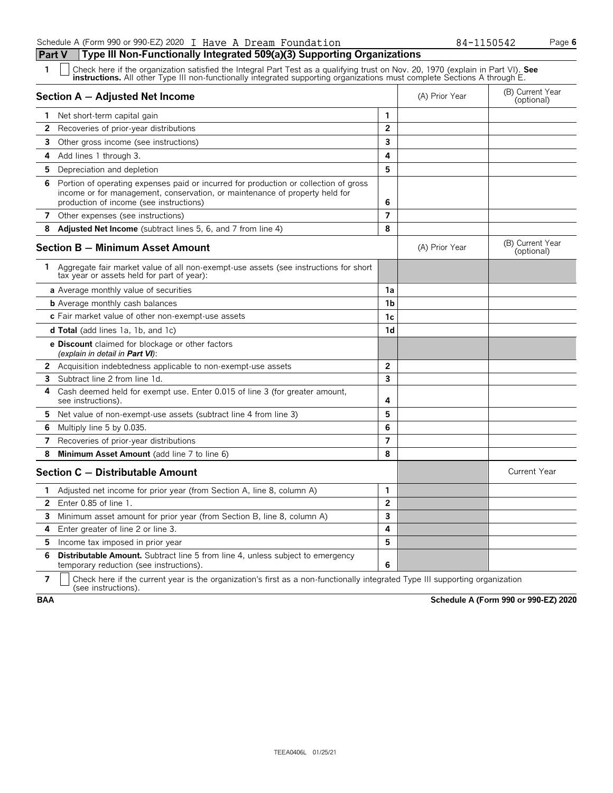| 1            | Check here if the organization satisfied the Integral Part Test as a qualifying trust on Nov. 20, 1970 (explain in Part VI). See<br><b>instructions.</b> All other Type III non-functionally integrated supporting organizations must complete Sections A through E. |                |                |                                |
|--------------|----------------------------------------------------------------------------------------------------------------------------------------------------------------------------------------------------------------------------------------------------------------------|----------------|----------------|--------------------------------|
|              | Section A - Adjusted Net Income                                                                                                                                                                                                                                      |                | (A) Prior Year | (B) Current Year<br>(optional) |
| 1.           | Net short-term capital gain                                                                                                                                                                                                                                          | 1              |                |                                |
| $\mathbf{2}$ | Recoveries of prior-year distributions                                                                                                                                                                                                                               | $\overline{2}$ |                |                                |
| 3            | Other gross income (see instructions)                                                                                                                                                                                                                                | 3              |                |                                |
| 4            | Add lines 1 through 3.                                                                                                                                                                                                                                               | 4              |                |                                |
| 5            | Depreciation and depletion                                                                                                                                                                                                                                           | 5              |                |                                |
| 6            | Portion of operating expenses paid or incurred for production or collection of gross<br>income or for management, conservation, or maintenance of property held for<br>production of income (see instructions)                                                       | 6              |                |                                |
|              | 7 Other expenses (see instructions)                                                                                                                                                                                                                                  | 7              |                |                                |
| 8            | <b>Adjusted Net Income</b> (subtract lines 5, 6, and 7 from line 4)                                                                                                                                                                                                  | 8              |                |                                |
|              | <b>Section B - Minimum Asset Amount</b>                                                                                                                                                                                                                              |                | (A) Prior Year | (B) Current Year<br>(optional) |
|              | 1 Aggregate fair market value of all non-exempt-use assets (see instructions for short<br>tax year or assets held for part of year):                                                                                                                                 |                |                |                                |
|              | a Average monthly value of securities                                                                                                                                                                                                                                | 1a             |                |                                |
|              | <b>b</b> Average monthly cash balances                                                                                                                                                                                                                               | 1b             |                |                                |
|              | c Fair market value of other non-exempt-use assets                                                                                                                                                                                                                   | 1c             |                |                                |
|              | <b>d Total</b> (add lines 1a, 1b, and 1c)                                                                                                                                                                                                                            | 1d             |                |                                |
|              | <b>e Discount</b> claimed for blockage or other factors<br>(explain in detail in <b>Part VI</b> ):                                                                                                                                                                   |                |                |                                |
| $\mathbf{2}$ | Acquisition indebtedness applicable to non-exempt-use assets                                                                                                                                                                                                         | $\overline{2}$ |                |                                |
| 3            | Subtract line 2 from line 1d.                                                                                                                                                                                                                                        | 3              |                |                                |
| 4            | Cash deemed held for exempt use. Enter 0.015 of line 3 (for greater amount,<br>see instructions).                                                                                                                                                                    | 4              |                |                                |
| 5.           | Net value of non-exempt-use assets (subtract line 4 from line 3)                                                                                                                                                                                                     | 5              |                |                                |
| 6            | Multiply line 5 by 0.035.                                                                                                                                                                                                                                            | 6              |                |                                |
| 7            | Recoveries of prior-year distributions                                                                                                                                                                                                                               | 7              |                |                                |
| 8            | Minimum Asset Amount (add line 7 to line 6)                                                                                                                                                                                                                          | 8              |                |                                |
|              | Section C - Distributable Amount                                                                                                                                                                                                                                     |                |                | <b>Current Year</b>            |
| 1            | Adjusted net income for prior year (from Section A, line 8, column A)                                                                                                                                                                                                | 1              |                |                                |
| 2            | Enter $0.85$ of line $1.$                                                                                                                                                                                                                                            | $\overline{2}$ |                |                                |
| 3            | Minimum asset amount for prior year (from Section B, line 8, column A)                                                                                                                                                                                               | 3              |                |                                |
| 4            | Enter greater of line 2 or line 3.                                                                                                                                                                                                                                   | 4              |                |                                |
| 5            | Income tax imposed in prior year                                                                                                                                                                                                                                     | 5              |                |                                |
| 6            | <b>Distributable Amount.</b> Subtract line 5 from line 4, unless subject to emergency<br>temporary reduction (see instructions).                                                                                                                                     | 6              |                |                                |

**7**  $\mid$  Check here if the current year is the organization's first as a non-functionally integrated Type III supporting organization (see instructions).

**BAA Schedule A (Form 990 or 990-EZ) 2020**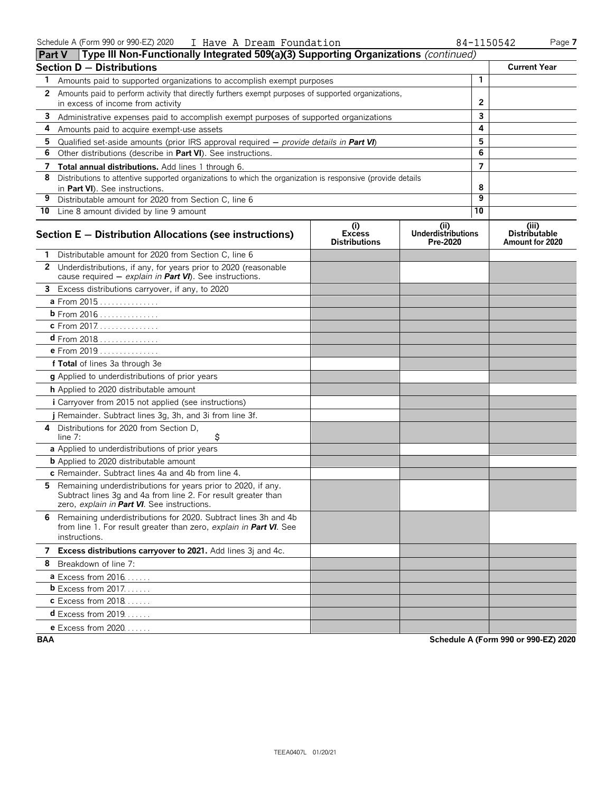| Type III Non-Functionally Integrated 509(a)(3) Supporting Organizations (continued)<br><b>Part V</b> |                                                                                                                                                                               |                                              |                                               |              |                                                  |  |
|------------------------------------------------------------------------------------------------------|-------------------------------------------------------------------------------------------------------------------------------------------------------------------------------|----------------------------------------------|-----------------------------------------------|--------------|--------------------------------------------------|--|
|                                                                                                      | <b>Section D - Distributions</b>                                                                                                                                              |                                              |                                               |              | <b>Current Year</b>                              |  |
| 1                                                                                                    | Amounts paid to supported organizations to accomplish exempt purposes                                                                                                         |                                              |                                               | 1            |                                                  |  |
| $\mathbf{2}$                                                                                         | Amounts paid to perform activity that directly furthers exempt purposes of supported organizations,                                                                           |                                              |                                               |              |                                                  |  |
|                                                                                                      | in excess of income from activity                                                                                                                                             |                                              |                                               | $\mathbf{2}$ |                                                  |  |
| 3                                                                                                    | Administrative expenses paid to accomplish exempt purposes of supported organizations                                                                                         |                                              |                                               | 3            |                                                  |  |
| 4                                                                                                    | Amounts paid to acquire exempt-use assets                                                                                                                                     |                                              |                                               | 4            |                                                  |  |
| 5                                                                                                    | Qualified set-aside amounts (prior IRS approval required $-$ provide details in Part VI)                                                                                      |                                              |                                               | 5            |                                                  |  |
| 6                                                                                                    | Other distributions (describe in Part VI). See instructions.                                                                                                                  |                                              |                                               | 6            |                                                  |  |
| 7                                                                                                    | Total annual distributions. Add lines 1 through 6.                                                                                                                            |                                              |                                               | 7            |                                                  |  |
| 8                                                                                                    | Distributions to attentive supported organizations to which the organization is responsive (provide details<br>in Part VI). See instructions.                                 |                                              |                                               | 8            |                                                  |  |
| 9                                                                                                    | Distributable amount for 2020 from Section C, line 6                                                                                                                          |                                              |                                               | 9            |                                                  |  |
|                                                                                                      | 10 Line 8 amount divided by line 9 amount                                                                                                                                     |                                              |                                               | 10           |                                                  |  |
|                                                                                                      | Section E - Distribution Allocations (see instructions)                                                                                                                       | (i)<br><b>Excess</b><br><b>Distributions</b> | (ii)<br><b>Underdistributions</b><br>Pre-2020 |              | (iii)<br><b>Distributable</b><br>Amount for 2020 |  |
|                                                                                                      | Distributable amount for 2020 from Section C, line 6                                                                                                                          |                                              |                                               |              |                                                  |  |
|                                                                                                      | 2 Underdistributions, if any, for years prior to 2020 (reasonable<br>cause required - explain in Part VI). See instructions.                                                  |                                              |                                               |              |                                                  |  |
| 3                                                                                                    | Excess distributions carryover, if any, to 2020                                                                                                                               |                                              |                                               |              |                                                  |  |
|                                                                                                      | a From 2015                                                                                                                                                                   |                                              |                                               |              |                                                  |  |
|                                                                                                      | <b>b</b> From 2016                                                                                                                                                            |                                              |                                               |              |                                                  |  |
|                                                                                                      | c From 2017.                                                                                                                                                                  |                                              |                                               |              |                                                  |  |
|                                                                                                      | $d$ From 2018                                                                                                                                                                 |                                              |                                               |              |                                                  |  |
|                                                                                                      | e From 2019                                                                                                                                                                   |                                              |                                               |              |                                                  |  |
|                                                                                                      | f Total of lines 3a through 3e                                                                                                                                                |                                              |                                               |              |                                                  |  |
|                                                                                                      | g Applied to underdistributions of prior years                                                                                                                                |                                              |                                               |              |                                                  |  |
|                                                                                                      | h Applied to 2020 distributable amount                                                                                                                                        |                                              |                                               |              |                                                  |  |
|                                                                                                      | <i>i</i> Carryover from 2015 not applied (see instructions)                                                                                                                   |                                              |                                               |              |                                                  |  |
|                                                                                                      | j Remainder. Subtract lines 3g, 3h, and 3i from line 3f.                                                                                                                      |                                              |                                               |              |                                                  |  |
| 4                                                                                                    | Distributions for 2020 from Section D,<br>\$<br>line 7:                                                                                                                       |                                              |                                               |              |                                                  |  |
|                                                                                                      | a Applied to underdistributions of prior years                                                                                                                                |                                              |                                               |              |                                                  |  |
|                                                                                                      | <b>b</b> Applied to 2020 distributable amount                                                                                                                                 |                                              |                                               |              |                                                  |  |
|                                                                                                      | c Remainder. Subtract lines 4a and 4b from line 4.                                                                                                                            |                                              |                                               |              |                                                  |  |
| 5.                                                                                                   | Remaining underdistributions for years prior to 2020, if any.<br>Subtract lines 3g and 4a from line 2. For result greater than<br>zero, explain in Part VI. See instructions. |                                              |                                               |              |                                                  |  |
|                                                                                                      | 6 Remaining underdistributions for 2020. Subtract lines 3h and 4b<br>from line 1. For result greater than zero, explain in Part VI. See<br>instructions.                      |                                              |                                               |              |                                                  |  |
|                                                                                                      | 7 Excess distributions carryover to 2021. Add lines 3j and 4c.                                                                                                                |                                              |                                               |              |                                                  |  |
|                                                                                                      | 8 Breakdown of line 7:                                                                                                                                                        |                                              |                                               |              |                                                  |  |
|                                                                                                      | <b>a</b> Excess from $2016$                                                                                                                                                   |                                              |                                               |              |                                                  |  |
|                                                                                                      | <b>b</b> Excess from $2017$                                                                                                                                                   |                                              |                                               |              |                                                  |  |
|                                                                                                      | <b>c</b> Excess from 2018                                                                                                                                                     |                                              |                                               |              |                                                  |  |
|                                                                                                      | <b>d</b> Excess from 2019                                                                                                                                                     |                                              |                                               |              |                                                  |  |
|                                                                                                      | <b>e</b> Excess from 2020                                                                                                                                                     |                                              |                                               |              |                                                  |  |

**BAA Schedule A (Form 990 or 990-EZ) 2020**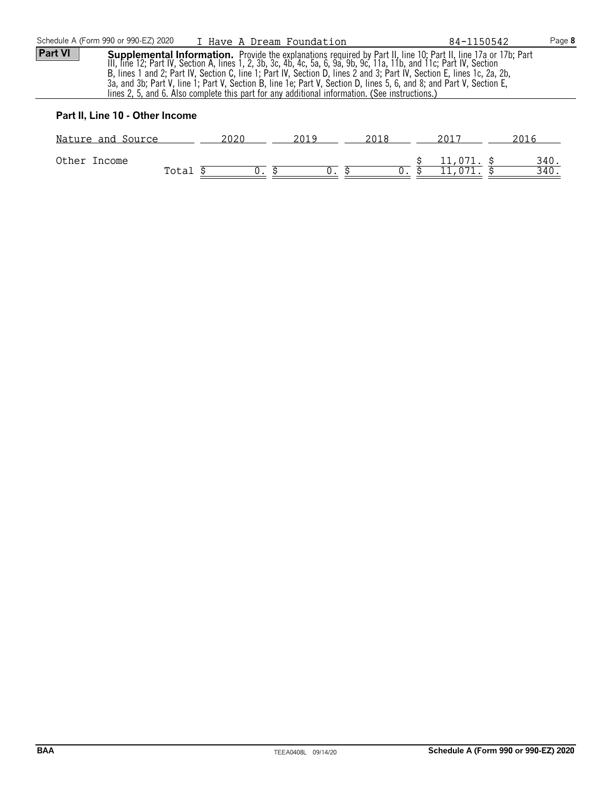| Schedule A (Form 990 or 990-EZ) 2020                                                                                                                                                                                                                                                                                                                                                                                                                                                                                                                                                          |                          |      | I Have A Dream Foundation |      | 84-1150542 |      | Page 8 |
|-----------------------------------------------------------------------------------------------------------------------------------------------------------------------------------------------------------------------------------------------------------------------------------------------------------------------------------------------------------------------------------------------------------------------------------------------------------------------------------------------------------------------------------------------------------------------------------------------|--------------------------|------|---------------------------|------|------------|------|--------|
| Part VI<br>Supplemental Information. Provide the explanations required by Part II, line 10; Part II, line 17a or 17b; Part III, line 12a or 17b; Part III, line 12; Part IV, Section A, lines 1, 2, 3b, 3c, 4b, 4c, 5a, 6, 9a, 9b, 9c, 11<br>B, lines 1 and 2; Part IV, Section C, line 1; Part IV, Section D, lines 2 and 3; Part IV, Section E, lines 1c, 2a, 2b,<br>3a, and 3b; Part V, line 1; Part V, Section B, line 1e; Part V, Section D, lines 5, 6, and 8; and Part V, Section E,<br>lines 2, 5, and 6. Also complete this part for any additional information. (See instructions.) |                          |      |                           |      |            |      |        |
| Part II, Line 10 - Other Income                                                                                                                                                                                                                                                                                                                                                                                                                                                                                                                                                               |                          |      |                           |      |            |      |        |
|                                                                                                                                                                                                                                                                                                                                                                                                                                                                                                                                                                                               | <u>Nature and Source</u> | 2020 | 2019                      | 2018 | 2017       | 2016 |        |

| Other | Income |                                 |  | ᆂᆂ                | 340.  |
|-------|--------|---------------------------------|--|-------------------|-------|
|       |        | $T \cap$ $+$ $\supset$<br>⊥∪cu⊥ |  | $\overline{0.71}$ | .40 ^ |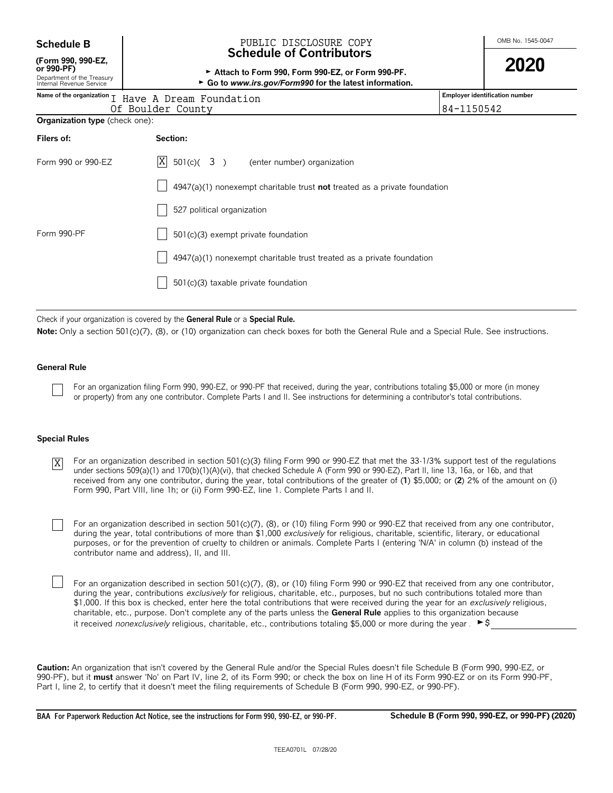| <b>Schedule B</b> |  |
|-------------------|--|
|-------------------|--|

### **(Form 990, 990-EZ,**

#### OMB No. 1545-0047 **Schedule B** PUBLIC DISCLOSURE COPY **Schedule of Contributors**

**or 990-PF)** <sup>G</sup>**Attach to Form 990, Form 990-EZ, or Form 990-PF. 2020**

| Department of the Treasury<br>Internal Revenue Service                  | $\sim$ Allach to Form 550, Form 550-EZ, or Form 550-FF.<br>► Go to www.irs.gov/Form990 for the latest information. |  |
|-------------------------------------------------------------------------|--------------------------------------------------------------------------------------------------------------------|--|
| Name of the organization I Have A Dream Foundation<br>Of Boulder County | Employer identification number<br>84-1150542                                                                       |  |
| <b>Organization type</b> (check one):                                   |                                                                                                                    |  |
| Filers of:                                                              | Section:                                                                                                           |  |
| Form 990 or 990-EZ                                                      | $ X $ 501(c)( 3)<br>(enter number) organization                                                                    |  |
|                                                                         | $4947(a)(1)$ nonexempt charitable trust not treated as a private foundation                                        |  |
|                                                                         | 527 political organization                                                                                         |  |
| Form 990-PF                                                             | 501(c)(3) exempt private foundation                                                                                |  |
|                                                                         | 4947(a)(1) nonexempt charitable trust treated as a private foundation                                              |  |
|                                                                         | 501(c)(3) taxable private foundation                                                                               |  |
|                                                                         |                                                                                                                    |  |

Check if your organization is covered by the **General Rule** or a **Special Rule.**

Note: Only a section 501(c)(7), (8), or (10) organization can check boxes for both the General Rule and a Special Rule. See instructions.

#### **General Rule**

For an organization filing Form 990, 990-EZ, or 990-PF that received, during the year, contributions totaling \$5,000 or more (in money or property) from any one contributor. Complete Parts I and II. See instructions for determining a contributor's total contributions.

#### **Special Rules**

For an organization described in section 501(c)(3) filing Form 990 or 990-EZ that met the 33-1/3% support test of the regulations under sections 509(a)(1) and 170(b)(1)(A)(vi), that checked Schedule A (Form 990 or 990-EZ), Part II, line 13, 16a, or 16b, and that received from any one contributor, during the year, total contributions of the greater of (**1**) \$5,000; or (**2**) 2% of the amount on (i) Form 990, Part VIII, line 1h; or (ii) Form 990-EZ, line 1. Complete Parts I and II. X

For an organization described in section 501(c)(7), (8), or (10) filing Form 990 or 990-EZ that received from any one contributor, during the year, total contributions of more than \$1,000 *exclusively* for religious, charitable, scientific, literary, or educational purposes, or for the prevention of cruelty to children or animals. Complete Parts I (entering 'N/A' in column (b) instead of the contributor name and address), II, and III.

For an organization described in section 501(c)(7), (8), or (10) filing Form 990 or 990-EZ that received from any one contributor, during the year, contributions *exclusively* for religious, charitable, etc., purposes, but no such contributions totaled more than \$1,000. If this box is checked, enter here the total contributions that were received during the year for an *exclusively* religious, charitable, etc., purpose. Don't complete any of the parts unless the **General Rule** applies to this organization because it received *nonexclusively* religious, charitable, etc., contributions totaling \$5,000 or more during the year .  $\blacktriangleright$ \$

**Caution:** An organization that isn't covered by the General Rule and/or the Special Rules doesn't file Schedule B (Form 990, 990-EZ, or 990-PF), but it **must** answer 'No' on Part IV, line 2, of its Form 990; or check the box on line H of its Form 990-EZ or on its Form 990-PF, Part I, line 2, to certify that it doesn't meet the filing requirements of Schedule B (Form 990, 990-EZ, or 990-PF).

**BAA For Paperwork Reduction Act Notice, see the instructions for Form 990, 990-EZ, or 990-PF. Schedule B (Form 990, 990-EZ, or 990-PF) (2020)**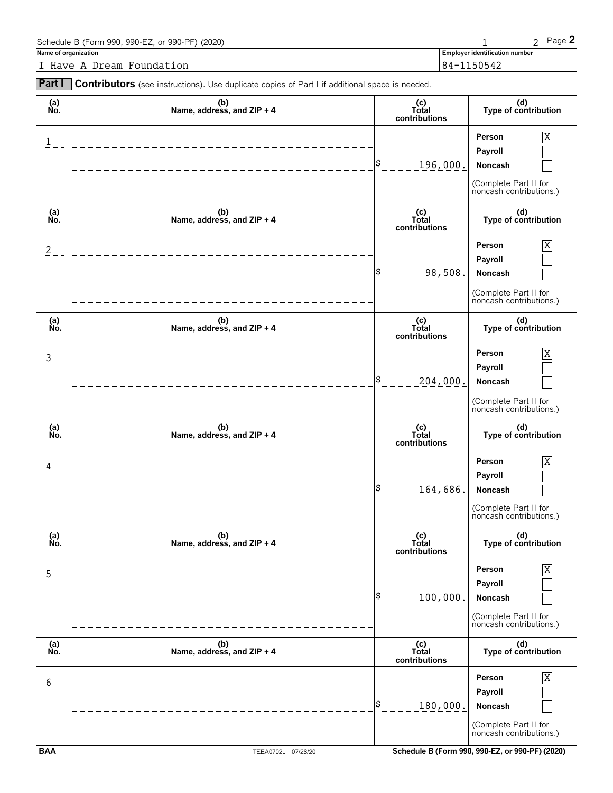| Schedule B (Form 990, 990-EZ, or 990-PF) (2020) |                                       | Page $Z$ |
|-------------------------------------------------|---------------------------------------|----------|
| Name of organization                            | <b>Employer identification number</b> |          |
| I Have A Dream Foundation                       | 84-1150542                            |          |

| Part I         | Contributors (see instructions). Use duplicate copies of Part I if additional space is needed. |                                 |                                                                                       |
|----------------|------------------------------------------------------------------------------------------------|---------------------------------|---------------------------------------------------------------------------------------|
| (a)<br>No.     | (b)<br>Name, address, and $ZIP + 4$                                                            | (c)<br>Total<br>contributions   | (d)<br>Type of contribution                                                           |
| $\mathbf{1}$   |                                                                                                | \$<br>196,000.                  | Person<br>Χ<br>Payroll<br>Noncash<br>(Complete Part II for<br>noncash contributions.) |
| (a)<br>No.     | (b)<br>Name, address, and ZIP + 4                                                              | $(c)$<br>Total<br>contributions | (d)<br>Type of contribution                                                           |
| $\overline{2}$ |                                                                                                | \$<br>98,508.                   | Person<br>Χ<br>Payroll<br>Noncash<br>(Complete Part II for<br>noncash contributions.) |
| (a)<br>No.     | (b)<br>Name, address, and ZIP + 4                                                              | (c)<br>Total<br>contributions   | (d)<br>Type of contribution                                                           |
| $\overline{3}$ |                                                                                                | 204,000.                        | Person<br>X<br>Payroll<br>Noncash<br>(Complete Part II for<br>noncash contributions.) |
| (a)<br>No.     | (b)<br>Name, address, and ZIP + 4                                                              | (c)<br>Total<br>contributions   | (d)<br>Type of contribution                                                           |
| 4              |                                                                                                | \$<br>164,686.                  | Person<br>Payroll<br>Noncash<br>(Complete Part II for<br>noncash contributions.)      |
| (a)<br>No.     | (b)<br>Name, address, and ZIP + 4                                                              | (c)<br>Total<br>contributions   | (d)<br>Type of contribution                                                           |
| $\overline{5}$ |                                                                                                | \$<br>100,000.                  | Person<br>Payroll<br>Noncash<br>(Complete Part II for<br>noncash contributions.)      |
| (a)<br>No.     | (b)<br>Name, address, and ZIP + 4                                                              | (c)<br>Total<br>contributions   | (d)<br>Type of contribution                                                           |
| 6              |                                                                                                | 180,000.                        | Person<br>Payroll<br>Noncash<br>(Complete Part II for<br>noncash contributions.)      |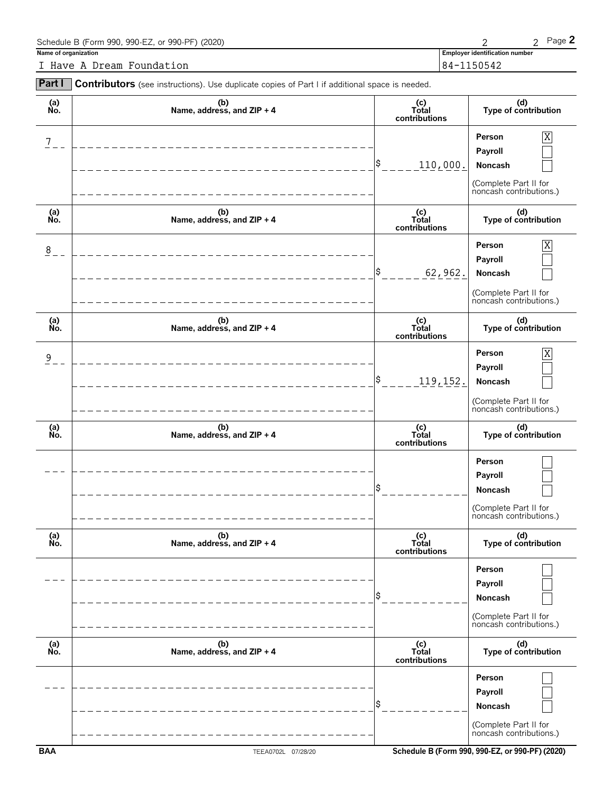| Schedule B (Form 990, 990-EZ, or 990-PF) (2020) |                                       | Page $\angle$ |
|-------------------------------------------------|---------------------------------------|---------------|
| Name of organization                            | <b>Employer identification number</b> |               |
| I Have A Dream Foundation                       | 84-1150542                            |               |

| Part I         | Contributors (see instructions). Use duplicate copies of Part I if additional space is needed. |                               |                                                                                                    |
|----------------|------------------------------------------------------------------------------------------------|-------------------------------|----------------------------------------------------------------------------------------------------|
| (a)<br>No.     | (b)<br>Name, address, and ZIP + 4                                                              | (c)<br>Total<br>contributions | (d)<br>Type of contribution                                                                        |
| 7              |                                                                                                | \$<br>110,000.                | Χ<br>Person<br>Payroll<br>Noncash<br>(Complete Part II for<br>noncash contributions.)              |
| (a)<br>No.     | (b)<br>Name, address, and ZIP + 4                                                              | (c)<br>Total<br>contributions | (d)<br>Type of contribution                                                                        |
| 8              |                                                                                                | \$<br>62,962.                 | $\overline{X}$<br>Person<br>Payroll<br>Noncash<br>(Complete Part II for<br>noncash contributions.) |
| (a)<br>No.     | (b)<br>Name, address, and ZIP + 4                                                              | (c)<br>Total<br>contributions | (d)<br>Type of contribution                                                                        |
| $\overline{9}$ |                                                                                                | \$<br>119,152.                | $\overline{X}$<br>Person<br>Payroll<br>Noncash<br>(Complete Part II for<br>noncash contributions.) |
| (a)<br>No.     | (b)<br>Name, address, and ZIP + 4                                                              | (c)<br>Total<br>contributions | (d)<br>Type of contribution                                                                        |
|                |                                                                                                | \$                            | Person<br>Payroll<br>Noncash<br>(Complete Part II for<br>noncash contributions.)                   |
| (a)<br>No.     | (b)<br>Name, address, and ZIP + 4                                                              | (c)<br>Total<br>contributions | (d)<br>Type of contribution                                                                        |
|                |                                                                                                | \$                            | Person<br>Payroll<br>Noncash<br>(Complete Part II for<br>noncash contributions.)                   |
| (a)<br>No.     | (b)<br>Name, address, and ZIP + 4                                                              | (c)<br>Total<br>contributions | (d)<br>Type of contribution                                                                        |
|                |                                                                                                | \$                            | Person<br>Payroll<br>Noncash<br>(Complete Part II for<br>noncash contributions.)                   |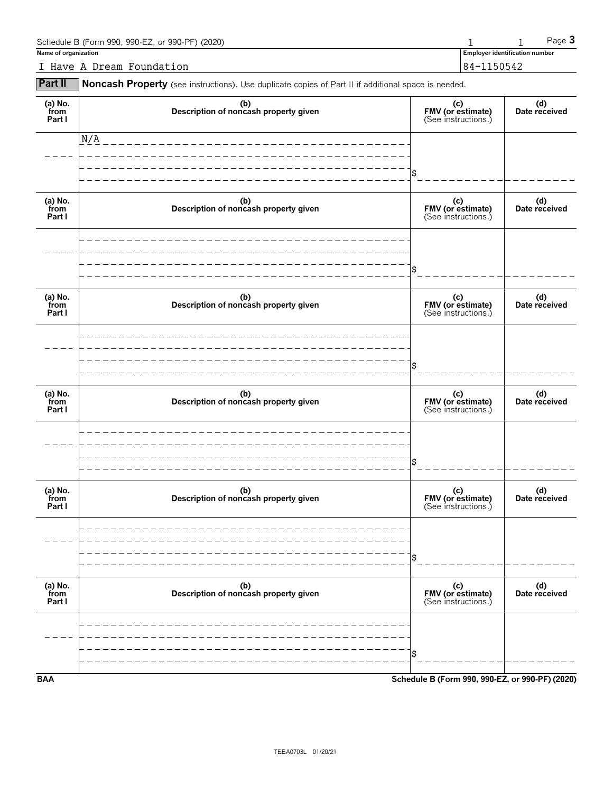| Schedule B (Form 990, 990-EZ, or 990-PF) (2020) |                                | $P$ aqe $\bullet$ |
|-------------------------------------------------|--------------------------------|-------------------|
| Name of organization                            | Employer identification number |                   |
| I Have A Dream Foundation                       | 84-1150542                     |                   |

**Part II** Noncash Property (see instructions). Use duplicate copies of Part II if additional space is needed.

| (a) No.<br>from<br>Part I | (b)<br>Description of noncash property given | (c)<br>FMV (or estimate)<br>(See instructions.) | (d)<br>Date received |
|---------------------------|----------------------------------------------|-------------------------------------------------|----------------------|
|                           | N/A                                          |                                                 |                      |
|                           |                                              |                                                 |                      |
| (a) No.<br>from<br>Part I | (b)<br>Description of noncash property given | (c)<br>FMV (or estimate)<br>(See instructions.) | (d)<br>Date received |
|                           |                                              | \$                                              |                      |
| (a) No.<br>from<br>Part I | (b)<br>Description of noncash property given | (c)<br>FMV (or estimate)<br>(See instructions.) | (d)<br>Date received |
|                           |                                              |                                                 |                      |
| (a) No.<br>from<br>Part I | (b)<br>Description of noncash property given | (c)<br>FMV (or estimate)<br>(See instructions.) | (d)<br>Date received |
|                           |                                              | \$                                              |                      |
| (a) No.<br>from<br>Part I | (b)<br>Description of noncash property given | (c)<br>FMV (or estimate)<br>(See instructions.) | (d)<br>Date received |
|                           |                                              | \$                                              |                      |
| (a) $No.$ from<br>Part I  | (b)<br>Description of noncash property given | (c)<br>FMV (or estimate)<br>(See instructions.) | (d)<br>Date received |
|                           |                                              |                                                 |                      |
| <b>BAA</b>                |                                              | Schedule B (Form 990, 990-EZ, or 990-PF) (2020) |                      |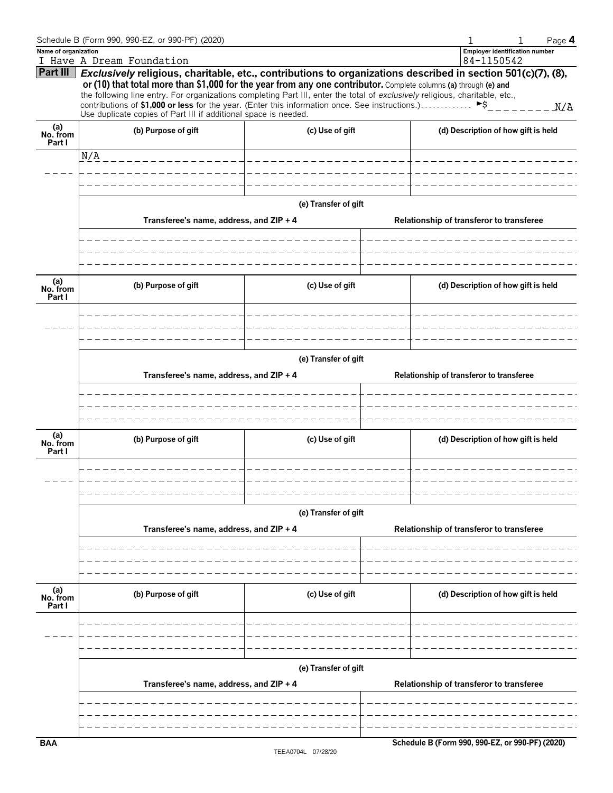|                           | Schedule B (Form 990, 990-EZ, or 990-PF) (2020)                                                                                                                    |                       |                                                 | Page 4 |
|---------------------------|--------------------------------------------------------------------------------------------------------------------------------------------------------------------|-----------------------|-------------------------------------------------|--------|
| Name of organization      |                                                                                                                                                                    |                       | <b>Employer identification number</b>           |        |
| Part III                  | I Have A Dream Foundation<br>Exclusively religious, charitable, etc., contributions to organizations described in section 501(c)(7), (8),                          |                       | 84-1150542                                      |        |
|                           | or (10) that total more than \$1,000 for the year from any one contributor. Complete columns (a) through (e) and                                                   |                       |                                                 |        |
|                           | the following line entry. For organizations completing Part III, enter the total of exclusively religious, charitable, etc.,                                       |                       |                                                 |        |
|                           | contributions of \$1,000 or less for the year. (Enter this information once. See instructions.)<br>Use duplicate copies of Part III if additional space is needed. |                       | $\blacktriangleright$ \$                        | M/A    |
| (a)<br>No. from           | (b) Purpose of gift                                                                                                                                                | (c) Use of gift       | (d) Description of how gift is held             |        |
| Part I                    |                                                                                                                                                                    |                       |                                                 |        |
|                           | N/A<br>_________________                                                                                                                                           | _____________________ |                                                 |        |
|                           |                                                                                                                                                                    |                       |                                                 |        |
|                           |                                                                                                                                                                    |                       |                                                 |        |
|                           |                                                                                                                                                                    | (e) Transfer of gift  |                                                 |        |
|                           | Transferee's name, address, and ZIP + 4                                                                                                                            |                       | Relationship of transferor to transferee        |        |
|                           |                                                                                                                                                                    |                       |                                                 |        |
|                           |                                                                                                                                                                    |                       |                                                 |        |
|                           |                                                                                                                                                                    |                       |                                                 |        |
|                           |                                                                                                                                                                    |                       |                                                 |        |
| (a)<br>No. from           | (b) Purpose of gift                                                                                                                                                | (c) Use of gift       | (d) Description of how gift is held             |        |
| Part I                    |                                                                                                                                                                    |                       |                                                 |        |
|                           |                                                                                                                                                                    |                       |                                                 |        |
|                           |                                                                                                                                                                    |                       |                                                 |        |
|                           |                                                                                                                                                                    |                       |                                                 |        |
|                           |                                                                                                                                                                    | (e) Transfer of gift  |                                                 |        |
|                           | Transferee's name, address, and ZIP + 4                                                                                                                            |                       | Relationship of transferor to transferee        |        |
|                           |                                                                                                                                                                    |                       |                                                 |        |
|                           |                                                                                                                                                                    |                       |                                                 |        |
|                           |                                                                                                                                                                    |                       |                                                 |        |
|                           |                                                                                                                                                                    |                       |                                                 |        |
| (a)<br>No. from<br>Part I | (b) Purpose of gift                                                                                                                                                | (c) Use of gift       | (d) Description of how gift is held             |        |
|                           |                                                                                                                                                                    |                       |                                                 |        |
|                           |                                                                                                                                                                    |                       |                                                 |        |
|                           |                                                                                                                                                                    |                       |                                                 |        |
|                           |                                                                                                                                                                    |                       |                                                 |        |
|                           |                                                                                                                                                                    | (e) Transfer of gift  |                                                 |        |
|                           | Transferee's name, address, and ZIP + 4                                                                                                                            |                       | Relationship of transferor to transferee        |        |
|                           |                                                                                                                                                                    |                       |                                                 |        |
|                           |                                                                                                                                                                    |                       |                                                 |        |
|                           |                                                                                                                                                                    |                       |                                                 |        |
|                           |                                                                                                                                                                    |                       |                                                 |        |
| (a)<br>No. from           | (b) Purpose of gift                                                                                                                                                | (c) Use of gift       | (d) Description of how gift is held             |        |
| Part I                    |                                                                                                                                                                    |                       |                                                 |        |
|                           |                                                                                                                                                                    |                       |                                                 |        |
|                           |                                                                                                                                                                    |                       |                                                 |        |
|                           |                                                                                                                                                                    |                       |                                                 |        |
|                           |                                                                                                                                                                    | (e) Transfer of gift  |                                                 |        |
|                           | Transferee's name, address, and ZIP + 4                                                                                                                            |                       | Relationship of transferor to transferee        |        |
|                           |                                                                                                                                                                    |                       |                                                 |        |
|                           |                                                                                                                                                                    |                       |                                                 |        |
|                           |                                                                                                                                                                    |                       |                                                 |        |
| <b>BAA</b>                |                                                                                                                                                                    |                       | Schedule B (Form 990, 990-EZ, or 990-PF) (2020) |        |
|                           |                                                                                                                                                                    |                       |                                                 |        |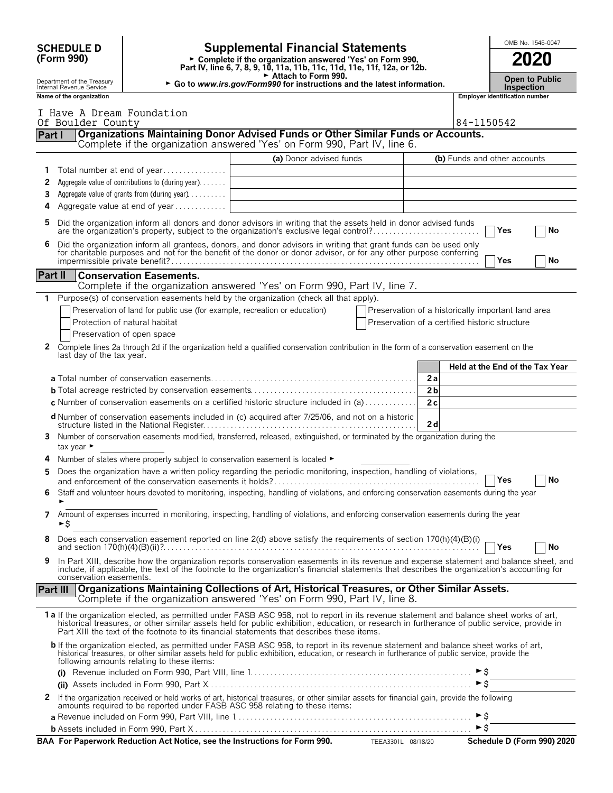|              |                                                                                                                                                                                                                                            |                                                                                |                                                                                                                                                                                                                                                                                                                                                                                        |            |                                                    |                                            |                                       | OMB No. 1545-0047               |
|--------------|--------------------------------------------------------------------------------------------------------------------------------------------------------------------------------------------------------------------------------------------|--------------------------------------------------------------------------------|----------------------------------------------------------------------------------------------------------------------------------------------------------------------------------------------------------------------------------------------------------------------------------------------------------------------------------------------------------------------------------------|------------|----------------------------------------------------|--------------------------------------------|---------------------------------------|---------------------------------|
|              | <b>Supplemental Financial Statements</b><br><b>SCHEDULE D</b><br>(Form 990)<br>Complete if the organization answered 'Yes' on Form 990,<br>Part IV, line 6, 7, 8, 9, 10, 11a, 11b, 11c, 11d, 11e, 11f, 12a, or 12b.<br>Attach to Form 990. |                                                                                |                                                                                                                                                                                                                                                                                                                                                                                        |            |                                                    |                                            |                                       | 2020                            |
|              | Department of the Treasury<br>Internal Revenue Service                                                                                                                                                                                     | ► Go to www.irs.gov/Form990 for instructions and the latest information.       |                                                                                                                                                                                                                                                                                                                                                                                        | Inspection | <b>Open to Public</b>                              |                                            |                                       |                                 |
|              | Name of the organization                                                                                                                                                                                                                   |                                                                                |                                                                                                                                                                                                                                                                                                                                                                                        |            |                                                    |                                            | <b>Employer identification number</b> |                                 |
|              | I Have A Dream Foundation<br>Of Boulder County                                                                                                                                                                                             |                                                                                | Organizations Maintaining Donor Advised Funds or Other Similar Funds or Accounts.                                                                                                                                                                                                                                                                                                      |            |                                                    | 84-1150542                                 |                                       |                                 |
| Part I       |                                                                                                                                                                                                                                            |                                                                                | Complete if the organization answered 'Yes' on Form 990, Part IV, line 6.                                                                                                                                                                                                                                                                                                              |            |                                                    |                                            |                                       |                                 |
|              |                                                                                                                                                                                                                                            |                                                                                | (a) Donor advised funds                                                                                                                                                                                                                                                                                                                                                                |            |                                                    |                                            | (b) Funds and other accounts          |                                 |
| 1            |                                                                                                                                                                                                                                            | Total number at end of year                                                    |                                                                                                                                                                                                                                                                                                                                                                                        |            |                                                    |                                            |                                       |                                 |
| 2            |                                                                                                                                                                                                                                            | Aggregate value of contributions to (during year)                              |                                                                                                                                                                                                                                                                                                                                                                                        |            |                                                    |                                            |                                       |                                 |
| 3<br>4       |                                                                                                                                                                                                                                            | Aggregate value of grants from (during year)<br>Aggregate value at end of year |                                                                                                                                                                                                                                                                                                                                                                                        |            |                                                    |                                            |                                       |                                 |
| 5.           |                                                                                                                                                                                                                                            |                                                                                | Did the organization inform all donors and donor advisors in writing that the assets held in donor advised funds                                                                                                                                                                                                                                                                       |            |                                                    |                                            |                                       |                                 |
|              |                                                                                                                                                                                                                                            |                                                                                | are the organization's property, subject to the organization's exclusive legal control?                                                                                                                                                                                                                                                                                                |            |                                                    |                                            | <b>Yes</b>                            | No                              |
| 6.           |                                                                                                                                                                                                                                            |                                                                                | Did the organization inform all grantees, donors, and donor advisors in writing that grant funds can be used only<br>for charitable purposes and not for the benefit of the donor or donor advisor, or for any other purpose conferring                                                                                                                                                |            |                                                    |                                            | Yes                                   | No                              |
| Part II      |                                                                                                                                                                                                                                            | <b>Conservation Easements.</b>                                                 |                                                                                                                                                                                                                                                                                                                                                                                        |            |                                                    |                                            |                                       |                                 |
| 1            |                                                                                                                                                                                                                                            |                                                                                | Complete if the organization answered 'Yes' on Form 990, Part IV, line 7.<br>Purpose(s) of conservation easements held by the organization (check all that apply).                                                                                                                                                                                                                     |            |                                                    |                                            |                                       |                                 |
|              |                                                                                                                                                                                                                                            | Preservation of land for public use (for example, recreation or education)     |                                                                                                                                                                                                                                                                                                                                                                                        |            | Preservation of a historically important land area |                                            |                                       |                                 |
|              |                                                                                                                                                                                                                                            | Protection of natural habitat                                                  |                                                                                                                                                                                                                                                                                                                                                                                        |            | Preservation of a certified historic structure     |                                            |                                       |                                 |
|              |                                                                                                                                                                                                                                            | Preservation of open space                                                     |                                                                                                                                                                                                                                                                                                                                                                                        |            |                                                    |                                            |                                       |                                 |
| 2            | last day of the tax year.                                                                                                                                                                                                                  |                                                                                | Complete lines 2a through 2d if the organization held a qualified conservation contribution in the form of a conservation easement on the                                                                                                                                                                                                                                              |            |                                                    |                                            |                                       |                                 |
|              |                                                                                                                                                                                                                                            |                                                                                |                                                                                                                                                                                                                                                                                                                                                                                        |            | 2a                                                 |                                            |                                       | Held at the End of the Tax Year |
|              |                                                                                                                                                                                                                                            |                                                                                |                                                                                                                                                                                                                                                                                                                                                                                        |            | 2 <sub>b</sub>                                     |                                            |                                       |                                 |
|              |                                                                                                                                                                                                                                            |                                                                                | <b>c</b> Number of conservation easements on a certified historic structure included in (a) $\dots$                                                                                                                                                                                                                                                                                    |            | 2c                                                 |                                            |                                       |                                 |
|              |                                                                                                                                                                                                                                            |                                                                                | d Number of conservation easements included in (c) acquired after 7/25/06, and not on a historic                                                                                                                                                                                                                                                                                       |            | 2d                                                 |                                            |                                       |                                 |
| 3.           | tax year $\blacktriangleright$                                                                                                                                                                                                             |                                                                                | Number of conservation easements modified, transferred, released, extinguished, or terminated by the organization during the                                                                                                                                                                                                                                                           |            |                                                    |                                            |                                       |                                 |
|              |                                                                                                                                                                                                                                            |                                                                                | Number of states where property subject to conservation easement is located ►                                                                                                                                                                                                                                                                                                          |            |                                                    |                                            |                                       |                                 |
|              |                                                                                                                                                                                                                                            |                                                                                | Does the organization have a written policy regarding the periodic monitoring, inspection, handling of violations,                                                                                                                                                                                                                                                                     |            |                                                    |                                            | Yes                                   | No                              |
| 6.           |                                                                                                                                                                                                                                            |                                                                                | Staff and volunteer hours devoted to monitoring, inspecting, handling of violations, and enforcing conservation easements during the year                                                                                                                                                                                                                                              |            |                                                    |                                            |                                       |                                 |
| 7            | ►\$                                                                                                                                                                                                                                        |                                                                                | Amount of expenses incurred in monitoring, inspecting, handling of violations, and enforcing conservation easements during the year                                                                                                                                                                                                                                                    |            |                                                    |                                            |                                       |                                 |
| 8            |                                                                                                                                                                                                                                            |                                                                                | Does each conservation easement reported on line 2(d) above satisfy the requirements of section 170(h)(4)(B)(i)                                                                                                                                                                                                                                                                        |            |                                                    |                                            |                                       | No                              |
| 9            | conservation easements.                                                                                                                                                                                                                    |                                                                                | In Part XIII, describe how the organization reports conservation easements in its revenue and expense statement and balance sheet, and<br>include, if applicable, the text of the footnote to the organization's financial statements that describes the organization's accounting for                                                                                                 |            |                                                    |                                            |                                       |                                 |
|              |                                                                                                                                                                                                                                            |                                                                                | Part III   Organizations Maintaining Collections of Art, Historical Treasures, or Other Similar Assets.<br>Complete if the organization answered 'Yes' on Form 990, Part IV, line 8.                                                                                                                                                                                                   |            |                                                    |                                            |                                       |                                 |
|              |                                                                                                                                                                                                                                            |                                                                                | 1a If the organization elected, as permitted under FASB ASC 958, not to report in its revenue statement and balance sheet works of art,<br>historical treasures, or other similar assets held for public exhibition, education, or research in furtherance of public service, provide in<br>Part XIII the text of the footnote to its financial statements that describes these items. |            |                                                    |                                            |                                       |                                 |
|              |                                                                                                                                                                                                                                            | following amounts relating to these items:                                     | <b>b</b> If the organization elected, as permitted under FASB ASC 958, to report in its revenue statement and balance sheet works of art, historical treasures, or other similar assets held for public exhibition, education, or r                                                                                                                                                    |            |                                                    |                                            |                                       |                                 |
|              |                                                                                                                                                                                                                                            |                                                                                |                                                                                                                                                                                                                                                                                                                                                                                        |            |                                                    |                                            |                                       |                                 |
|              |                                                                                                                                                                                                                                            |                                                                                |                                                                                                                                                                                                                                                                                                                                                                                        |            |                                                    | $\triangleright$ \$                        |                                       |                                 |
| $\mathbf{z}$ |                                                                                                                                                                                                                                            |                                                                                | If the organization received or held works of art, historical treasures, or other similar assets for financial gain, provide the following<br>amounts required to be reported under FASB ASC 958 relating to these items:                                                                                                                                                              |            |                                                    |                                            |                                       |                                 |
|              |                                                                                                                                                                                                                                            |                                                                                |                                                                                                                                                                                                                                                                                                                                                                                        |            |                                                    | $\triangleright$ \$<br>$\triangleright$ \$ |                                       |                                 |
|              |                                                                                                                                                                                                                                            |                                                                                | BAA For Paperwork Reduction Act Notice, see the Instructions for Form 990. TEEA3301L 08/18/20                                                                                                                                                                                                                                                                                          |            |                                                    |                                            |                                       | Schedule D (Form 990) 2020      |
|              |                                                                                                                                                                                                                                            |                                                                                |                                                                                                                                                                                                                                                                                                                                                                                        |            |                                                    |                                            |                                       |                                 |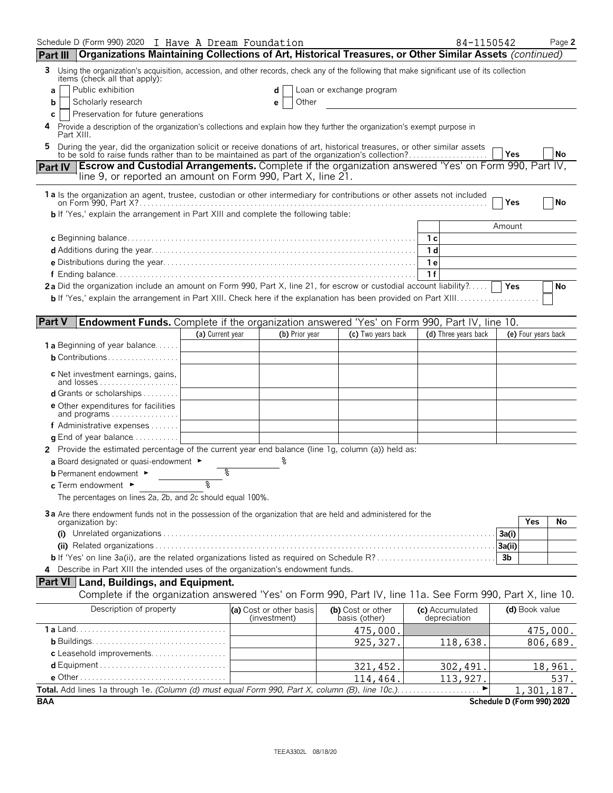| Schedule D (Form 990) 2020 I Have A Dream Foundation                                                                                                                                                                           |                  |                                         |                                    | 84-1150542                      |                            |                     | Page 2   |
|--------------------------------------------------------------------------------------------------------------------------------------------------------------------------------------------------------------------------------|------------------|-----------------------------------------|------------------------------------|---------------------------------|----------------------------|---------------------|----------|
| Organizations Maintaining Collections of Art, Historical Treasures, or Other Similar Assets (continued)<br>Part III                                                                                                            |                  |                                         |                                    |                                 |                            |                     |          |
| Using the organization's acquisition, accession, and other records, check any of the following that make significant use of its collection<br>3<br>items (check all that apply):                                               |                  |                                         |                                    |                                 |                            |                     |          |
| Public exhibition<br>a                                                                                                                                                                                                         |                  | d                                       | Loan or exchange program           |                                 |                            |                     |          |
| Scholarly research<br>b                                                                                                                                                                                                        |                  | Other<br>е                              |                                    |                                 |                            |                     |          |
| Preservation for future generations<br>C<br>Provide a description of the organization's collections and explain how they further the organization's exempt purpose in                                                          |                  |                                         |                                    |                                 |                            |                     |          |
| Part XIII.                                                                                                                                                                                                                     |                  |                                         |                                    |                                 |                            |                     |          |
| During the year, did the organization solicit or receive donations of art, historical treasures, or other similar assets to be sold to raise funds rather than to be maintained as part of the organization's collection?<br>5 |                  |                                         |                                    |                                 | l Yes                      |                     | No       |
| Part IV Escrow and Custodial Arrangements. Complete if the organization answered 'Yes' on Form 990, Part IV,<br>line 9, or reported an amount on Form 990, Part X, line 21.                                                    |                  |                                         |                                    |                                 |                            |                     |          |
| 1a Is the organization an agent, trustee, custodian or other intermediary for contributions or other assets not included                                                                                                       |                  |                                         |                                    |                                 | Yes                        |                     | No       |
| <b>b</b> If 'Yes,' explain the arrangement in Part XIII and complete the following table:                                                                                                                                      |                  |                                         |                                    |                                 |                            |                     |          |
|                                                                                                                                                                                                                                |                  |                                         |                                    |                                 | Amount                     |                     |          |
|                                                                                                                                                                                                                                |                  |                                         |                                    | 1 с                             |                            |                     |          |
|                                                                                                                                                                                                                                |                  |                                         |                                    | 1 d                             |                            |                     |          |
|                                                                                                                                                                                                                                |                  |                                         |                                    | 1 e                             |                            |                     |          |
| 2a Did the organization include an amount on Form 990, Part X, line 21, for escrow or custodial account liability?                                                                                                             |                  |                                         |                                    | 1f                              |                            |                     |          |
|                                                                                                                                                                                                                                |                  |                                         |                                    |                                 |                            |                     | No       |
|                                                                                                                                                                                                                                |                  |                                         |                                    |                                 |                            |                     |          |
| <b>Part V</b><br>Endowment Funds. Complete if the organization answered 'Yes' on Form 990, Part IV, line 10.                                                                                                                   |                  |                                         |                                    |                                 |                            |                     |          |
|                                                                                                                                                                                                                                | (a) Current year | (b) Prior year                          | (c) Two years back                 | (d) Three years back            |                            | (e) Four years back |          |
| <b>1 a</b> Beginning of year balance                                                                                                                                                                                           |                  |                                         |                                    |                                 |                            |                     |          |
| <b>b</b> Contributions                                                                                                                                                                                                         |                  |                                         |                                    |                                 |                            |                     |          |
| <b>c</b> Net investment earnings, gains,                                                                                                                                                                                       |                  |                                         |                                    |                                 |                            |                     |          |
| d Grants or scholarships                                                                                                                                                                                                       |                  |                                         |                                    |                                 |                            |                     |          |
| <b>e</b> Other expenditures for facilities<br>and programs                                                                                                                                                                     |                  |                                         |                                    |                                 |                            |                     |          |
| f Administrative expenses                                                                                                                                                                                                      |                  |                                         |                                    |                                 |                            |                     |          |
| <b>q</b> End of year balance $\dots\dots\dots\dots$                                                                                                                                                                            |                  |                                         |                                    |                                 |                            |                     |          |
| 2 Provide the estimated percentage of the current year end balance (line 1g, column (a)) held as:                                                                                                                              |                  |                                         |                                    |                                 |                            |                     |          |
| a Board designated or quasi-endowment $\blacktriangleright$                                                                                                                                                                    |                  |                                         |                                    |                                 |                            |                     |          |
| <b>b</b> Permanent endowment ►                                                                                                                                                                                                 |                  |                                         |                                    |                                 |                            |                     |          |
| c Term endowment ►                                                                                                                                                                                                             | ୭                |                                         |                                    |                                 |                            |                     |          |
| The percentages on lines 2a, 2b, and 2c should equal 100%.                                                                                                                                                                     |                  |                                         |                                    |                                 |                            |                     |          |
| 3a Are there endowment funds not in the possession of the organization that are held and administered for the                                                                                                                  |                  |                                         |                                    |                                 |                            |                     |          |
| organization by:                                                                                                                                                                                                               |                  |                                         |                                    |                                 |                            | Yes                 | No       |
|                                                                                                                                                                                                                                |                  |                                         |                                    |                                 | 3a(i)<br>3a(ii)            |                     |          |
|                                                                                                                                                                                                                                |                  |                                         |                                    |                                 | 3 <sub>b</sub>             |                     |          |
| 4 Describe in Part XIII the intended uses of the organization's endowment funds.                                                                                                                                               |                  |                                         |                                    |                                 |                            |                     |          |
| <b>Part VI   Land, Buildings, and Equipment.</b>                                                                                                                                                                               |                  |                                         |                                    |                                 |                            |                     |          |
| Complete if the organization answered 'Yes' on Form 990, Part IV, line 11a. See Form 990, Part X, line 10.                                                                                                                     |                  |                                         |                                    |                                 |                            |                     |          |
| Description of property                                                                                                                                                                                                        |                  | (a) Cost or other basis<br>(investment) | (b) Cost or other<br>basis (other) | (c) Accumulated<br>depreciation |                            | (d) Book value      |          |
|                                                                                                                                                                                                                                |                  |                                         | 475,000.                           |                                 |                            |                     | 475,000. |
|                                                                                                                                                                                                                                |                  |                                         | 925, 327.                          | 118,638.                        |                            |                     | 806,689. |
| c Leasehold improvements                                                                                                                                                                                                       |                  |                                         |                                    |                                 |                            |                     |          |
|                                                                                                                                                                                                                                |                  |                                         | 321,452.                           | 302, 491.                       |                            |                     | 18,961.  |
|                                                                                                                                                                                                                                |                  |                                         | 114,464.                           | 113,927.                        |                            |                     | 537.     |
| Total. Add lines 1a through 1e. (Column (d) must equal Form 990, Part X, column (B), line 10c.).                                                                                                                               |                  |                                         |                                    |                                 |                            | 1,301,187.          |          |
| <b>BAA</b>                                                                                                                                                                                                                     |                  |                                         |                                    |                                 | Schedule D (Form 990) 2020 |                     |          |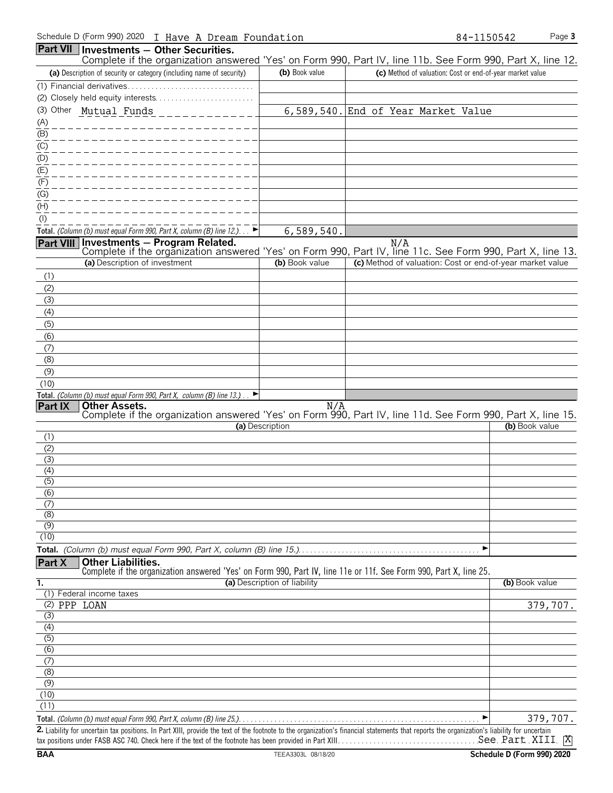| <b>Part VII Investments - Other Securities.</b><br>Complete if the organization answered 'Yes' on Form 990, Part IV, line 11b. See Form 990, Part X, line 12.                              |                              |                                                           |                |
|--------------------------------------------------------------------------------------------------------------------------------------------------------------------------------------------|------------------------------|-----------------------------------------------------------|----------------|
| (a) Description of security or category (including name of security)                                                                                                                       | (b) Book value               | (c) Method of valuation: Cost or end-of-year market value |                |
|                                                                                                                                                                                            |                              |                                                           |                |
|                                                                                                                                                                                            |                              |                                                           |                |
| (3) Other Mutual Funds                                                                                                                                                                     |                              | 6,589,540. End of Year Market Value                       |                |
|                                                                                                                                                                                            |                              |                                                           |                |
| $\frac{(A)}{(B)}$                                                                                                                                                                          |                              |                                                           |                |
|                                                                                                                                                                                            |                              |                                                           |                |
| $\frac{1}{1}$<br>(C)<br>(D)<br>(E)                                                                                                                                                         |                              |                                                           |                |
|                                                                                                                                                                                            |                              |                                                           |                |
| (F)                                                                                                                                                                                        |                              |                                                           |                |
| (G)                                                                                                                                                                                        |                              |                                                           |                |
| (H)                                                                                                                                                                                        |                              |                                                           |                |
| $($ l $)$                                                                                                                                                                                  |                              |                                                           |                |
| Total. (Column (b) must equal Form 990, Part X, column (B) line 12.). $\Box$                                                                                                               | 6,589,540.                   |                                                           |                |
| Investments - Program Related.<br><b>Part VIII</b><br>Complete if the organization answered 'Yes' on Form 990, Part IV, line 11c. See Form 990, Part X, line 13.                           |                              | N/A                                                       |                |
| (a) Description of investment                                                                                                                                                              | (b) Book value               | (c) Method of valuation: Cost or end-of-year market value |                |
| (1)                                                                                                                                                                                        |                              |                                                           |                |
| (2)                                                                                                                                                                                        |                              |                                                           |                |
| (3)                                                                                                                                                                                        |                              |                                                           |                |
| (4)                                                                                                                                                                                        |                              |                                                           |                |
| (5)                                                                                                                                                                                        |                              |                                                           |                |
| (6)                                                                                                                                                                                        |                              |                                                           |                |
| (7)                                                                                                                                                                                        |                              |                                                           |                |
| (8)                                                                                                                                                                                        |                              |                                                           |                |
| (9)                                                                                                                                                                                        |                              |                                                           |                |
| (10)                                                                                                                                                                                       |                              |                                                           |                |
| Total. (Column (b) must equal Form 990, Part X, column (B) line 13.)<br>▸<br><b>Part IX</b><br><b>Other Assets.</b>                                                                        | N/A                          |                                                           |                |
| Complete if the organization answered 'Yes' on Form 990, Part IV, line 11d. See Form 990, Part X, line 15.                                                                                 |                              |                                                           |                |
|                                                                                                                                                                                            | (a) Description              |                                                           | (b) Book value |
| (1)                                                                                                                                                                                        |                              |                                                           |                |
| (2)                                                                                                                                                                                        |                              |                                                           |                |
| (3)<br>(4)                                                                                                                                                                                 |                              |                                                           |                |
| (5)                                                                                                                                                                                        |                              |                                                           |                |
| (6)                                                                                                                                                                                        |                              |                                                           |                |
| (7)                                                                                                                                                                                        |                              |                                                           |                |
| (8)                                                                                                                                                                                        |                              |                                                           |                |
| (9)                                                                                                                                                                                        |                              |                                                           |                |
| (10)                                                                                                                                                                                       |                              | ▶                                                         |                |
| <b>Other Liabilities.</b>                                                                                                                                                                  |                              |                                                           |                |
| <b>Part X</b><br>Complete if the organization answered 'Yes' on Form 990, Part IV, line 11e or 11f. See Form 990, Part X, line 25.                                                         |                              |                                                           |                |
| 1.                                                                                                                                                                                         | (a) Description of liability |                                                           | (b) Book value |
| (1) Federal income taxes                                                                                                                                                                   |                              |                                                           |                |
| (2) PPP LOAN                                                                                                                                                                               |                              |                                                           | 379,707.       |
| (3)                                                                                                                                                                                        |                              |                                                           |                |
| (4)<br>(5)                                                                                                                                                                                 |                              |                                                           |                |
| (6)                                                                                                                                                                                        |                              |                                                           |                |
| $\overline{(7)}$                                                                                                                                                                           |                              |                                                           |                |
| $\overline{(\mathcal{S})}$                                                                                                                                                                 |                              |                                                           |                |
| (9)                                                                                                                                                                                        |                              |                                                           |                |
| (10)                                                                                                                                                                                       |                              |                                                           |                |
| (11)                                                                                                                                                                                       |                              |                                                           |                |
|                                                                                                                                                                                            |                              |                                                           | 379,707.       |
| 2 Lightlify for uncertain tax positions. In Part VIII, provide the toxt of the footpote to the erganization's financial statements that reports the erganization's lighility for uncertain |                              |                                                           |                |

2. Liability for uncertain tax positions. In Part XIII, provide the text of the footnote to the organization's financial statements that reports the organization's lia tax positions under FASB ASC 740. Check here if the text of the footnote has been provided in Part XIII. . . . . . . . . . . . . . . . . . . . . . . . . . . . . . . . . . . . . . . . . . . . . . . . . . . . . . . . X See Part XIII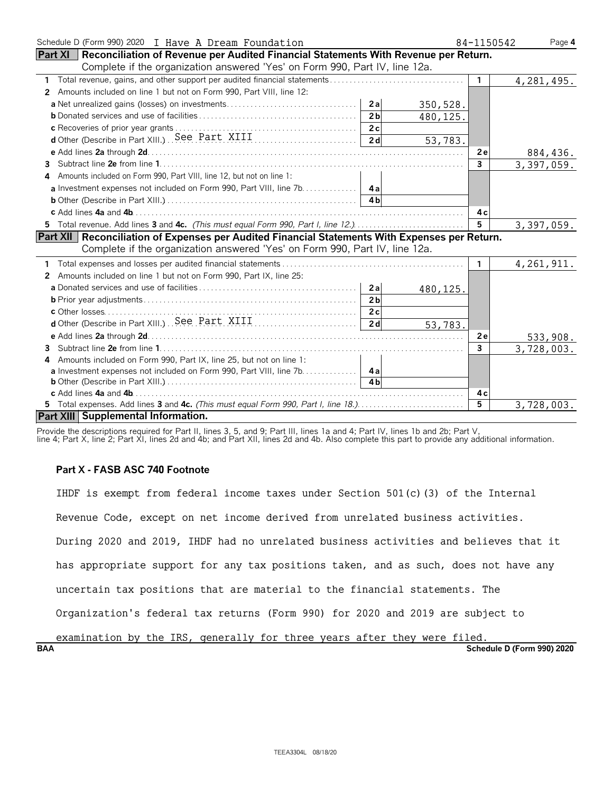| Schedule D (Form 990) 2020 I Have A Dream Foundation                                                  | 84-1150542     | Page 4       |
|-------------------------------------------------------------------------------------------------------|----------------|--------------|
| Part XI   Reconciliation of Revenue per Audited Financial Statements With Revenue per Return.         |                |              |
| Complete if the organization answered 'Yes' on Form 990, Part IV, line 12a.                           |                |              |
| 1                                                                                                     | $\mathbf{1}$   | 4, 281, 495. |
| Amounts included on line 1 but not on Form 990, Part VIII, line 12:<br>2                              |                |              |
| 350, 528.                                                                                             |                |              |
| 2 <sub>b</sub><br>480,125.                                                                            |                |              |
|                                                                                                       |                |              |
| d Other (Describe in Part XIII) See Part XIII (2008)<br>53,783.                                       |                |              |
|                                                                                                       | 2e             | 884,436.     |
| 3.                                                                                                    | $\overline{3}$ | 3,397,059.   |
| Amounts included on Form 990, Part VIII, line 12, but not on line 1:                                  |                |              |
|                                                                                                       |                |              |
|                                                                                                       |                |              |
|                                                                                                       | 4с             |              |
| 5 Total revenue. Add lines 3 and 4c. (This must equal Form 990, Part I, line 12.)                     | $5^{\circ}$    | 3,397,059.   |
| <b>Part XII Reconciliation of Expenses per Audited Financial Statements With Expenses per Return.</b> |                |              |
| Complete if the organization answered 'Yes' on Form 990, Part IV, line 12a.                           |                |              |
|                                                                                                       | $\mathbf{1}$   | 4, 261, 911. |
| Amounts included on line 1 but not on Form 990, Part IX, line 25:<br>2                                |                |              |
| 480,125.                                                                                              |                |              |
| 2 <sub>b</sub>                                                                                        |                |              |
|                                                                                                       |                |              |
| 2d<br>53,783.                                                                                         |                |              |
|                                                                                                       | 2e             | 533,908.     |
| 3                                                                                                     | $\mathbf{3}$   | 3,728,003.   |
| Amounts included on Form 990, Part IX, line 25, but not on line 1:<br>4                               |                |              |
| a Investment expenses not included on Form 990, Part VIII, line 7b. 4a                                |                |              |
| <b>4h</b>                                                                                             |                |              |
|                                                                                                       | 4 c            |              |
|                                                                                                       | $\overline{5}$ | 3,728,003.   |
| Part XIII Supplemental Information.                                                                   |                |              |

Provide the descriptions required for Part II, lines 3, 5, and 9; Part III, lines 1a and 4; Part IV, lines 1b and 2b; Part V,

line 4; Part X, line 2; Part XI, lines 2d and 4b; and Part XII, lines 2d and 4b. Also complete this part to provide any additional information.

#### **Part X - FASB ASC 740 Footnote**

IHDF is exempt from federal income taxes under Section 501(c)(3) of the Internal Revenue Code, except on net income derived from unrelated business activities. During 2020 and 2019, IHDF had no unrelated business activities and believes that it has appropriate support for any tax positions taken, and as such, does not have any uncertain tax positions that are material to the financial statements. The Organization's federal tax returns (Form 990) for 2020 and 2019 are subject to examination by the IRS, generally for three years after they were filed.

**BAA Schedule D (Form 990) 2020**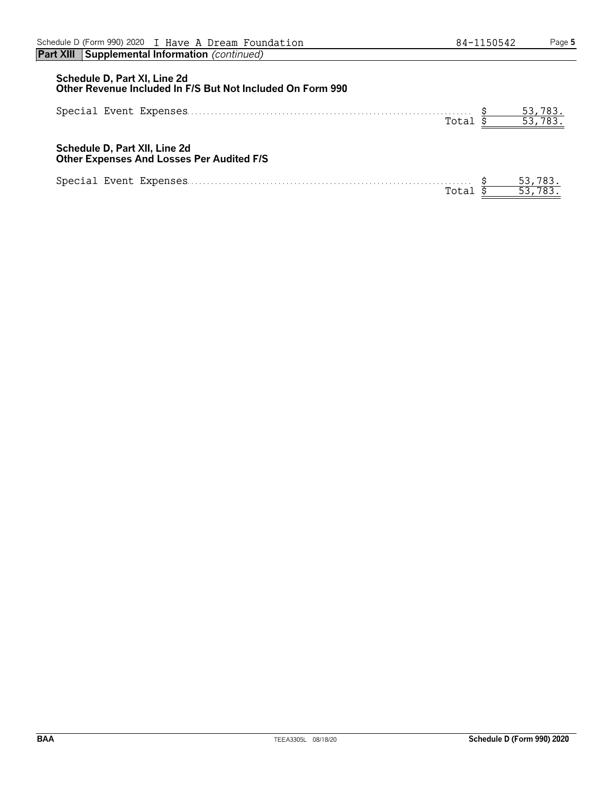| Schedule D, Part XI, Line 2d<br>Other Revenue Included In F/S But Not Included On Form 990 |                   |
|--------------------------------------------------------------------------------------------|-------------------|
| Total                                                                                      | 53,783.<br>53,783 |
| Schedule D, Part XII, Line 2d<br>Other Expenses And Losses Per Audited F/S                 |                   |
| Total                                                                                      | 53,783.           |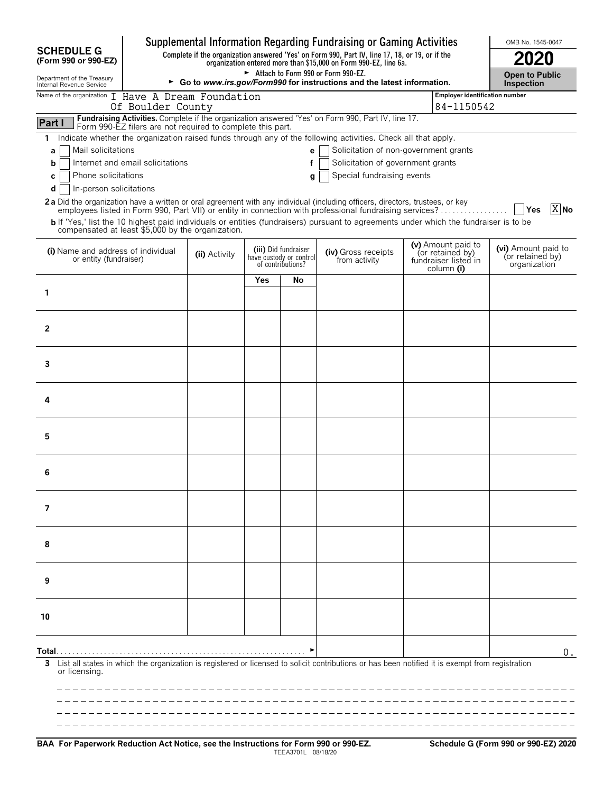|                                                                                                                                                                                                                                          |                                                                                                                |     |                                                                      | Supplemental Information Regarding Fundraising or Gaming Activities |  |                                                                              | OMB No. 1545-0047                                       |  |  |  |
|------------------------------------------------------------------------------------------------------------------------------------------------------------------------------------------------------------------------------------------|----------------------------------------------------------------------------------------------------------------|-----|----------------------------------------------------------------------|---------------------------------------------------------------------|--|------------------------------------------------------------------------------|---------------------------------------------------------|--|--|--|
| <b>SCHEDULE G</b><br>Complete if the organization answered 'Yes' on Form 990, Part IV, line 17, 18, or 19, or if the<br>(Form 990 or 990-EZ)                                                                                             |                                                                                                                |     |                                                                      |                                                                     |  |                                                                              |                                                         |  |  |  |
| Department of the Treasury<br>Internal Revenue Service                                                                                                                                                                                   | Attach to Form 990 or Form 990-EZ.<br>► Go to www.irs.gov/Form990 for instructions and the latest information. |     |                                                                      |                                                                     |  |                                                                              |                                                         |  |  |  |
| Name of the organization I Have A Dream Foundation<br>Of Boulder County                                                                                                                                                                  |                                                                                                                |     |                                                                      |                                                                     |  | Employer identification number                                               |                                                         |  |  |  |
| Fundraising Activities. Complete if the organization answered 'Yes' on Form 990, Part IV, line 17.<br>Part I<br>Form 990-EZ filers are not required to complete this part.                                                               |                                                                                                                |     |                                                                      |                                                                     |  | 84-1150542                                                                   |                                                         |  |  |  |
| Indicate whether the organization raised funds through any of the following activities. Check all that apply.<br>1.                                                                                                                      |                                                                                                                |     |                                                                      |                                                                     |  |                                                                              |                                                         |  |  |  |
| Mail solicitations<br>а                                                                                                                                                                                                                  |                                                                                                                |     | e <sub>1</sub>                                                       | Solicitation of non-government grants                               |  |                                                                              |                                                         |  |  |  |
| Internet and email solicitations<br>b<br>Phone solicitations<br>c                                                                                                                                                                        |                                                                                                                |     | f<br>q                                                               | Solicitation of government grants<br>Special fundraising events     |  |                                                                              |                                                         |  |  |  |
| d<br>In-person solicitations                                                                                                                                                                                                             |                                                                                                                |     |                                                                      |                                                                     |  |                                                                              |                                                         |  |  |  |
| 2a Did the organization have a written or oral agreement with any individual (including officers, directors, trustees, or key<br>employees listed in Form 990, Part VII) or entity in connection with professional fundraising services? |                                                                                                                |     |                                                                      |                                                                     |  |                                                                              | $X$ No<br>│ Yes                                         |  |  |  |
| b If 'Yes,' list the 10 highest paid individuals or entities (fundraisers) pursuant to agreements under which the fundraiser is to be<br>compensated at least \$5,000 by the organization.                                               |                                                                                                                |     |                                                                      |                                                                     |  |                                                                              |                                                         |  |  |  |
| (i) Name and address of individual<br>or entity (fundraiser)                                                                                                                                                                             | (ii) Activity                                                                                                  |     | (iii) Did fundraiser<br>have custody or control<br>of contributions? | (iv) Gross receipts<br>from activity                                |  | (v) Amount paid to<br>(or retained by)<br>fundraiser listed in<br>column (i) | (vi) Amount paid to<br>(or retained by)<br>organization |  |  |  |
|                                                                                                                                                                                                                                          |                                                                                                                | Yes | No                                                                   |                                                                     |  |                                                                              |                                                         |  |  |  |
| 1                                                                                                                                                                                                                                        |                                                                                                                |     |                                                                      |                                                                     |  |                                                                              |                                                         |  |  |  |
|                                                                                                                                                                                                                                          |                                                                                                                |     |                                                                      |                                                                     |  |                                                                              |                                                         |  |  |  |
| 2                                                                                                                                                                                                                                        |                                                                                                                |     |                                                                      |                                                                     |  |                                                                              |                                                         |  |  |  |
|                                                                                                                                                                                                                                          |                                                                                                                |     |                                                                      |                                                                     |  |                                                                              |                                                         |  |  |  |
| 3                                                                                                                                                                                                                                        |                                                                                                                |     |                                                                      |                                                                     |  |                                                                              |                                                         |  |  |  |
|                                                                                                                                                                                                                                          |                                                                                                                |     |                                                                      |                                                                     |  |                                                                              |                                                         |  |  |  |
| 4                                                                                                                                                                                                                                        |                                                                                                                |     |                                                                      |                                                                     |  |                                                                              |                                                         |  |  |  |
|                                                                                                                                                                                                                                          |                                                                                                                |     |                                                                      |                                                                     |  |                                                                              |                                                         |  |  |  |
| 5                                                                                                                                                                                                                                        |                                                                                                                |     |                                                                      |                                                                     |  |                                                                              |                                                         |  |  |  |
|                                                                                                                                                                                                                                          |                                                                                                                |     |                                                                      |                                                                     |  |                                                                              |                                                         |  |  |  |
| 6                                                                                                                                                                                                                                        |                                                                                                                |     |                                                                      |                                                                     |  |                                                                              |                                                         |  |  |  |
|                                                                                                                                                                                                                                          |                                                                                                                |     |                                                                      |                                                                     |  |                                                                              |                                                         |  |  |  |
| 7                                                                                                                                                                                                                                        |                                                                                                                |     |                                                                      |                                                                     |  |                                                                              |                                                         |  |  |  |
|                                                                                                                                                                                                                                          |                                                                                                                |     |                                                                      |                                                                     |  |                                                                              |                                                         |  |  |  |
| 8                                                                                                                                                                                                                                        |                                                                                                                |     |                                                                      |                                                                     |  |                                                                              |                                                         |  |  |  |
|                                                                                                                                                                                                                                          |                                                                                                                |     |                                                                      |                                                                     |  |                                                                              |                                                         |  |  |  |
| 9                                                                                                                                                                                                                                        |                                                                                                                |     |                                                                      |                                                                     |  |                                                                              |                                                         |  |  |  |
|                                                                                                                                                                                                                                          |                                                                                                                |     |                                                                      |                                                                     |  |                                                                              |                                                         |  |  |  |
| 10                                                                                                                                                                                                                                       |                                                                                                                |     |                                                                      |                                                                     |  |                                                                              |                                                         |  |  |  |
|                                                                                                                                                                                                                                          |                                                                                                                |     |                                                                      |                                                                     |  |                                                                              |                                                         |  |  |  |
| Total…                                                                                                                                                                                                                                   |                                                                                                                |     |                                                                      |                                                                     |  |                                                                              | $0$ .                                                   |  |  |  |
| List all states in which the organization is registered or licensed to solicit contributions or has been notified it is exempt from registration<br>3<br>or licensing.                                                                   |                                                                                                                |     |                                                                      |                                                                     |  |                                                                              |                                                         |  |  |  |
|                                                                                                                                                                                                                                          |                                                                                                                |     |                                                                      |                                                                     |  |                                                                              |                                                         |  |  |  |
|                                                                                                                                                                                                                                          |                                                                                                                |     |                                                                      |                                                                     |  |                                                                              |                                                         |  |  |  |
|                                                                                                                                                                                                                                          |                                                                                                                |     |                                                                      |                                                                     |  |                                                                              |                                                         |  |  |  |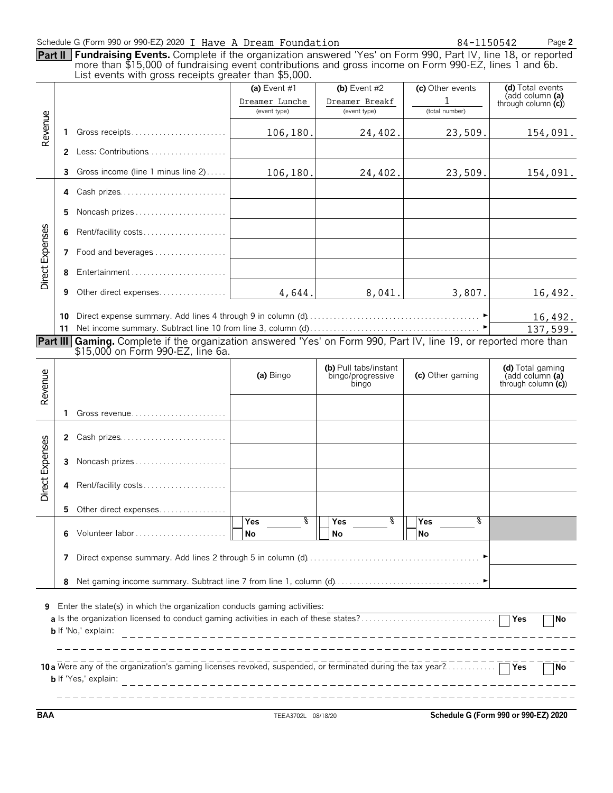| Part II         |                      | Schedule G (Form 990 or 990-EZ) 2020 I Have A Dream Foundation<br>Fundraising Events. Complete if the organization answered 'Yes' on Form 990, Part IV, line 18, or reported<br>more than \$15,000 of fundraising event contributions and gross income on Form 990-EZ, lines 1 and 6b.<br>List events with gross receipts greater than \$5,000. |                                                |                                                     | 84-1150542                              | Page 2                                                                             |
|-----------------|----------------------|-------------------------------------------------------------------------------------------------------------------------------------------------------------------------------------------------------------------------------------------------------------------------------------------------------------------------------------------------|------------------------------------------------|-----------------------------------------------------|-----------------------------------------|------------------------------------------------------------------------------------|
|                 |                      |                                                                                                                                                                                                                                                                                                                                                 | (a) Event #1<br>Dreamer Lunche<br>(event type) | (b) Event $#2$<br>Dreamer Breakf<br>(event type)    | (c) Other events<br>1<br>(total number) | (d) Total events<br>(add column (a)<br>through column $(c)$                        |
| Revenue         | 1.                   | Gross receipts                                                                                                                                                                                                                                                                                                                                  | 106,180.                                       | 24,402.                                             | 23,509.                                 | 154,091.                                                                           |
|                 | 2                    | Less: Contributions                                                                                                                                                                                                                                                                                                                             |                                                |                                                     |                                         |                                                                                    |
|                 | 3                    | Gross income (line 1 minus line 2)                                                                                                                                                                                                                                                                                                              | 106, 180.                                      | 24, 402.                                            | 23,509.                                 | 154,091.                                                                           |
|                 | 4                    | Cash prizes                                                                                                                                                                                                                                                                                                                                     |                                                |                                                     |                                         |                                                                                    |
|                 | 5                    | Noncash prizes                                                                                                                                                                                                                                                                                                                                  |                                                |                                                     |                                         |                                                                                    |
|                 | 6                    | Rent/facility costs                                                                                                                                                                                                                                                                                                                             |                                                |                                                     |                                         |                                                                                    |
|                 |                      | 7 Food and beverages                                                                                                                                                                                                                                                                                                                            |                                                |                                                     |                                         |                                                                                    |
| Direct Expenses | 8                    |                                                                                                                                                                                                                                                                                                                                                 |                                                |                                                     |                                         |                                                                                    |
|                 | 9                    | Other direct expenses                                                                                                                                                                                                                                                                                                                           |                                                | 4,644.<br>8,041.                                    | 3,807.                                  | 16,492.                                                                            |
|                 | 10<br>11<br>Part III | Gaming. Complete if the organization answered 'Yes' on Form 990, Part IV, line 19, or reported more than                                                                                                                                                                                                                                        |                                                |                                                     |                                         | 16,492.<br>137,599.                                                                |
|                 |                      | \$15,000 on Form 990-EZ, line 6a.                                                                                                                                                                                                                                                                                                               |                                                |                                                     |                                         |                                                                                    |
| Revenue         |                      |                                                                                                                                                                                                                                                                                                                                                 | (a) Bingo                                      | (b) Pull tabs/instant<br>bingo/progressive<br>bingo | (c) Other gaming                        | (d) Total gaming<br>$\mathsf{radd}$ column $\mathsf{fa}$<br>through column $(c)$ ) |
|                 | 1.                   |                                                                                                                                                                                                                                                                                                                                                 |                                                |                                                     |                                         |                                                                                    |
|                 | 2                    | Cash prizes                                                                                                                                                                                                                                                                                                                                     |                                                |                                                     |                                         |                                                                                    |
|                 | 3                    | Noncash prizes                                                                                                                                                                                                                                                                                                                                  |                                                |                                                     |                                         |                                                                                    |
| Direct Expenses | 4                    | Rent/facility costs                                                                                                                                                                                                                                                                                                                             |                                                |                                                     |                                         |                                                                                    |
|                 | 5.                   | Other direct expenses                                                                                                                                                                                                                                                                                                                           |                                                |                                                     |                                         |                                                                                    |
|                 | 6                    |                                                                                                                                                                                                                                                                                                                                                 | ႜ<br>Yes<br>No                                 | ႜ<br>Yes<br>No                                      | နွ<br>Yes<br>No                         |                                                                                    |
|                 | 7                    |                                                                                                                                                                                                                                                                                                                                                 |                                                |                                                     |                                         |                                                                                    |
|                 |                      |                                                                                                                                                                                                                                                                                                                                                 |                                                |                                                     |                                         |                                                                                    |
|                 | 8                    |                                                                                                                                                                                                                                                                                                                                                 |                                                |                                                     |                                         |                                                                                    |

| 10a Were any of the organization's gaming licenses revoked, suspended, or terminated during the tax year? | - I Nc |
|-----------------------------------------------------------------------------------------------------------|--------|
|                                                                                                           |        |
| <b>b</b> If 'Yes                                                                                          |        |

**BAA** TEEA3702L 08/18/20 **Schedule G (Form 990 or 990-EZ) 2020**

----------------------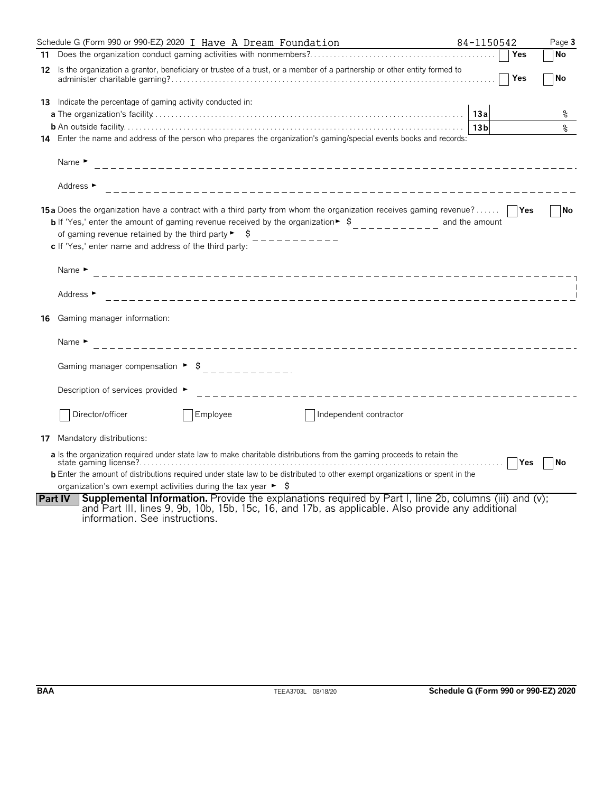|     | Schedule G (Form 990 or 990-EZ) 2020 I Have A Dream Foundation                                                                                                                                                                                                                                                                                                                               | 84-1150542      | Page 3    |
|-----|----------------------------------------------------------------------------------------------------------------------------------------------------------------------------------------------------------------------------------------------------------------------------------------------------------------------------------------------------------------------------------------------|-----------------|-----------|
|     |                                                                                                                                                                                                                                                                                                                                                                                              | Yes             | No        |
| 12  | Is the organization a grantor, beneficiary or trustee of a trust, or a member of a partnership or other entity formed to                                                                                                                                                                                                                                                                     | Yes             | No        |
| 13  | Indicate the percentage of gaming activity conducted in:                                                                                                                                                                                                                                                                                                                                     |                 |           |
|     |                                                                                                                                                                                                                                                                                                                                                                                              | 13a             | ႜ         |
|     |                                                                                                                                                                                                                                                                                                                                                                                              | 13 <sub>b</sub> | နွ        |
|     | 14 Enter the name and address of the person who prepares the organization's gaming/special events books and records:                                                                                                                                                                                                                                                                         |                 |           |
|     | Name $\blacktriangleright$                                                                                                                                                                                                                                                                                                                                                                   |                 |           |
|     | Address ►                                                                                                                                                                                                                                                                                                                                                                                    |                 |           |
|     | <b>15a</b> Does the organization have a contract with a third party from whom the organization receives gaming revenue?<br><b>b</b> If 'Yes,' enter the amount of gaming revenue received by the organization $\bullet$ $\circ$<br>of gaming revenue retained by the third party $\triangleright$ $\preceq$<br>$- - - - - - - - -$<br>c If 'Yes,' enter name and address of the third party: | and the amount  | l No      |
|     | Name $\blacktriangleright$                                                                                                                                                                                                                                                                                                                                                                   |                 |           |
|     | Address $\blacktriangleright$                                                                                                                                                                                                                                                                                                                                                                |                 |           |
| 16  | Gaming manager information:                                                                                                                                                                                                                                                                                                                                                                  |                 |           |
|     | Name $\blacktriangleright$                                                                                                                                                                                                                                                                                                                                                                   |                 |           |
|     | Gaming manager compensation ▶ $$$ _ _ _ _ _ _ _ _ _ _ _ _                                                                                                                                                                                                                                                                                                                                    |                 |           |
|     | Description of services provided ►<br>______________________________                                                                                                                                                                                                                                                                                                                         |                 |           |
|     | Employee<br>Director/officer<br>Independent contractor                                                                                                                                                                                                                                                                                                                                       |                 |           |
| 17. | Mandatory distributions:                                                                                                                                                                                                                                                                                                                                                                     |                 |           |
|     | a Is the organization required under state law to make charitable distributions from the gaming proceeds to retain the                                                                                                                                                                                                                                                                       |                 | <b>No</b> |
|     | <b>b</b> Enter the amount of distributions required under state law to be distributed to other exempt organizations or spent in the                                                                                                                                                                                                                                                          |                 |           |
|     | organization's own exempt activities during the tax year $\blacktriangleright$ $\blacklozenge$                                                                                                                                                                                                                                                                                               |                 |           |
|     | <b>Supplemental Information.</b> Provide the explanations required by Part I, line 2b, columns (iii) and (v);<br><b>Part IV</b><br>and Part III, lines 9, 9b, 10b, 15b, 15c, 16, and 17b, as applicable. Also provide any additional<br>information. See instructions.                                                                                                                       |                 |           |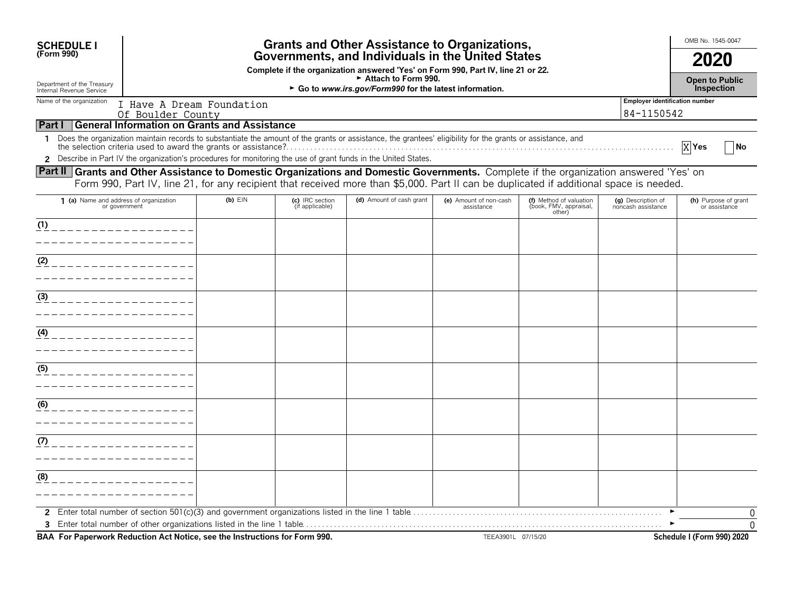| <b>SCHEDULE I</b>                                                                                                                      |                                                                                                                                                                    |                                                     |                                    | <b>Grants and Other Assistance to Organizations,</b>                                                                                                       |                                      |                                                             |                                          | OMB No. 1545-0047                     |
|----------------------------------------------------------------------------------------------------------------------------------------|--------------------------------------------------------------------------------------------------------------------------------------------------------------------|-----------------------------------------------------|------------------------------------|------------------------------------------------------------------------------------------------------------------------------------------------------------|--------------------------------------|-------------------------------------------------------------|------------------------------------------|---------------------------------------|
| (Form 990)                                                                                                                             | Governments, and Individuals in the United States                                                                                                                  |                                                     |                                    |                                                                                                                                                            |                                      |                                                             | 2020                                     |                                       |
| Department of the Treasury<br>Internal Revenue Service                                                                                 | Complete if the organization answered 'Yes' on Form 990, Part IV, line 21 or 22.<br>Attach to Form 990.<br>► Go to www.irs.gov/Form990 for the latest information. |                                                     |                                    |                                                                                                                                                            |                                      |                                                             |                                          | <b>Open to Public</b><br>Inspection   |
| Name of the organization                                                                                                               |                                                                                                                                                                    | I Have A Dream Foundation                           |                                    |                                                                                                                                                            |                                      |                                                             | <b>Employer identification number</b>    |                                       |
|                                                                                                                                        | Of Boulder County                                                                                                                                                  |                                                     |                                    |                                                                                                                                                            |                                      |                                                             | 84-1150542                               |                                       |
| <b>Part I</b>                                                                                                                          |                                                                                                                                                                    | <b>General Information on Grants and Assistance</b> |                                    |                                                                                                                                                            |                                      |                                                             |                                          |                                       |
| 1                                                                                                                                      |                                                                                                                                                                    |                                                     |                                    | Does the organization maintain records to substantiate the amount of the grants or assistance, the grantees' eligibility for the grants or assistance, and |                                      |                                                             |                                          | X Yes<br>  No                         |
|                                                                                                                                        |                                                                                                                                                                    |                                                     |                                    | 2 Describe in Part IV the organization's procedures for monitoring the use of grant funds in the United States.                                            |                                      |                                                             |                                          |                                       |
| Part II Grants and Other Assistance to Domestic Organizations and Domestic Governments. Complete if the organization answered 'Yes' on |                                                                                                                                                                    |                                                     |                                    | Form 990, Part IV, line 21, for any recipient that received more than \$5,000. Part II can be duplicated if additional space is needed.                    |                                      |                                                             |                                          |                                       |
| 1 (a) Name and address of organization<br>or government                                                                                |                                                                                                                                                                    | $(b)$ $E$ IN                                        | (c) IRC section<br>(if applicable) | (d) Amount of cash grant                                                                                                                                   | (e) Amount of non-cash<br>assistance | (f) Method of valuation<br>(book, FMV, appraisal,<br>other) | (g) Description of<br>noncash assistance | (h) Purpose of grant<br>or assistance |
| (1)                                                                                                                                    |                                                                                                                                                                    |                                                     |                                    |                                                                                                                                                            |                                      |                                                             |                                          |                                       |
|                                                                                                                                        |                                                                                                                                                                    |                                                     |                                    |                                                                                                                                                            |                                      |                                                             |                                          |                                       |
| (2)                                                                                                                                    |                                                                                                                                                                    |                                                     |                                    |                                                                                                                                                            |                                      |                                                             |                                          |                                       |
|                                                                                                                                        |                                                                                                                                                                    |                                                     |                                    |                                                                                                                                                            |                                      |                                                             |                                          |                                       |
| (3)                                                                                                                                    |                                                                                                                                                                    |                                                     |                                    |                                                                                                                                                            |                                      |                                                             |                                          |                                       |
|                                                                                                                                        |                                                                                                                                                                    |                                                     |                                    |                                                                                                                                                            |                                      |                                                             |                                          |                                       |
| (4)                                                                                                                                    |                                                                                                                                                                    |                                                     |                                    |                                                                                                                                                            |                                      |                                                             |                                          |                                       |
|                                                                                                                                        |                                                                                                                                                                    |                                                     |                                    |                                                                                                                                                            |                                      |                                                             |                                          |                                       |
| (5)                                                                                                                                    |                                                                                                                                                                    |                                                     |                                    |                                                                                                                                                            |                                      |                                                             |                                          |                                       |
|                                                                                                                                        |                                                                                                                                                                    |                                                     |                                    |                                                                                                                                                            |                                      |                                                             |                                          |                                       |
| (6)                                                                                                                                    |                                                                                                                                                                    |                                                     |                                    |                                                                                                                                                            |                                      |                                                             |                                          |                                       |
|                                                                                                                                        |                                                                                                                                                                    |                                                     |                                    |                                                                                                                                                            |                                      |                                                             |                                          |                                       |
| (7)                                                                                                                                    |                                                                                                                                                                    |                                                     |                                    |                                                                                                                                                            |                                      |                                                             |                                          |                                       |
|                                                                                                                                        |                                                                                                                                                                    |                                                     |                                    |                                                                                                                                                            |                                      |                                                             |                                          |                                       |
| (8)                                                                                                                                    |                                                                                                                                                                    |                                                     |                                    |                                                                                                                                                            |                                      |                                                             |                                          |                                       |
|                                                                                                                                        |                                                                                                                                                                    |                                                     |                                    |                                                                                                                                                            |                                      |                                                             |                                          |                                       |
|                                                                                                                                        |                                                                                                                                                                    |                                                     |                                    |                                                                                                                                                            |                                      |                                                             |                                          | $\Omega$                              |
|                                                                                                                                        |                                                                                                                                                                    |                                                     |                                    |                                                                                                                                                            |                                      |                                                             |                                          | $\Omega$                              |
| BAA For Paperwork Reduction Act Notice, see the Instructions for Form 990.                                                             |                                                                                                                                                                    |                                                     |                                    |                                                                                                                                                            | TEEA3901L 07/15/20                   |                                                             |                                          | Schedule I (Form 990) 2020            |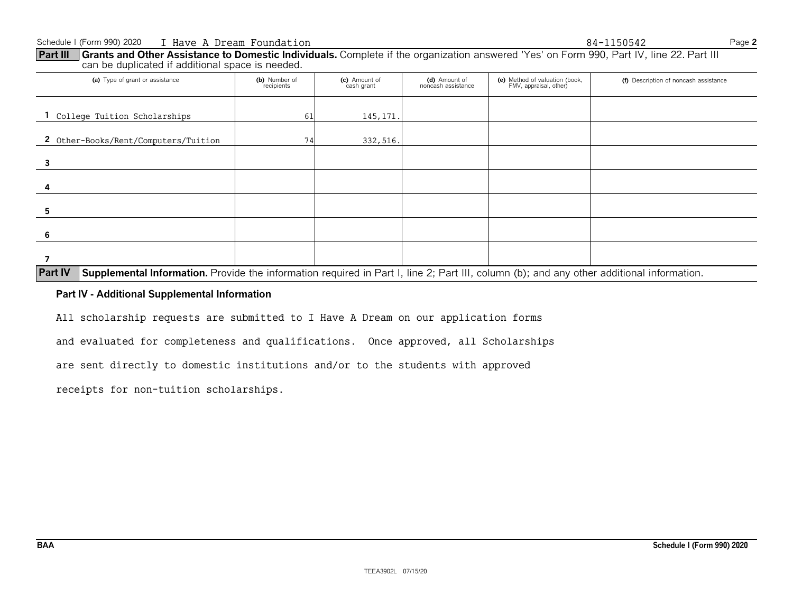(a) Type of grant or assistance **(b)** Number of **(b)** Number of **(c)** Amount of **(d)** Amount of **(e)** Method of valuation (book, **(f)** Description of noncash assistance **(b)** Number of **(c)** Amount of **(d)** Amount of **(d)** FMV, appraisal, other) **1** College Tuition Scholarships 145,171. 2 Other-Books/Rent/Computers/Tuition 1 74 332,516. **3 4 5 6**

#### **Part III** Grants and Other Assistance to Domestic Individuals. Complete if the organization answered 'Yes' on Form 990, Part IV, line 22. Part III can be duplicated if additional space is needed.

**Part IV** Supplemental Information. Provide the information required in Part I, line 2; Part III, column (b); and any other additional information.

#### **Part IV - Additional Supplemental Information**

All scholarship requests are submitted to I Have A Dream on our application forms

and evaluated for completeness and qualifications. Once approved, all Scholarships

are sent directly to domestic institutions and/or to the students with approved

receipts for non-tuition scholarships.

**7**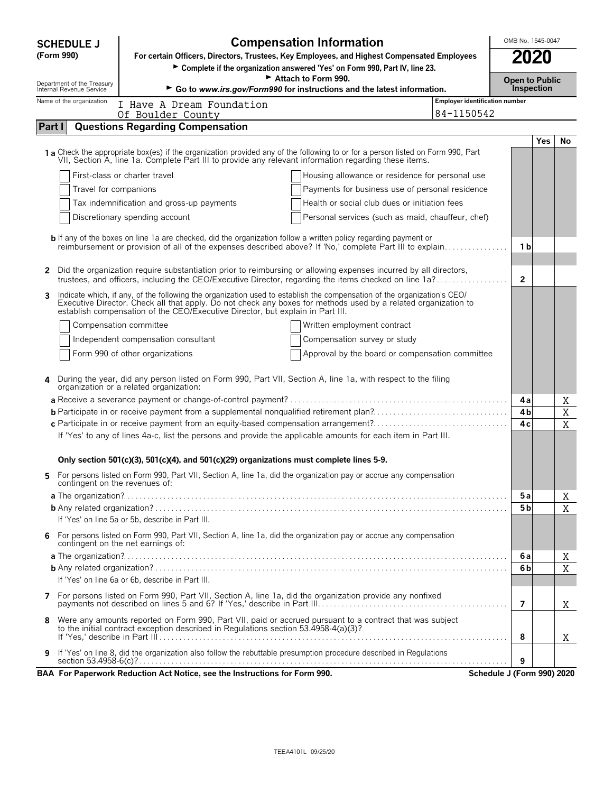| <b>SCHEDULE J</b>                                      | OMB No. 1545-0047<br><b>Compensation Information</b>                                                                                                                                                                                                                                                                        |                                                     |                            |            |             |  |
|--------------------------------------------------------|-----------------------------------------------------------------------------------------------------------------------------------------------------------------------------------------------------------------------------------------------------------------------------------------------------------------------------|-----------------------------------------------------|----------------------------|------------|-------------|--|
| (Form 990)                                             | 2020<br>For certain Officers, Directors, Trustees, Key Employees, and Highest Compensated Employees<br>Complete if the organization answered 'Yes' on Form 990, Part IV, line 23.                                                                                                                                           |                                                     |                            |            |             |  |
|                                                        | Attach to Form 990.<br><b>Open to Public</b>                                                                                                                                                                                                                                                                                |                                                     |                            |            |             |  |
| Department of the Treasury<br>Internal Revenue Service | Inspection<br>Go to www.irs.gov/Form990 for instructions and the latest information.                                                                                                                                                                                                                                        |                                                     |                            |            |             |  |
| Name of the organization                               | I Have A Dream Foundation<br>Of Boulder County                                                                                                                                                                                                                                                                              | <b>Employer identification number</b><br>84-1150542 |                            |            |             |  |
| Part I                                                 | <b>Questions Regarding Compensation</b>                                                                                                                                                                                                                                                                                     |                                                     |                            |            |             |  |
|                                                        |                                                                                                                                                                                                                                                                                                                             |                                                     |                            | <b>Yes</b> | No          |  |
|                                                        | 1 a Check the appropriate box(es) if the organization provided any of the following to or for a person listed on Form 990, Part VII, Section A, line 1a. Complete Part III to provide any relevant information regarding these                                                                                              |                                                     |                            |            |             |  |
|                                                        | First-class or charter travel                                                                                                                                                                                                                                                                                               | Housing allowance or residence for personal use     |                            |            |             |  |
| Travel for companions                                  |                                                                                                                                                                                                                                                                                                                             | Payments for business use of personal residence     |                            |            |             |  |
|                                                        | Tax indemnification and gross-up payments                                                                                                                                                                                                                                                                                   | Health or social club dues or initiation fees       |                            |            |             |  |
|                                                        | Discretionary spending account                                                                                                                                                                                                                                                                                              | Personal services (such as maid, chauffeur, chef)   |                            |            |             |  |
|                                                        | <b>b</b> If any of the boxes on line 1a are checked, did the organization follow a written policy regarding payment or<br>reimbursement or provision of all of the expenses described above? If 'No,' complete Part III to explain                                                                                          |                                                     | 1 b                        |            |             |  |
| $\mathbf{2}$                                           | Did the organization require substantiation prior to reimbursing or allowing expenses incurred by all directors,<br>trustees, and officers, including the CEO/Executive Director, regarding the items checked on line 1a?                                                                                                   |                                                     | $\mathbf{2}$               |            |             |  |
| 3                                                      | Indicate which, if any, of the following the organization used to establish the compensation of the organization's CEO/<br>Executive Director. Check all that apply. Do not check any boxes for methods used by a related organization to<br>establish compensation of the CEO/Executive Director, but explain in Part III. |                                                     |                            |            |             |  |
|                                                        | Compensation committee<br>Written employment contract                                                                                                                                                                                                                                                                       |                                                     |                            |            |             |  |
|                                                        | Independent compensation consultant<br>Compensation survey or study                                                                                                                                                                                                                                                         |                                                     |                            |            |             |  |
|                                                        | Form 990 of other organizations                                                                                                                                                                                                                                                                                             | Approval by the board or compensation committee     |                            |            |             |  |
|                                                        | During the year, did any person listed on Form 990, Part VII, Section A, line 1a, with respect to the filing<br>organization or a related organization:                                                                                                                                                                     |                                                     |                            |            |             |  |
|                                                        |                                                                                                                                                                                                                                                                                                                             |                                                     | 4 a                        |            | Χ           |  |
|                                                        |                                                                                                                                                                                                                                                                                                                             |                                                     | 4b                         |            | $\mathbf X$ |  |
|                                                        | c Participate in or receive payment from an equity-based compensation arrangement?<br>If 'Yes' to any of lines 4a-c, list the persons and provide the applicable amounts for each item in Part III.                                                                                                                         |                                                     | 4 c                        |            | $\mathbf X$ |  |
|                                                        | Only section 501(c)(3), 501(c)(4), and 501(c)(29) organizations must complete lines 5-9.                                                                                                                                                                                                                                    |                                                     |                            |            |             |  |
| 5.<br>contingent on the revenues of:                   | For persons listed on Form 990, Part VII, Section A, line 1a, did the organization pay or accrue any compensation                                                                                                                                                                                                           |                                                     |                            |            |             |  |
|                                                        |                                                                                                                                                                                                                                                                                                                             |                                                     | 5a                         |            | Χ           |  |
|                                                        |                                                                                                                                                                                                                                                                                                                             |                                                     | 5 <sub>b</sub>             |            | X           |  |
|                                                        | If 'Yes' on line 5a or 5b, describe in Part III.                                                                                                                                                                                                                                                                            |                                                     |                            |            |             |  |
| 6.                                                     | For persons listed on Form 990, Part VII, Section A, line 1a, did the organization pay or accrue any compensation<br>contingent on the net earnings of:                                                                                                                                                                     |                                                     |                            |            |             |  |
|                                                        |                                                                                                                                                                                                                                                                                                                             |                                                     | 6а                         |            | Χ           |  |
|                                                        |                                                                                                                                                                                                                                                                                                                             |                                                     | 6b                         |            | X           |  |
|                                                        | If 'Yes' on line 6a or 6b, describe in Part III.                                                                                                                                                                                                                                                                            |                                                     |                            |            |             |  |
|                                                        | 7 For persons listed on Form 990, Part VII, Section A, line 1a, did the organization provide any nonfixed                                                                                                                                                                                                                   |                                                     | 7                          |            | X           |  |
| 8                                                      | Were any amounts reported on Form 990, Part VII, paid or accrued pursuant to a contract that was subject<br>to the initial contract exception described in Regulations section 53.4958-4(a)(3)?                                                                                                                             |                                                     | 8                          |            | Χ           |  |
| 9                                                      | If 'Yes' on line 8, did the organization also follow the rebuttable presumption procedure described in Regulations                                                                                                                                                                                                          |                                                     | 9                          |            |             |  |
|                                                        | BAA For Paperwork Reduction Act Notice, see the Instructions for Form 990.                                                                                                                                                                                                                                                  |                                                     | Schedule J (Form 990) 2020 |            |             |  |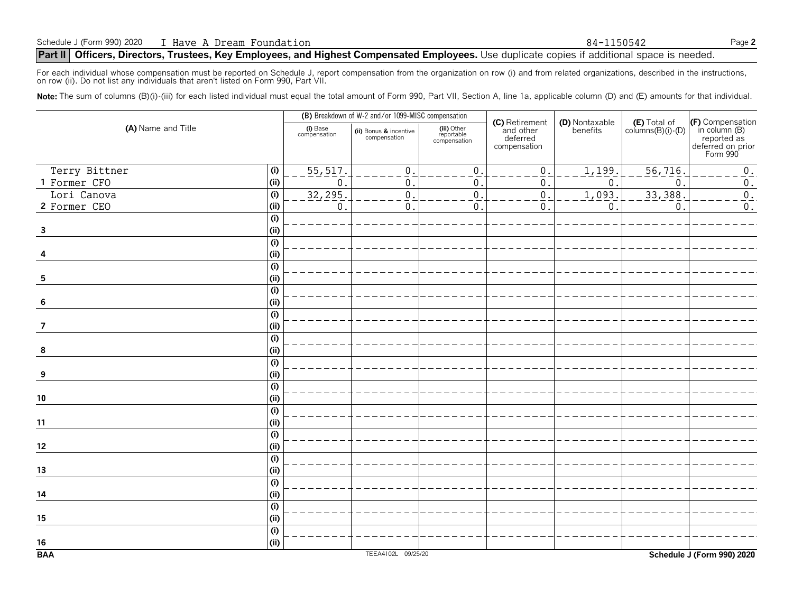For each individual whose compensation must be reported on Schedule J, report compensation from the organization on row (i) and from related organizations, described in the instructions, on row (ii). Do not list any individuals that aren't listed on Form 990, Part VII.

Note: The sum of columns (B)(i)-(iii) for each listed individual must equal the total amount of Form 990, Part VII, Section A, line 1a, applicable column (D) and (E) amounts for that individual.

|                                |                          | (B) Breakdown of W-2 and/or 1099-MISC compensation |                                           |                                                         |                            |                                            |                                                                                   |
|--------------------------------|--------------------------|----------------------------------------------------|-------------------------------------------|---------------------------------------------------------|----------------------------|--------------------------------------------|-----------------------------------------------------------------------------------|
| (A) Name and Title             | (i) Base<br>compensation | (ii) Bonus & incentive<br>compensation             | (iii) Other<br>reportable<br>compensation | (C) Retirement<br>and other<br>deferred<br>compensation | (D) Nontaxable<br>benefits | $(E)$ Total of<br>columns $(B)(i)$ - $(D)$ | (F) Compensation<br>in column (B)<br>reported as<br>deferred on prior<br>Form 990 |
| (i)<br>Terry Bittner           | 55, 517.                 | $\mathbf{0}$                                       | $\boldsymbol{0}$                          | $\mathsf{0}$ .                                          | 1,199.                     | 56, 716.                                   | $0_{\cdot}$                                                                       |
| (i)<br>1 Former CFO            | $\mathbf 0$              | $\mathbf{0}$                                       | 0                                         | 0                                                       | $\mathbf{0}$               | $\mathbf 0$                                | $\boldsymbol{0}$ .                                                                |
| (i)<br>Lori Canova             | 32, 295.                 | $\overline{0}$                                     | $\mathbf 0$                               | $\overline{0}$ .                                        | 1,093.                     | 33,388                                     | $\overline{0}$ .                                                                  |
| (i)<br>2 Former CEO            | $\mathsf{O}$             | $\mathbf{0}$                                       | $\mathbf 0$                               | $\mathsf{O}$ .                                          | $\mathbb O$ .              | $\pmb{0}$                                  | $0$ .                                                                             |
| (i)                            |                          |                                                    |                                           |                                                         |                            |                                            |                                                                                   |
| (i)<br>$\overline{\mathbf{3}}$ |                          |                                                    |                                           |                                                         |                            |                                            |                                                                                   |
| (i)                            |                          |                                                    |                                           |                                                         |                            |                                            |                                                                                   |
| (i)                            |                          |                                                    |                                           |                                                         |                            |                                            |                                                                                   |
| (i)                            |                          |                                                    |                                           |                                                         |                            |                                            |                                                                                   |
| (i)<br>5                       |                          |                                                    |                                           |                                                         |                            |                                            |                                                                                   |
| (i)                            |                          |                                                    |                                           |                                                         |                            |                                            |                                                                                   |
| (i)<br>6                       |                          |                                                    |                                           |                                                         |                            |                                            |                                                                                   |
| $\overline{(\mathsf{i})}$      |                          |                                                    |                                           |                                                         |                            |                                            |                                                                                   |
| (i)<br>7                       |                          |                                                    |                                           |                                                         |                            |                                            |                                                                                   |
| (i)                            |                          |                                                    |                                           |                                                         |                            |                                            |                                                                                   |
| (i)<br>8                       |                          |                                                    |                                           |                                                         |                            |                                            |                                                                                   |
| (i)                            |                          |                                                    |                                           |                                                         |                            |                                            |                                                                                   |
| (ii)<br>9                      |                          |                                                    |                                           |                                                         |                            |                                            |                                                                                   |
| $\overline{(\mathsf{i})}$      |                          |                                                    |                                           |                                                         |                            |                                            |                                                                                   |
| ${\bf 10}$<br>(ii)             |                          |                                                    |                                           |                                                         |                            |                                            |                                                                                   |
| $\overline{(\mathsf{i})}$      |                          |                                                    |                                           |                                                         |                            |                                            |                                                                                   |
| (i)<br>$11$<br>(i)             |                          |                                                    |                                           |                                                         |                            |                                            |                                                                                   |
| (i)<br>$12\,$                  |                          |                                                    |                                           |                                                         |                            |                                            |                                                                                   |
| (i)                            |                          |                                                    |                                           |                                                         |                            |                                            |                                                                                   |
| (i)<br>13                      |                          |                                                    |                                           |                                                         |                            |                                            |                                                                                   |
| $\overline{(\mathsf{i})}$      |                          |                                                    |                                           |                                                         |                            |                                            |                                                                                   |
| (i)<br>14                      |                          |                                                    |                                           |                                                         |                            |                                            |                                                                                   |
| (i)                            |                          |                                                    |                                           |                                                         |                            |                                            |                                                                                   |
| (i)<br>15                      |                          |                                                    |                                           |                                                         |                            |                                            |                                                                                   |
| (i)                            |                          |                                                    |                                           |                                                         |                            |                                            |                                                                                   |
| (i)<br>16                      |                          |                                                    |                                           |                                                         |                            |                                            |                                                                                   |
| <b>BAA</b>                     |                          | TEEA4102L 09/25/20                                 |                                           |                                                         |                            |                                            | Schedule J (Form 990) 2020                                                        |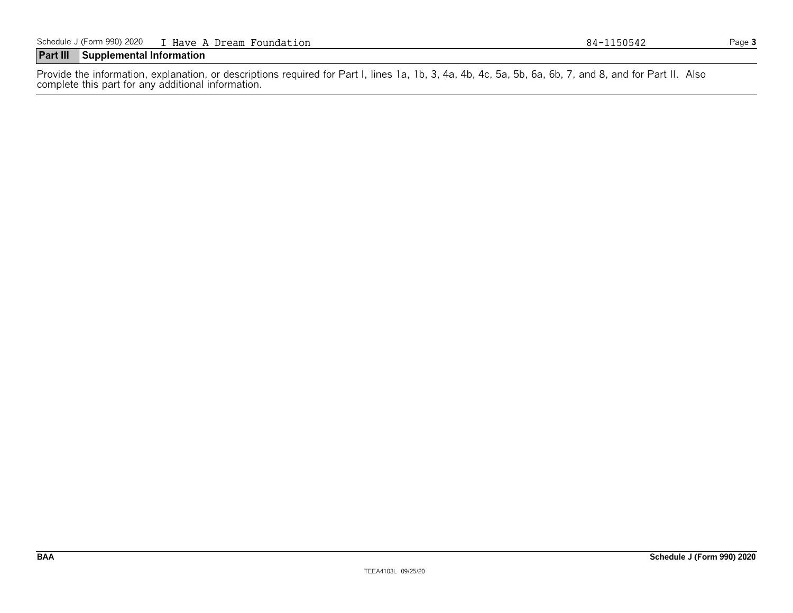#### **Part III Supplemental Information**

Provide the information, explanation, or descriptions required for Part I, lines 1a, 1b, 3, 4a, 4b, 4c, 5a, 5b, 6a, 6b, 7, and 8, and for Part II. Also complete this part for any additional information.